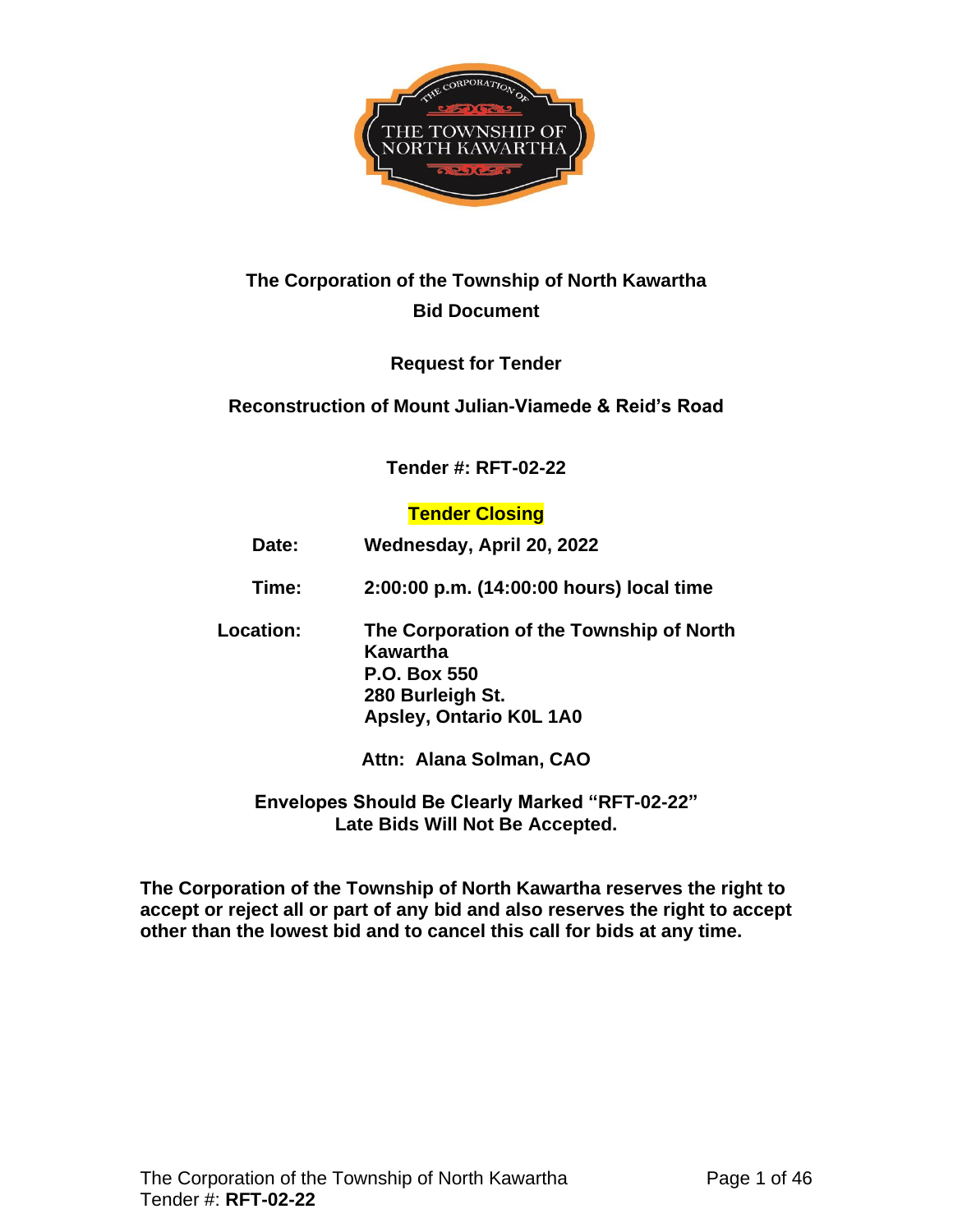

# **The Corporation of the Township of North Kawartha Bid Document**

# **Request for Tender**

### **Reconstruction of Mount Julian-Viamede & Reid's Road**

### **Tender #: RFT-02-22**

### **Tender Closing**

| Date:            | Wednesday, April 20, 2022                                                                                                  |  |  |  |  |  |
|------------------|----------------------------------------------------------------------------------------------------------------------------|--|--|--|--|--|
| Time:            | 2:00:00 p.m. (14:00:00 hours) local time                                                                                   |  |  |  |  |  |
| <b>Location:</b> | The Corporation of the Township of North<br>Kawartha<br><b>P.O. Box 550</b><br>280 Burleigh St.<br>Apsley, Ontario K0L 1A0 |  |  |  |  |  |
|                  | Attn: Alana Solman, CAO                                                                                                    |  |  |  |  |  |

### **Envelopes Should Be Clearly Marked "RFT-02-22" Late Bids Will Not Be Accepted.**

**The Corporation of the Township of North Kawartha reserves the right to accept or reject all or part of any bid and also reserves the right to accept other than the lowest bid and to cancel this call for bids at any time.**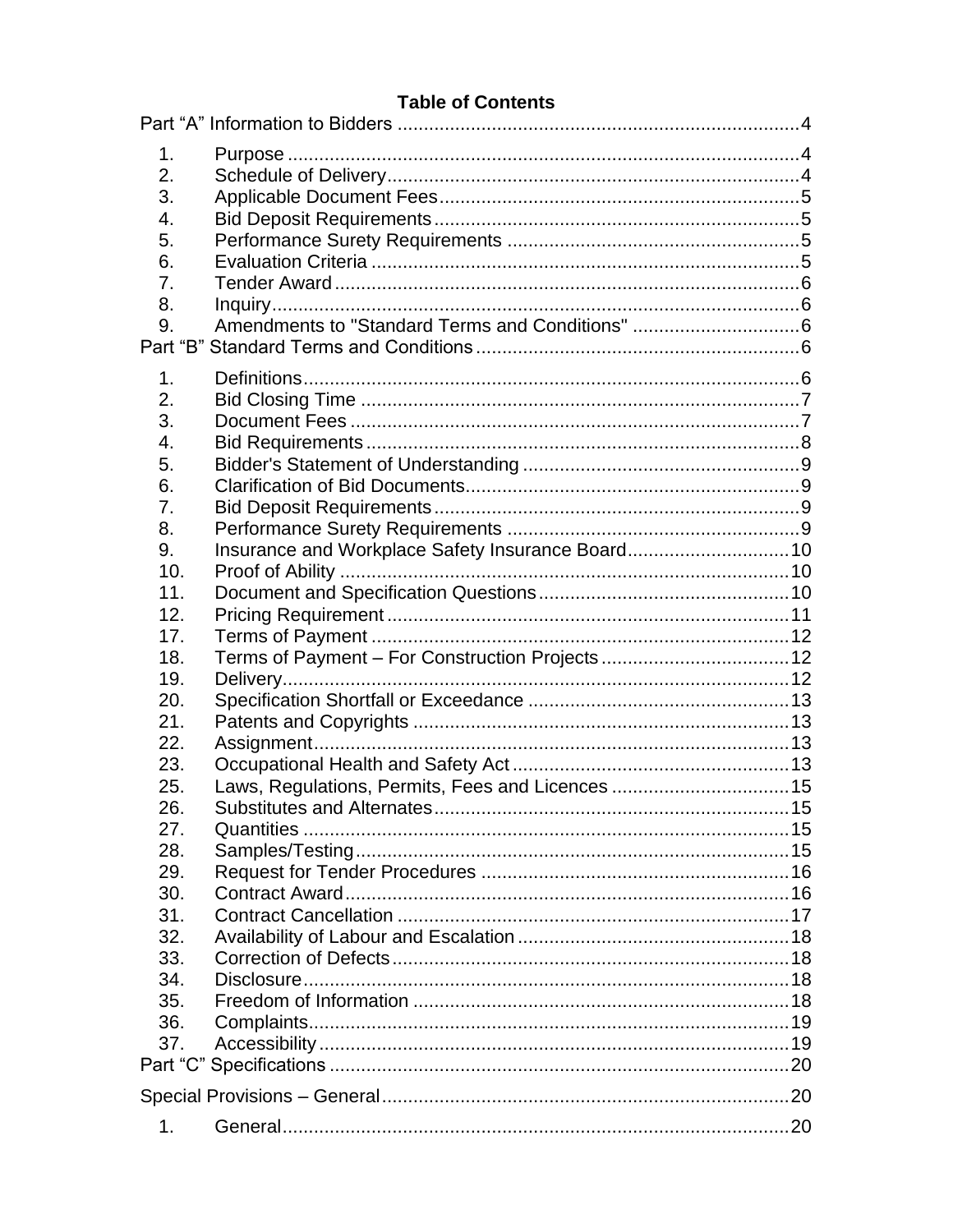### **Table of Contents**

| 1.<br>2.<br>3.<br>4.<br>5.<br>6.<br>7.<br>8.<br>9. | Amendments to "Standard Terms and Conditions" 6   |  |
|----------------------------------------------------|---------------------------------------------------|--|
| 1.                                                 |                                                   |  |
| 2.                                                 |                                                   |  |
| 3.                                                 |                                                   |  |
| 4.                                                 |                                                   |  |
| 5.                                                 |                                                   |  |
| 6.                                                 |                                                   |  |
| 7.                                                 |                                                   |  |
|                                                    |                                                   |  |
| 8.                                                 |                                                   |  |
| 9.                                                 | Insurance and Workplace Safety Insurance Board 10 |  |
| 10.                                                |                                                   |  |
| 11.                                                |                                                   |  |
| 12.                                                |                                                   |  |
| 17.                                                |                                                   |  |
| 18.                                                |                                                   |  |
| 19.                                                |                                                   |  |
| 20.                                                |                                                   |  |
| 21.                                                |                                                   |  |
| 22.                                                |                                                   |  |
| 23.                                                |                                                   |  |
| 25.                                                | Laws, Regulations, Permits, Fees and Licences 15  |  |
| 26.                                                |                                                   |  |
| 27.                                                |                                                   |  |
| 28.                                                |                                                   |  |
| 29.                                                |                                                   |  |
| 30.                                                |                                                   |  |
| 31.                                                |                                                   |  |
| 32.                                                |                                                   |  |
| 33.                                                |                                                   |  |
| 34.                                                |                                                   |  |
| 35.                                                |                                                   |  |
| 36.                                                |                                                   |  |
| 37.                                                |                                                   |  |
|                                                    |                                                   |  |
|                                                    |                                                   |  |
|                                                    |                                                   |  |
| 1.                                                 |                                                   |  |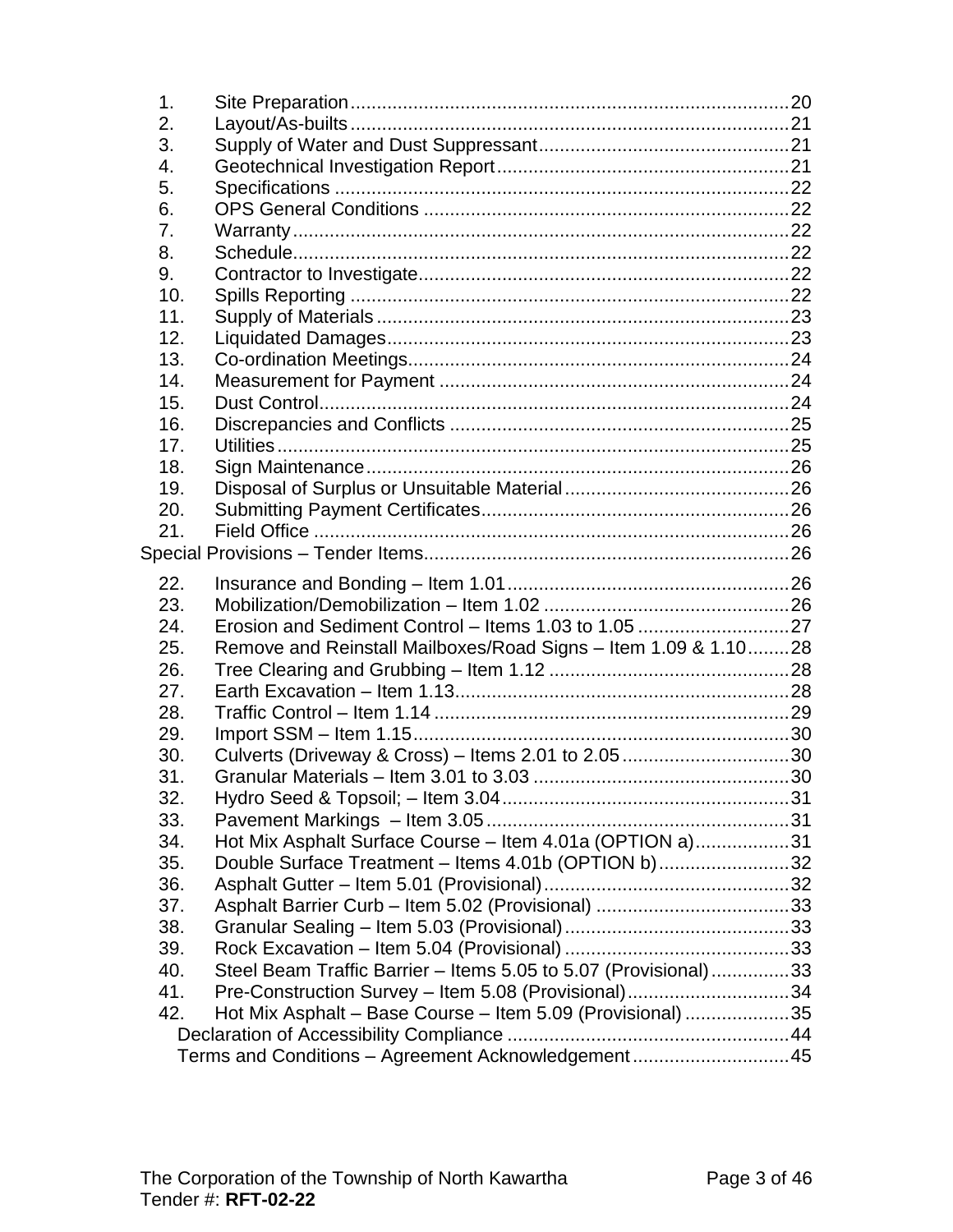| $\mathbf 1$ . |                                                                 |  |
|---------------|-----------------------------------------------------------------|--|
| 2.            |                                                                 |  |
| 3.            |                                                                 |  |
| 4.            |                                                                 |  |
| 5.            |                                                                 |  |
| 6.            |                                                                 |  |
| 7.            |                                                                 |  |
| 8.            |                                                                 |  |
| 9.            |                                                                 |  |
| 10.           |                                                                 |  |
| 11.           |                                                                 |  |
| 12.           |                                                                 |  |
| 13.           |                                                                 |  |
| 14.           |                                                                 |  |
| 15.           |                                                                 |  |
| 16.           |                                                                 |  |
| 17.           |                                                                 |  |
| 18.           |                                                                 |  |
| 19.           |                                                                 |  |
| 20.           |                                                                 |  |
| 21.           |                                                                 |  |
|               |                                                                 |  |
| 22.           |                                                                 |  |
| 23.           |                                                                 |  |
| 24.           |                                                                 |  |
| 25.           | Remove and Reinstall Mailboxes/Road Signs - Item 1.09 & 1.1028  |  |
| 26.           |                                                                 |  |
| 27.           |                                                                 |  |
| 28.           |                                                                 |  |
| 29.           |                                                                 |  |
| 30.           | Culverts (Driveway & Cross) - Items 2.01 to 2.05 30             |  |
| 31.           |                                                                 |  |
| 32.           |                                                                 |  |
| 33.           |                                                                 |  |
| 34.           | Hot Mix Asphalt Surface Course - Item 4.01a (OPTION a)31        |  |
| 35.           | Double Surface Treatment - Items 4.01b (OPTION b)32             |  |
| 36.           |                                                                 |  |
| 37.           |                                                                 |  |
| 38.           |                                                                 |  |
| 39.           |                                                                 |  |
| 40.           | Steel Beam Traffic Barrier - Items 5.05 to 5.07 (Provisional)33 |  |
| 41.           | Pre-Construction Survey - Item 5.08 (Provisional)34             |  |
| 42.           | Hot Mix Asphalt - Base Course - Item 5.09 (Provisional) 35      |  |
|               |                                                                 |  |
|               | Terms and Conditions - Agreement Acknowledgement45              |  |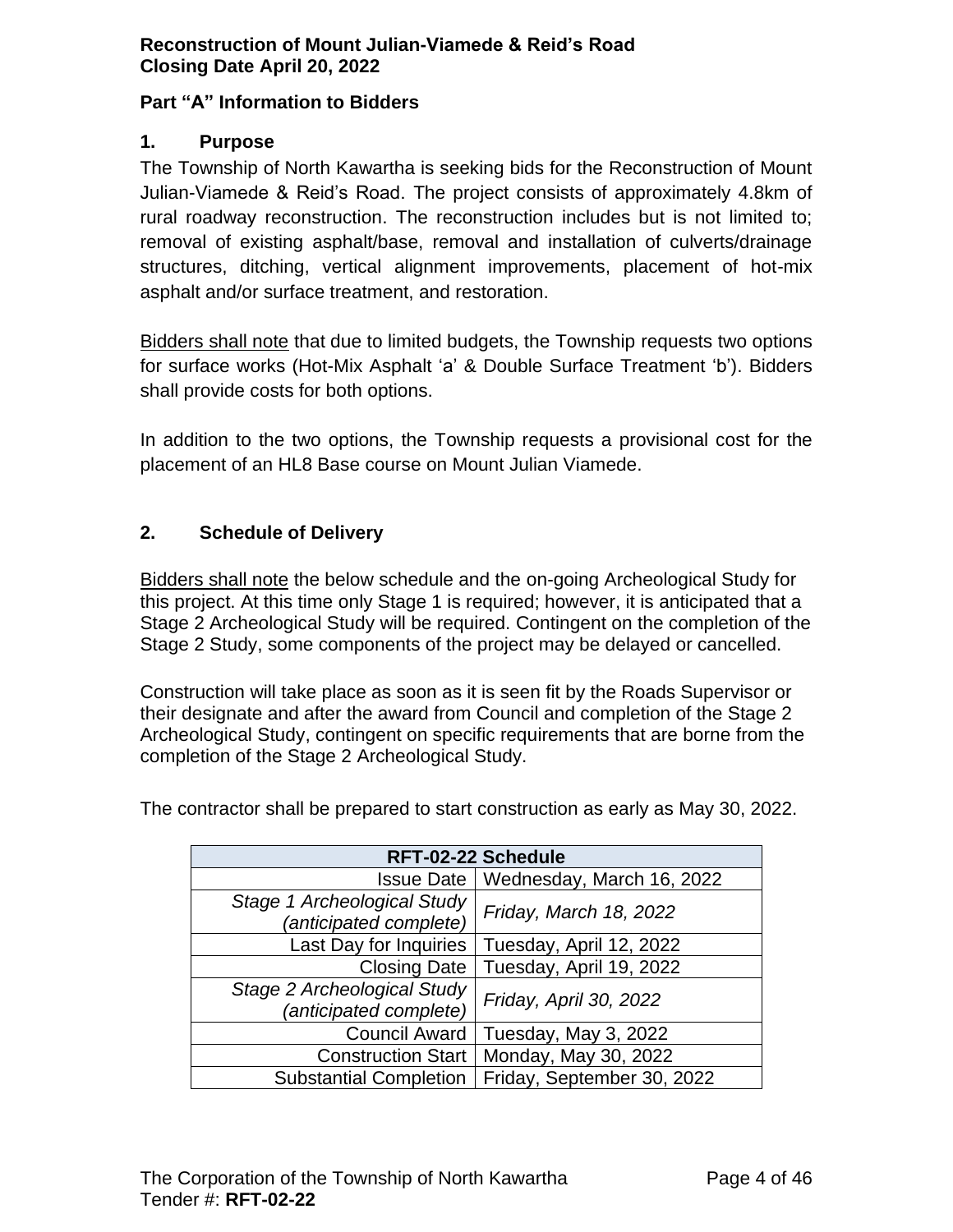#### <span id="page-3-0"></span>**Part "A" Information to Bidders**

#### <span id="page-3-1"></span>**1. Purpose**

The Township of North Kawartha is seeking bids for the Reconstruction of Mount Julian-Viamede & Reid's Road. The project consists of approximately 4.8km of rural roadway reconstruction. The reconstruction includes but is not limited to; removal of existing asphalt/base, removal and installation of culverts/drainage structures, ditching, vertical alignment improvements, placement of hot-mix asphalt and/or surface treatment, and restoration.

Bidders shall note that due to limited budgets, the Township requests two options for surface works (Hot-Mix Asphalt 'a' & Double Surface Treatment 'b'). Bidders shall provide costs for both options.

In addition to the two options, the Township requests a provisional cost for the placement of an HL8 Base course on Mount Julian Viamede.

### <span id="page-3-2"></span>**2. Schedule of Delivery**

Bidders shall note the below schedule and the on-going Archeological Study for this project. At this time only Stage 1 is required; however, it is anticipated that a Stage 2 Archeological Study will be required. Contingent on the completion of the Stage 2 Study, some components of the project may be delayed or cancelled.

Construction will take place as soon as it is seen fit by the Roads Supervisor or their designate and after the award from Council and completion of the Stage 2 Archeological Study, contingent on specific requirements that are borne from the completion of the Stage 2 Archeological Study.

| RFT-02-22 Schedule                                    |                            |  |  |  |  |
|-------------------------------------------------------|----------------------------|--|--|--|--|
| <b>Issue Date</b>                                     | Wednesday, March 16, 2022  |  |  |  |  |
| Stage 1 Archeological Study<br>(anticipated complete) | Friday, March 18, 2022     |  |  |  |  |
| Last Day for Inquiries                                | Tuesday, April 12, 2022    |  |  |  |  |
| <b>Closing Date</b>                                   | Tuesday, April 19, 2022    |  |  |  |  |
| Stage 2 Archeological Study<br>(anticipated complete) | Friday, April 30, 2022     |  |  |  |  |
| <b>Council Award</b>                                  | Tuesday, May 3, 2022       |  |  |  |  |
| <b>Construction Start</b>                             | Monday, May 30, 2022       |  |  |  |  |
| <b>Substantial Completion</b>                         | Friday, September 30, 2022 |  |  |  |  |

The contractor shall be prepared to start construction as early as May 30, 2022.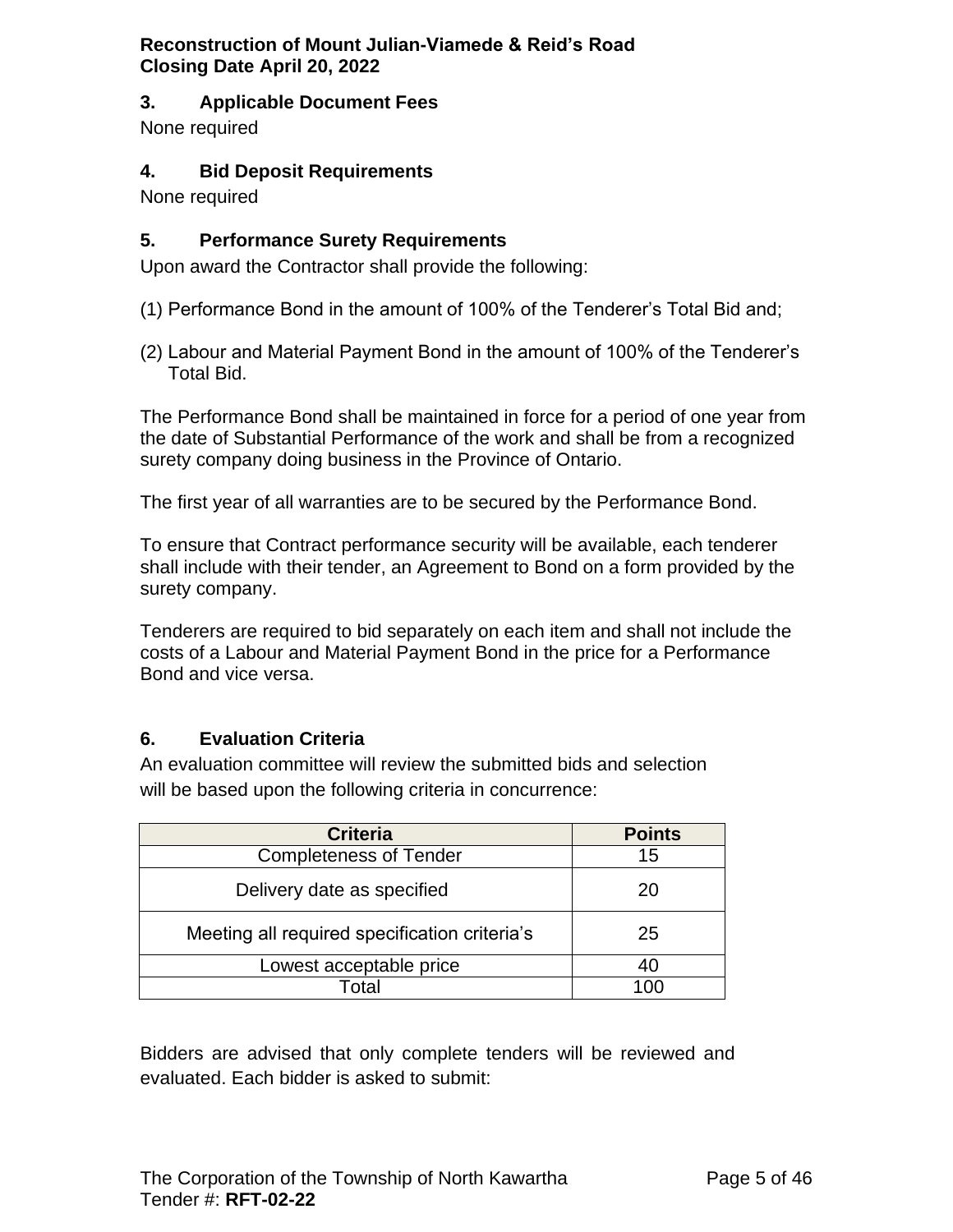### <span id="page-4-0"></span>**3. Applicable Document Fees**

None required

#### <span id="page-4-1"></span>**4. Bid Deposit Requirements**

None required

### <span id="page-4-2"></span>**5. Performance Surety Requirements**

Upon award the Contractor shall provide the following:

- (1) Performance Bond in the amount of 100% of the Tenderer's Total Bid and;
- (2) Labour and Material Payment Bond in the amount of 100% of the Tenderer's Total Bid.

The Performance Bond shall be maintained in force for a period of one year from the date of Substantial Performance of the work and shall be from a recognized surety company doing business in the Province of Ontario.

The first year of all warranties are to be secured by the Performance Bond.

To ensure that Contract performance security will be available, each tenderer shall include with their tender, an Agreement to Bond on a form provided by the surety company.

Tenderers are required to bid separately on each item and shall not include the costs of a Labour and Material Payment Bond in the price for a Performance Bond and vice versa.

### <span id="page-4-3"></span>**6. Evaluation Criteria**

An evaluation committee will review the submitted bids and selection will be based upon the following criteria in concurrence:

| <b>Criteria</b>                               | <b>Points</b> |
|-----------------------------------------------|---------------|
| <b>Completeness of Tender</b>                 | 15            |
| Delivery date as specified                    | 20            |
| Meeting all required specification criteria's | 25            |
| Lowest acceptable price                       | 40            |
| Total                                         |               |

Bidders are advised that only complete tenders will be reviewed and evaluated. Each bidder is asked to submit: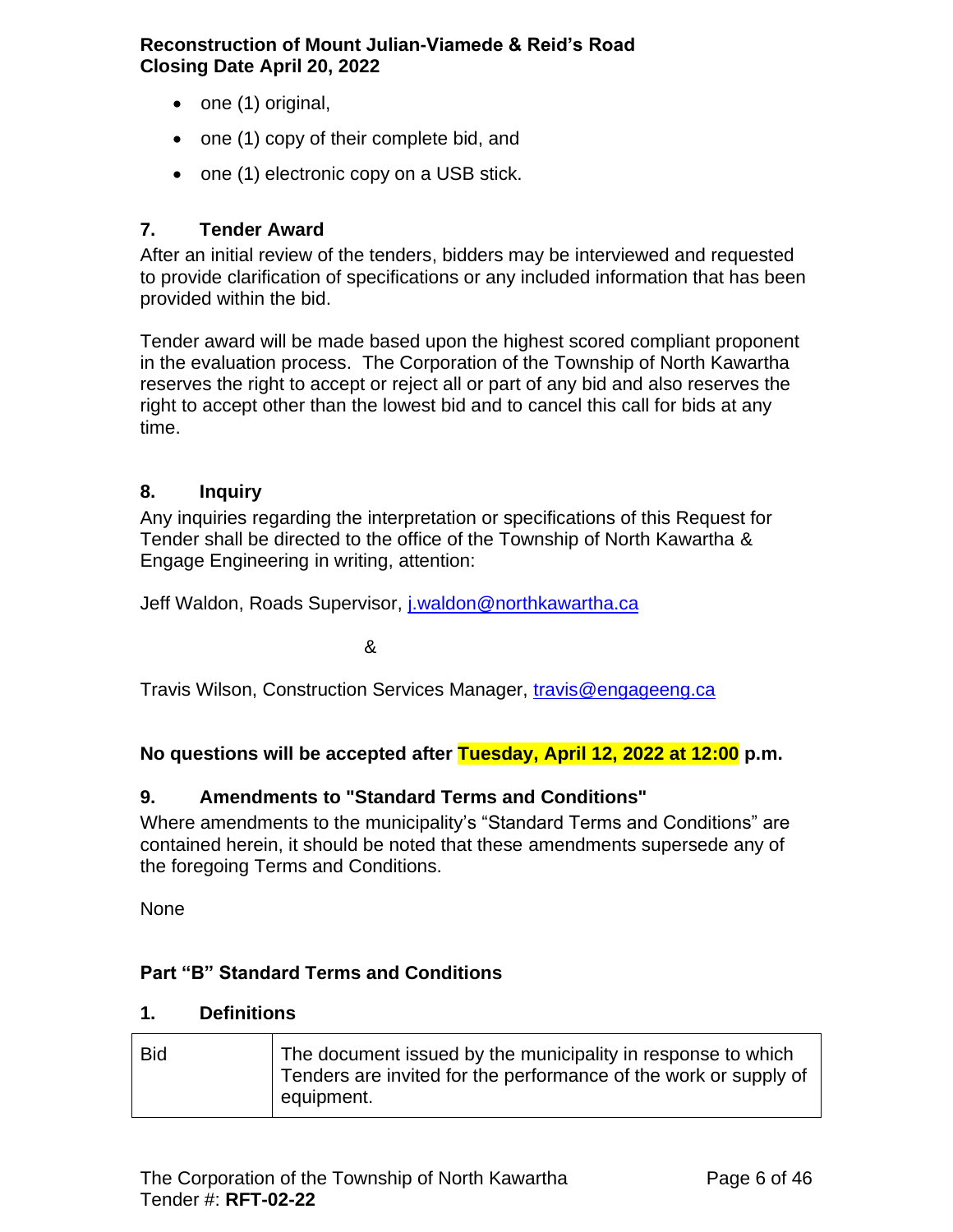- one (1) original,
- one (1) copy of their complete bid, and
- one (1) electronic copy on a USB stick.

# <span id="page-5-0"></span>**7. Tender Award**

After an initial review of the tenders, bidders may be interviewed and requested to provide clarification of specifications or any included information that has been provided within the bid.

Tender award will be made based upon the highest scored compliant proponent in the evaluation process. The Corporation of the Township of North Kawartha reserves the right to accept or reject all or part of any bid and also reserves the right to accept other than the lowest bid and to cancel this call for bids at any time.

### <span id="page-5-1"></span>**8. Inquiry**

Any inquiries regarding the interpretation or specifications of this Request for Tender shall be directed to the office of the Township of North Kawartha & Engage Engineering in writing, attention:

Jeff Waldon, Roads Supervisor, *[j.waldon@northkawartha.ca](mailto:j.waldon@northkawartha.ca)* 

&

Travis Wilson, Construction Services Manager, [travis@engageeng.ca](mailto:travis@engageeng.ca)

**No questions will be accepted after Tuesday, April 12, 2022 at 12:00 p.m.**

### <span id="page-5-2"></span>**9. Amendments to "Standard Terms and Conditions"**

Where amendments to the municipality's "Standard Terms and Conditions" are contained herein, it should be noted that these amendments supersede any of the foregoing Terms and Conditions.

None

### <span id="page-5-3"></span>**Part "B" Standard Terms and Conditions**

#### <span id="page-5-4"></span>**1. Definitions**

| <b>Bid</b> | The document issued by the municipality in response to which<br>Tenders are invited for the performance of the work or supply of<br>equipment. |
|------------|------------------------------------------------------------------------------------------------------------------------------------------------|
|------------|------------------------------------------------------------------------------------------------------------------------------------------------|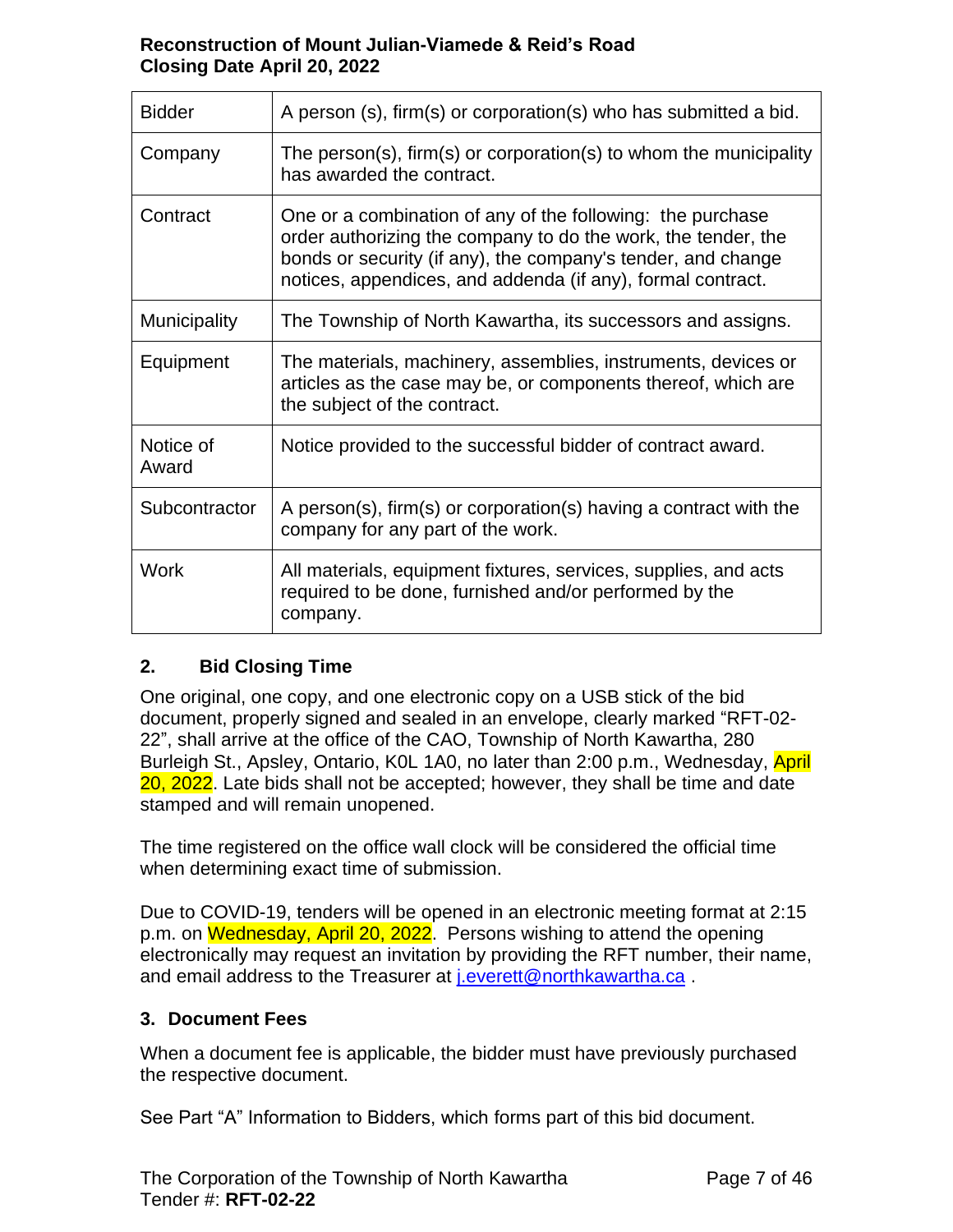| <b>Bidder</b>      | A person (s), firm(s) or corporation(s) who has submitted a bid.                                                                                                                                                                                           |
|--------------------|------------------------------------------------------------------------------------------------------------------------------------------------------------------------------------------------------------------------------------------------------------|
| Company            | The person(s), firm(s) or corporation(s) to whom the municipality<br>has awarded the contract.                                                                                                                                                             |
| Contract           | One or a combination of any of the following: the purchase<br>order authorizing the company to do the work, the tender, the<br>bonds or security (if any), the company's tender, and change<br>notices, appendices, and addenda (if any), formal contract. |
| Municipality       | The Township of North Kawartha, its successors and assigns.                                                                                                                                                                                                |
| Equipment          | The materials, machinery, assemblies, instruments, devices or<br>articles as the case may be, or components thereof, which are<br>the subject of the contract.                                                                                             |
| Notice of<br>Award | Notice provided to the successful bidder of contract award.                                                                                                                                                                                                |
| Subcontractor      | A person(s), firm(s) or corporation(s) having a contract with the<br>company for any part of the work.                                                                                                                                                     |
| <b>Work</b>        | All materials, equipment fixtures, services, supplies, and acts<br>required to be done, furnished and/or performed by the<br>company.                                                                                                                      |

# <span id="page-6-0"></span>**2. Bid Closing Time**

One original, one copy, and one electronic copy on a USB stick of the bid document, properly signed and sealed in an envelope, clearly marked "RFT-02- 22", shall arrive at the office of the CAO, Township of North Kawartha, 280 Burleigh St., Apsley, Ontario, K0L 1A0, no later than 2:00 p.m., Wednesday, April 20, 2022. Late bids shall not be accepted; however, they shall be time and date stamped and will remain unopened.

The time registered on the office wall clock will be considered the official time when determining exact time of submission.

Due to COVID-19, tenders will be opened in an electronic meeting format at 2:15 p.m. on Wednesday, April 20, 2022. Persons wishing to attend the opening electronically may request an invitation by providing the RFT number, their name, and email address to the Treasurer at *j.everett@northkawartha.ca*.

### <span id="page-6-1"></span>**3. Document Fees**

When a document fee is applicable, the bidder must have previously purchased the respective document.

See Part "A" Information to Bidders, which forms part of this bid document.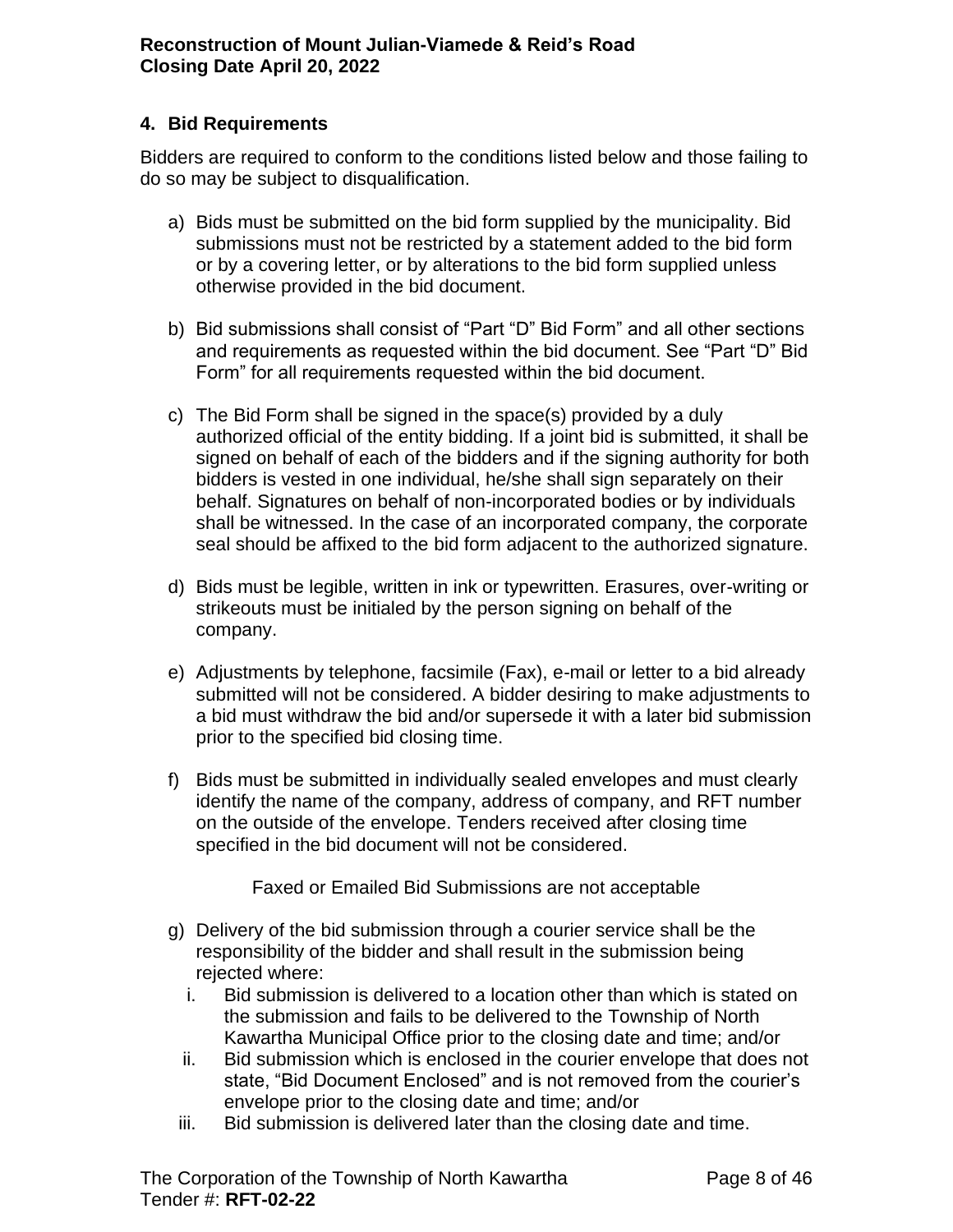### <span id="page-7-0"></span>**4. Bid Requirements**

Bidders are required to conform to the conditions listed below and those failing to do so may be subject to disqualification.

- a) Bids must be submitted on the bid form supplied by the municipality. Bid submissions must not be restricted by a statement added to the bid form or by a covering letter, or by alterations to the bid form supplied unless otherwise provided in the bid document.
- b) Bid submissions shall consist of "Part "D" Bid Form" and all other sections and requirements as requested within the bid document. See "Part "D" Bid Form" for all requirements requested within the bid document.
- c) The Bid Form shall be signed in the space(s) provided by a duly authorized official of the entity bidding. If a joint bid is submitted, it shall be signed on behalf of each of the bidders and if the signing authority for both bidders is vested in one individual, he/she shall sign separately on their behalf. Signatures on behalf of non-incorporated bodies or by individuals shall be witnessed. In the case of an incorporated company, the corporate seal should be affixed to the bid form adjacent to the authorized signature.
- d) Bids must be legible, written in ink or typewritten. Erasures, over-writing or strikeouts must be initialed by the person signing on behalf of the company.
- e) Adjustments by telephone, facsimile (Fax), e-mail or letter to a bid already submitted will not be considered. A bidder desiring to make adjustments to a bid must withdraw the bid and/or supersede it with a later bid submission prior to the specified bid closing time.
- f) Bids must be submitted in individually sealed envelopes and must clearly identify the name of the company, address of company, and RFT number on the outside of the envelope. Tenders received after closing time specified in the bid document will not be considered.

Faxed or Emailed Bid Submissions are not acceptable

- g) Delivery of the bid submission through a courier service shall be the responsibility of the bidder and shall result in the submission being rejected where:
	- i. Bid submission is delivered to a location other than which is stated on the submission and fails to be delivered to the Township of North Kawartha Municipal Office prior to the closing date and time; and/or
	- ii. Bid submission which is enclosed in the courier envelope that does not state, "Bid Document Enclosed" and is not removed from the courier's envelope prior to the closing date and time; and/or
	- iii. Bid submission is delivered later than the closing date and time.

The Corporation of the Township of North Kawartha Page 8 of 46 Tender #: **RFT-02-22**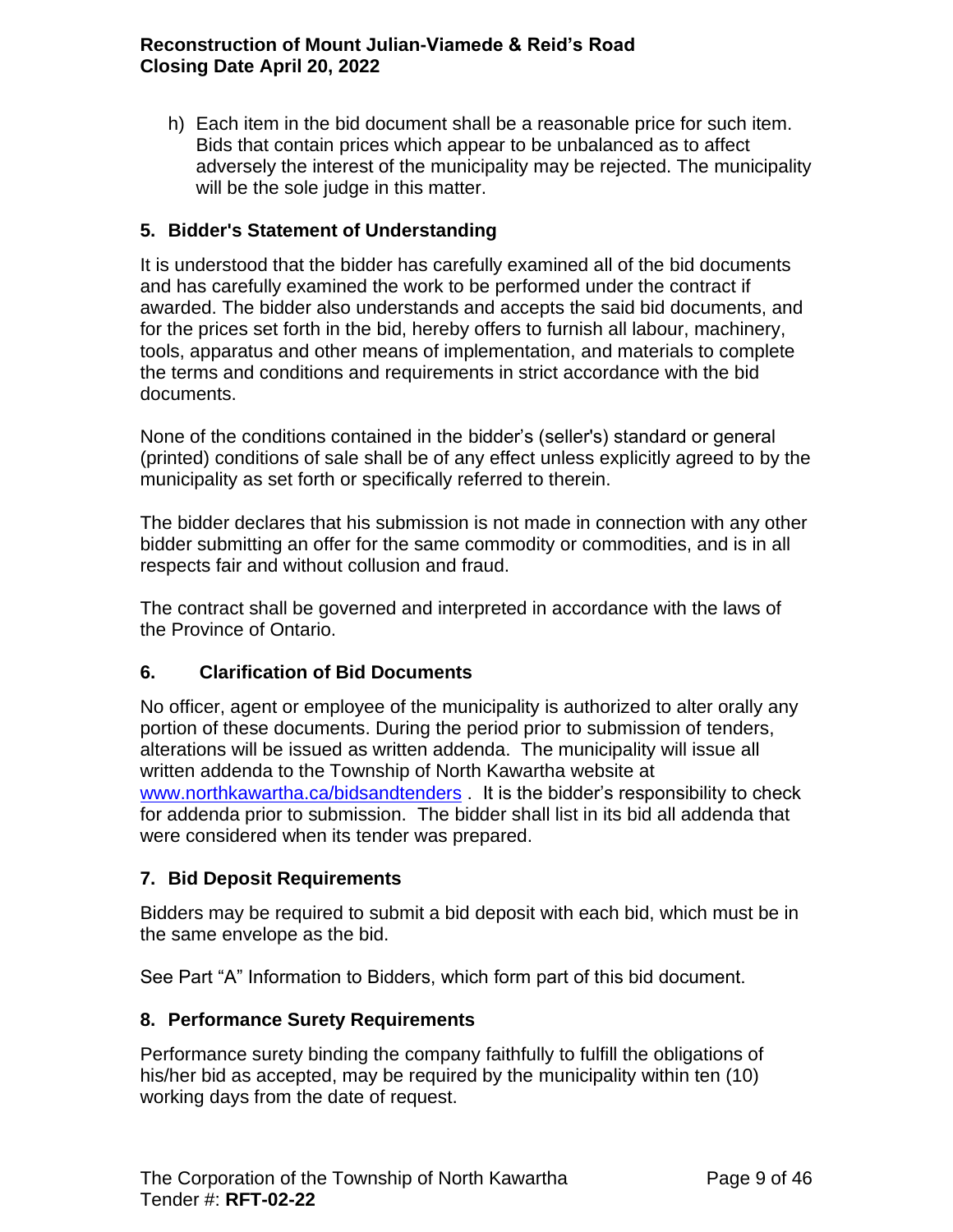h) Each item in the bid document shall be a reasonable price for such item. Bids that contain prices which appear to be unbalanced as to affect adversely the interest of the municipality may be rejected. The municipality will be the sole judge in this matter.

# <span id="page-8-0"></span>**5. Bidder's Statement of Understanding**

It is understood that the bidder has carefully examined all of the bid documents and has carefully examined the work to be performed under the contract if awarded. The bidder also understands and accepts the said bid documents, and for the prices set forth in the bid, hereby offers to furnish all labour, machinery, tools, apparatus and other means of implementation, and materials to complete the terms and conditions and requirements in strict accordance with the bid documents.

None of the conditions contained in the bidder's (seller's) standard or general (printed) conditions of sale shall be of any effect unless explicitly agreed to by the municipality as set forth or specifically referred to therein.

The bidder declares that his submission is not made in connection with any other bidder submitting an offer for the same commodity or commodities, and is in all respects fair and without collusion and fraud.

The contract shall be governed and interpreted in accordance with the laws of the Province of Ontario.

### <span id="page-8-1"></span>**6. Clarification of Bid Documents**

No officer, agent or employee of the municipality is authorized to alter orally any portion of these documents. During the period prior to submission of tenders, alterations will be issued as written addenda. The municipality will issue all written addenda to the Township of North Kawartha website at [www.northkawartha.ca/bidsandtenders](http://www.northkawartha.ca/bidsandtenders) . It is the bidder's responsibility to check for addenda prior to submission. The bidder shall list in its bid all addenda that were considered when its tender was prepared.

# <span id="page-8-2"></span>**7. Bid Deposit Requirements**

Bidders may be required to submit a bid deposit with each bid, which must be in the same envelope as the bid.

See Part "A" Information to Bidders, which form part of this bid document.

### <span id="page-8-3"></span>**8. Performance Surety Requirements**

Performance surety binding the company faithfully to fulfill the obligations of his/her bid as accepted, may be required by the municipality within ten (10) working days from the date of request.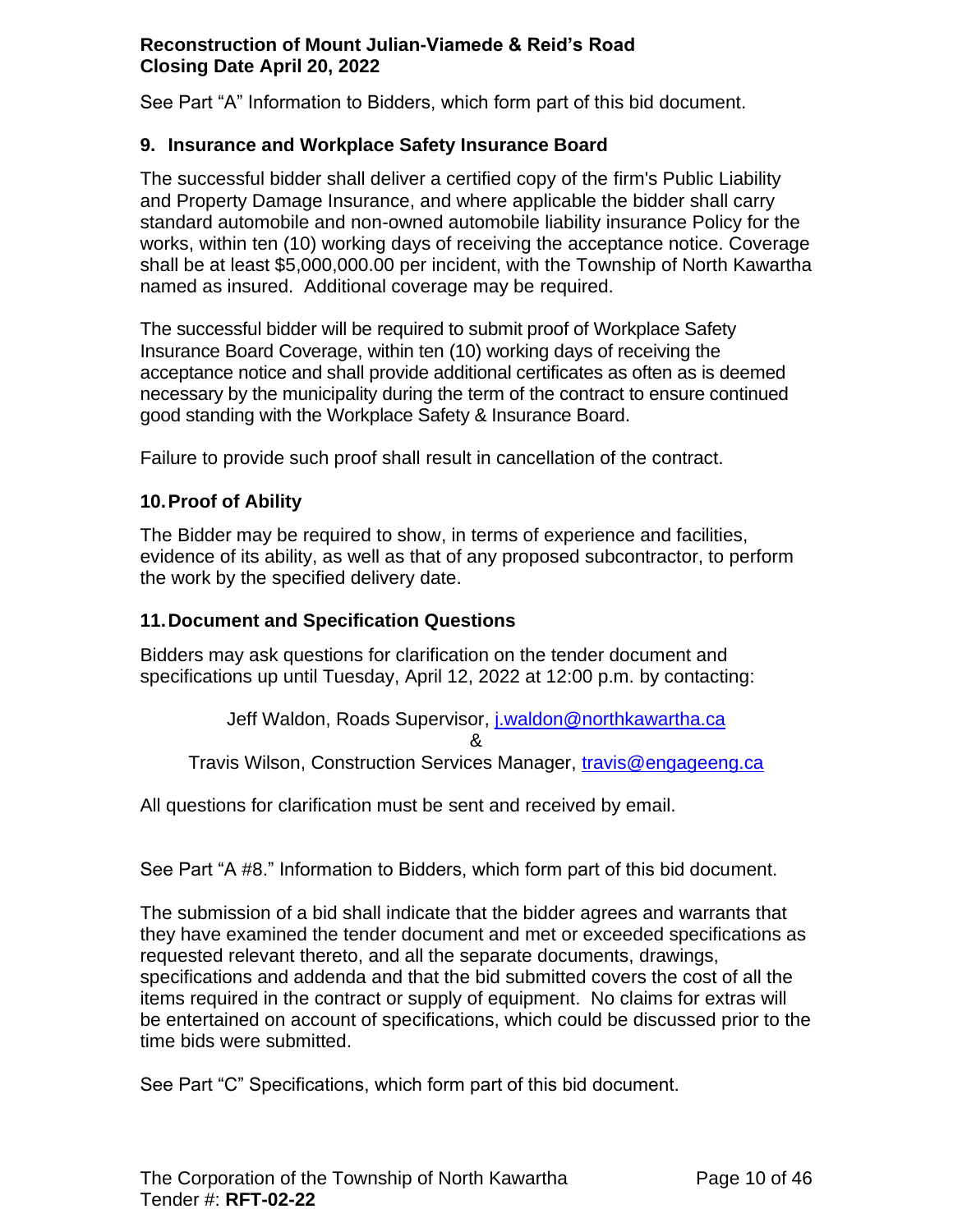See Part "A" Information to Bidders, which form part of this bid document.

### <span id="page-9-0"></span>**9. Insurance and Workplace Safety Insurance Board**

The successful bidder shall deliver a certified copy of the firm's Public Liability and Property Damage Insurance, and where applicable the bidder shall carry standard automobile and non-owned automobile liability insurance Policy for the works, within ten (10) working days of receiving the acceptance notice. Coverage shall be at least \$5,000,000.00 per incident, with the Township of North Kawartha named as insured. Additional coverage may be required.

The successful bidder will be required to submit proof of Workplace Safety Insurance Board Coverage, within ten (10) working days of receiving the acceptance notice and shall provide additional certificates as often as is deemed necessary by the municipality during the term of the contract to ensure continued good standing with the Workplace Safety & Insurance Board.

Failure to provide such proof shall result in cancellation of the contract.

### <span id="page-9-1"></span>**10.Proof of Ability**

The Bidder may be required to show, in terms of experience and facilities, evidence of its ability, as well as that of any proposed subcontractor, to perform the work by the specified delivery date.

#### <span id="page-9-2"></span>**11.Document and Specification Questions**

Bidders may ask questions for clarification on the tender document and specifications up until Tuesday, April 12, 2022 at 12:00 p.m. by contacting:

Jeff Waldon, Roads Supervisor, [j.waldon@northkawartha.ca](mailto:j.waldon@northkawartha.ca) & Travis Wilson, Construction Services Manager, [travis@engageeng.ca](mailto:travis@engageeng.ca)

All questions for clarification must be sent and received by email.

See Part "A #8." Information to Bidders, which form part of this bid document.

The submission of a bid shall indicate that the bidder agrees and warrants that they have examined the tender document and met or exceeded specifications as requested relevant thereto, and all the separate documents, drawings, specifications and addenda and that the bid submitted covers the cost of all the items required in the contract or supply of equipment. No claims for extras will be entertained on account of specifications, which could be discussed prior to the time bids were submitted.

See Part "C" Specifications, which form part of this bid document.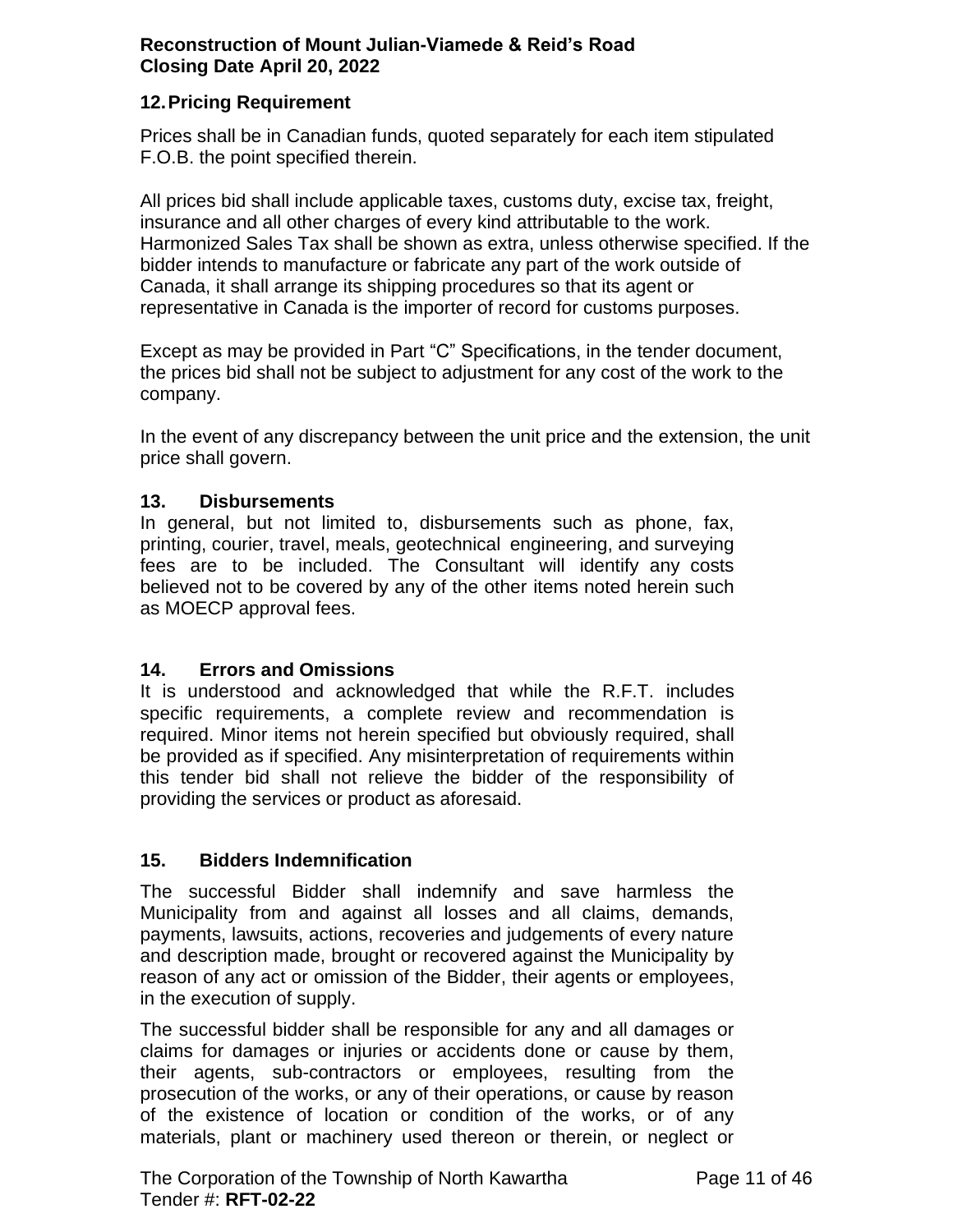### <span id="page-10-0"></span>**12.Pricing Requirement**

Prices shall be in Canadian funds, quoted separately for each item stipulated F.O.B. the point specified therein.

All prices bid shall include applicable taxes, customs duty, excise tax, freight, insurance and all other charges of every kind attributable to the work. Harmonized Sales Tax shall be shown as extra, unless otherwise specified. If the bidder intends to manufacture or fabricate any part of the work outside of Canada, it shall arrange its shipping procedures so that its agent or representative in Canada is the importer of record for customs purposes.

Except as may be provided in Part "C" Specifications, in the tender document, the prices bid shall not be subject to adjustment for any cost of the work to the company.

In the event of any discrepancy between the unit price and the extension, the unit price shall govern.

### **13. Disbursements**

In general, but not limited to, disbursements such as phone, fax, printing, courier, travel, meals, geotechnical engineering, and surveying fees are to be included. The Consultant will identify any costs believed not to be covered by any of the other items noted herein such as MOECP approval fees.

### **14. Errors and Omissions**

It is understood and acknowledged that while the R.F.T. includes specific requirements, a complete review and recommendation is required. Minor items not herein specified but obviously required, shall be provided as if specified. Any misinterpretation of requirements within this tender bid shall not relieve the bidder of the responsibility of providing the services or product as aforesaid.

#### **15. Bidders Indemnification**

The successful Bidder shall indemnify and save harmless the Municipality from and against all losses and all claims, demands, payments, lawsuits, actions, recoveries and judgements of every nature and description made, brought or recovered against the Municipality by reason of any act or omission of the Bidder, their agents or employees, in the execution of supply.

The successful bidder shall be responsible for any and all damages or claims for damages or injuries or accidents done or cause by them, their agents, sub-contractors or employees, resulting from the prosecution of the works, or any of their operations, or cause by reason of the existence of location or condition of the works, or of any materials, plant or machinery used thereon or therein, or neglect or

The Corporation of the Township of North Kawartha Page 11 of 46 Tender #: **RFT-02-22**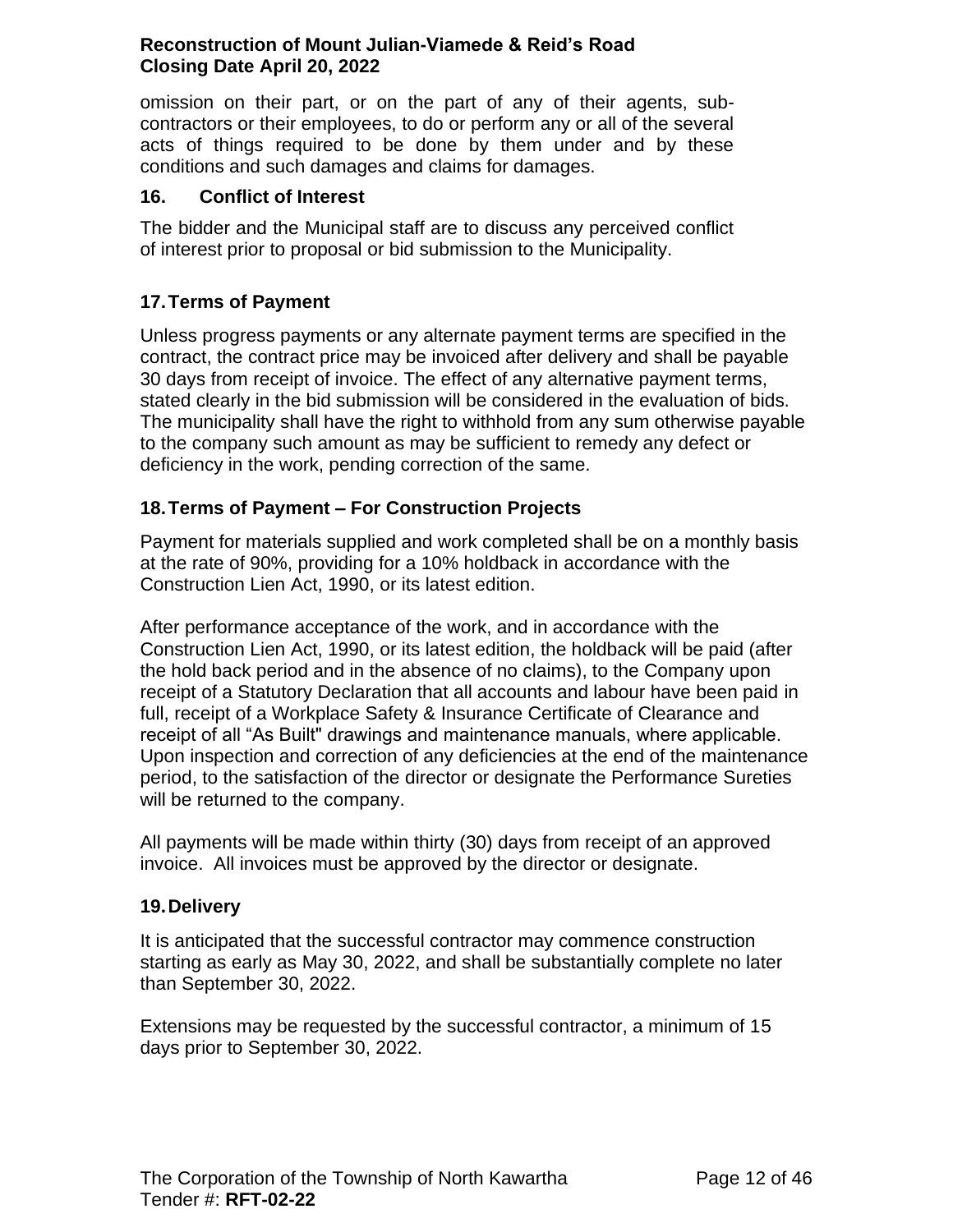omission on their part, or on the part of any of their agents, subcontractors or their employees, to do or perform any or all of the several acts of things required to be done by them under and by these conditions and such damages and claims for damages.

### **16. Conflict of Interest**

The bidder and the Municipal staff are to discuss any perceived conflict of interest prior to proposal or bid submission to the Municipality.

# <span id="page-11-0"></span>**17.Terms of Payment**

Unless progress payments or any alternate payment terms are specified in the contract, the contract price may be invoiced after delivery and shall be payable 30 days from receipt of invoice. The effect of any alternative payment terms, stated clearly in the bid submission will be considered in the evaluation of bids. The municipality shall have the right to withhold from any sum otherwise payable to the company such amount as may be sufficient to remedy any defect or deficiency in the work, pending correction of the same.

### <span id="page-11-1"></span>**18.Terms of Payment – For Construction Projects**

Payment for materials supplied and work completed shall be on a monthly basis at the rate of 90%, providing for a 10% holdback in accordance with the Construction Lien Act, 1990, or its latest edition.

After performance acceptance of the work, and in accordance with the Construction Lien Act, 1990, or its latest edition, the holdback will be paid (after the hold back period and in the absence of no claims), to the Company upon receipt of a Statutory Declaration that all accounts and labour have been paid in full, receipt of a Workplace Safety & Insurance Certificate of Clearance and receipt of all "As Built" drawings and maintenance manuals, where applicable. Upon inspection and correction of any deficiencies at the end of the maintenance period, to the satisfaction of the director or designate the Performance Sureties will be returned to the company.

All payments will be made within thirty (30) days from receipt of an approved invoice. All invoices must be approved by the director or designate.

#### <span id="page-11-2"></span>**19.Delivery**

It is anticipated that the successful contractor may commence construction starting as early as May 30, 2022, and shall be substantially complete no later than September 30, 2022.

Extensions may be requested by the successful contractor, a minimum of 15 days prior to September 30, 2022.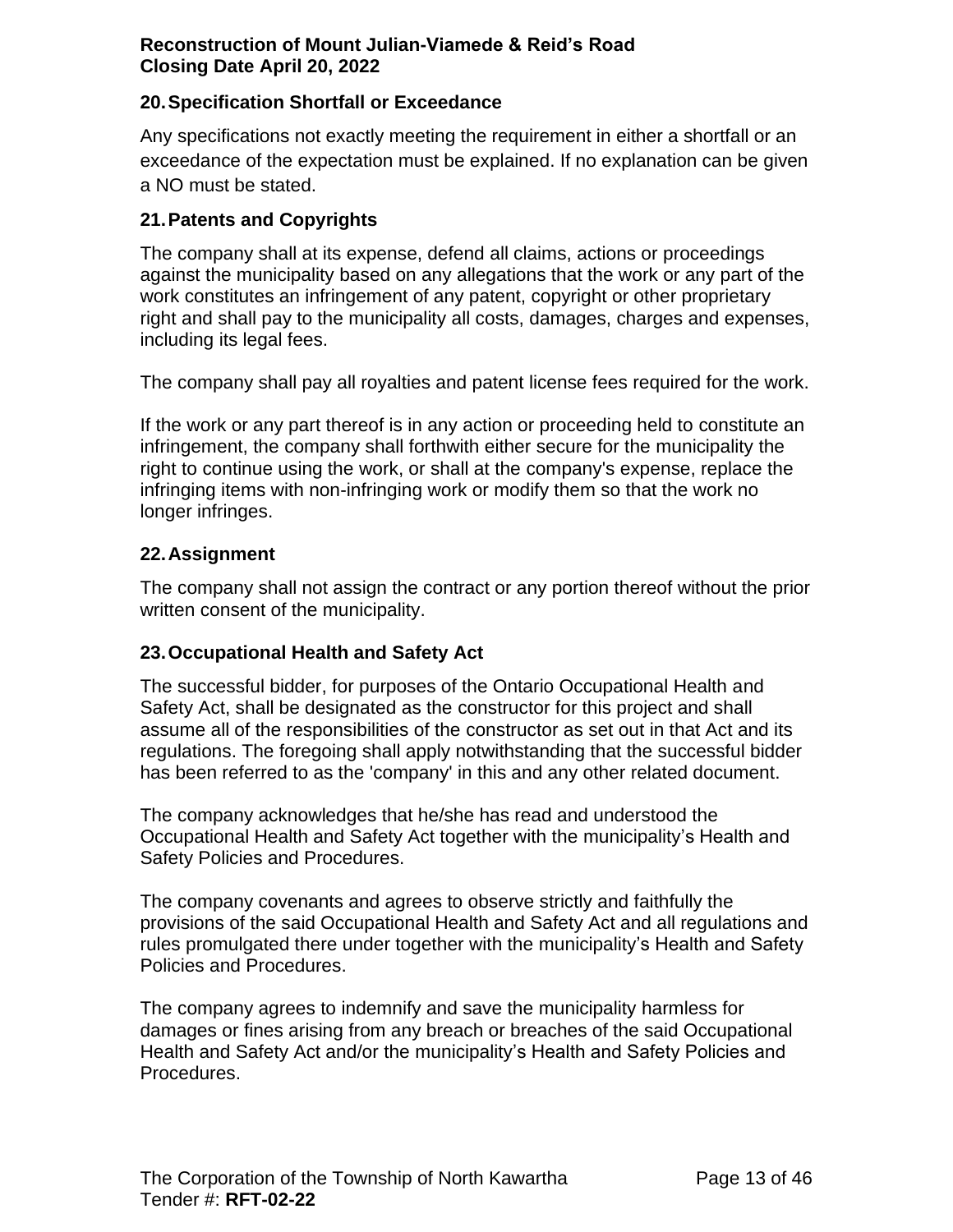### <span id="page-12-0"></span>**20.Specification Shortfall or Exceedance**

Any specifications not exactly meeting the requirement in either a shortfall or an exceedance of the expectation must be explained. If no explanation can be given a NO must be stated.

### <span id="page-12-1"></span>**21.Patents and Copyrights**

The company shall at its expense, defend all claims, actions or proceedings against the municipality based on any allegations that the work or any part of the work constitutes an infringement of any patent, copyright or other proprietary right and shall pay to the municipality all costs, damages, charges and expenses, including its legal fees.

The company shall pay all royalties and patent license fees required for the work.

If the work or any part thereof is in any action or proceeding held to constitute an infringement, the company shall forthwith either secure for the municipality the right to continue using the work, or shall at the company's expense, replace the infringing items with non-infringing work or modify them so that the work no longer infringes.

#### <span id="page-12-2"></span>**22.Assignment**

The company shall not assign the contract or any portion thereof without the prior written consent of the municipality.

#### <span id="page-12-3"></span>**23.Occupational Health and Safety Act**

The successful bidder, for purposes of the Ontario Occupational Health and Safety Act, shall be designated as the constructor for this project and shall assume all of the responsibilities of the constructor as set out in that Act and its regulations. The foregoing shall apply notwithstanding that the successful bidder has been referred to as the 'company' in this and any other related document.

The company acknowledges that he/she has read and understood the Occupational Health and Safety Act together with the municipality's Health and Safety Policies and Procedures.

The company covenants and agrees to observe strictly and faithfully the provisions of the said Occupational Health and Safety Act and all regulations and rules promulgated there under together with the municipality's Health and Safety Policies and Procedures.

The company agrees to indemnify and save the municipality harmless for damages or fines arising from any breach or breaches of the said Occupational Health and Safety Act and/or the municipality's Health and Safety Policies and Procedures.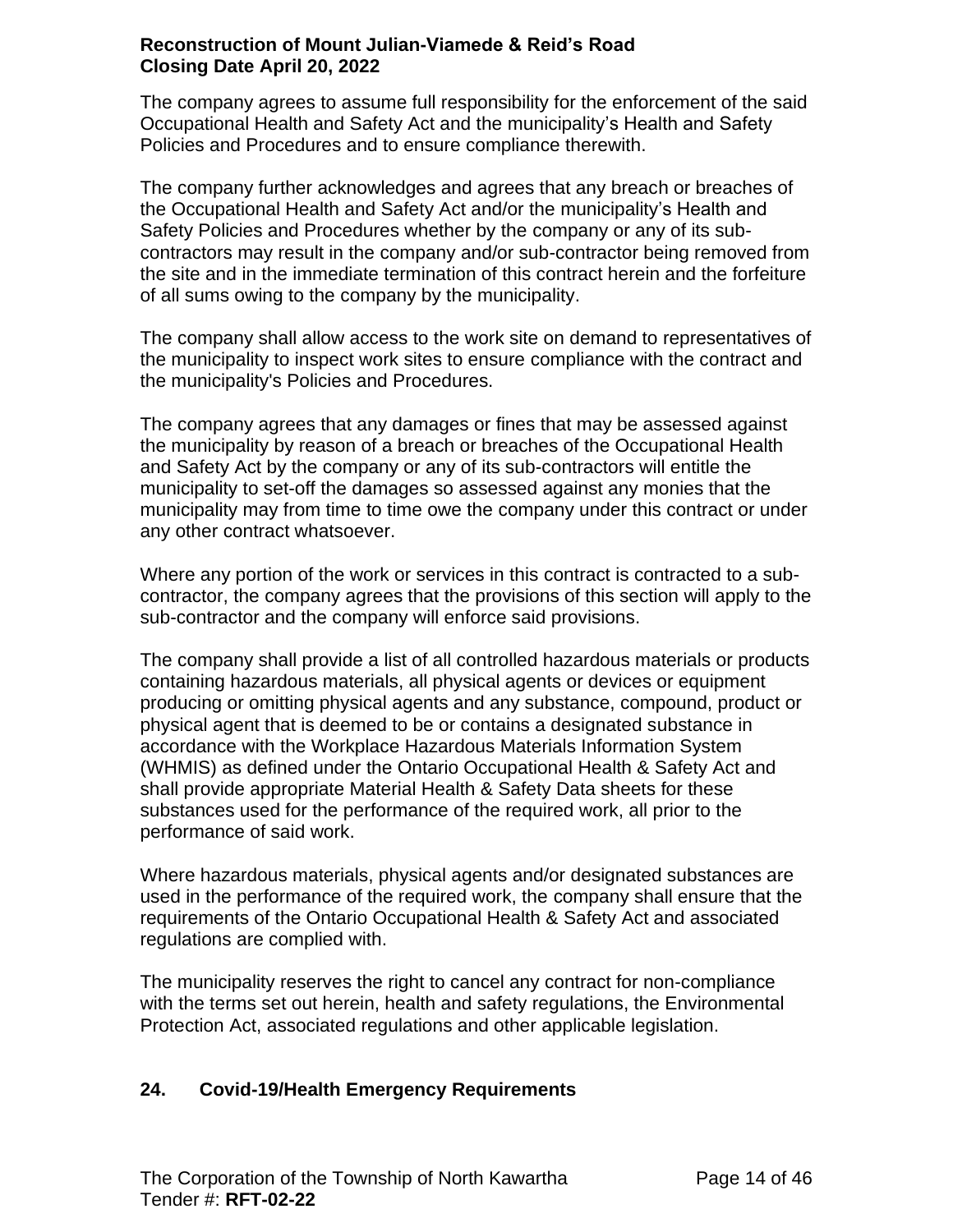The company agrees to assume full responsibility for the enforcement of the said Occupational Health and Safety Act and the municipality's Health and Safety Policies and Procedures and to ensure compliance therewith.

The company further acknowledges and agrees that any breach or breaches of the Occupational Health and Safety Act and/or the municipality's Health and Safety Policies and Procedures whether by the company or any of its subcontractors may result in the company and/or sub-contractor being removed from the site and in the immediate termination of this contract herein and the forfeiture of all sums owing to the company by the municipality.

The company shall allow access to the work site on demand to representatives of the municipality to inspect work sites to ensure compliance with the contract and the municipality's Policies and Procedures.

The company agrees that any damages or fines that may be assessed against the municipality by reason of a breach or breaches of the Occupational Health and Safety Act by the company or any of its sub-contractors will entitle the municipality to set-off the damages so assessed against any monies that the municipality may from time to time owe the company under this contract or under any other contract whatsoever.

Where any portion of the work or services in this contract is contracted to a subcontractor, the company agrees that the provisions of this section will apply to the sub-contractor and the company will enforce said provisions.

The company shall provide a list of all controlled hazardous materials or products containing hazardous materials, all physical agents or devices or equipment producing or omitting physical agents and any substance, compound, product or physical agent that is deemed to be or contains a designated substance in accordance with the Workplace Hazardous Materials Information System (WHMIS) as defined under the Ontario Occupational Health & Safety Act and shall provide appropriate Material Health & Safety Data sheets for these substances used for the performance of the required work, all prior to the performance of said work.

Where hazardous materials, physical agents and/or designated substances are used in the performance of the required work, the company shall ensure that the requirements of the Ontario Occupational Health & Safety Act and associated regulations are complied with.

The municipality reserves the right to cancel any contract for non-compliance with the terms set out herein, health and safety regulations, the Environmental Protection Act, associated regulations and other applicable legislation.

# **24. Covid-19/Health Emergency Requirements**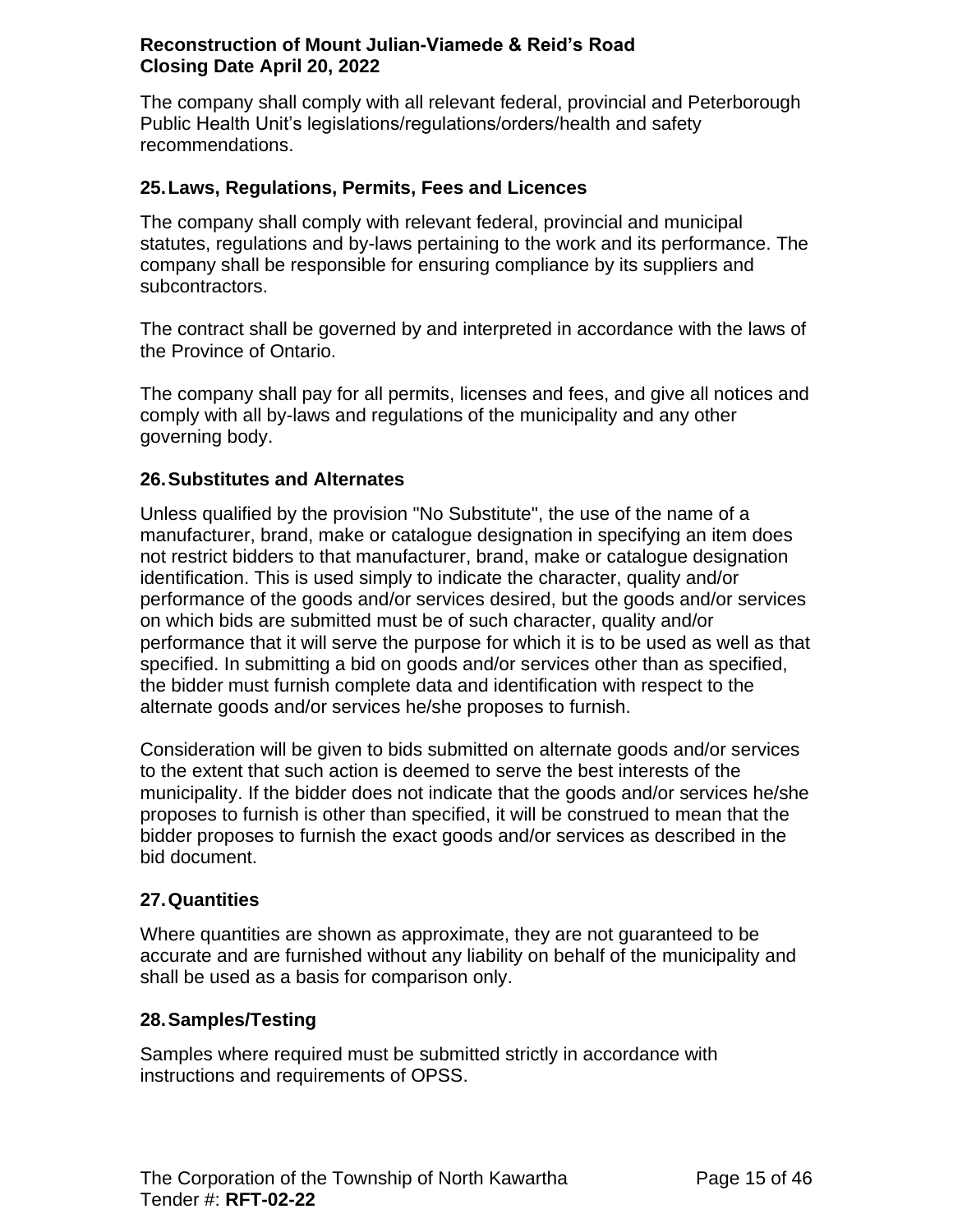The company shall comply with all relevant federal, provincial and Peterborough Public Health Unit's legislations/regulations/orders/health and safety recommendations.

### <span id="page-14-0"></span>**25.Laws, Regulations, Permits, Fees and Licences**

The company shall comply with relevant federal, provincial and municipal statutes, regulations and by-laws pertaining to the work and its performance. The company shall be responsible for ensuring compliance by its suppliers and subcontractors.

The contract shall be governed by and interpreted in accordance with the laws of the Province of Ontario.

The company shall pay for all permits, licenses and fees, and give all notices and comply with all by-laws and regulations of the municipality and any other governing body.

### <span id="page-14-1"></span>**26.Substitutes and Alternates**

Unless qualified by the provision "No Substitute", the use of the name of a manufacturer, brand, make or catalogue designation in specifying an item does not restrict bidders to that manufacturer, brand, make or catalogue designation identification. This is used simply to indicate the character, quality and/or performance of the goods and/or services desired, but the goods and/or services on which bids are submitted must be of such character, quality and/or performance that it will serve the purpose for which it is to be used as well as that specified. In submitting a bid on goods and/or services other than as specified, the bidder must furnish complete data and identification with respect to the alternate goods and/or services he/she proposes to furnish.

Consideration will be given to bids submitted on alternate goods and/or services to the extent that such action is deemed to serve the best interests of the municipality. If the bidder does not indicate that the goods and/or services he/she proposes to furnish is other than specified, it will be construed to mean that the bidder proposes to furnish the exact goods and/or services as described in the bid document.

#### <span id="page-14-2"></span>**27.Quantities**

Where quantities are shown as approximate, they are not guaranteed to be accurate and are furnished without any liability on behalf of the municipality and shall be used as a basis for comparison only.

#### <span id="page-14-3"></span>**28.Samples/Testing**

Samples where required must be submitted strictly in accordance with instructions and requirements of OPSS.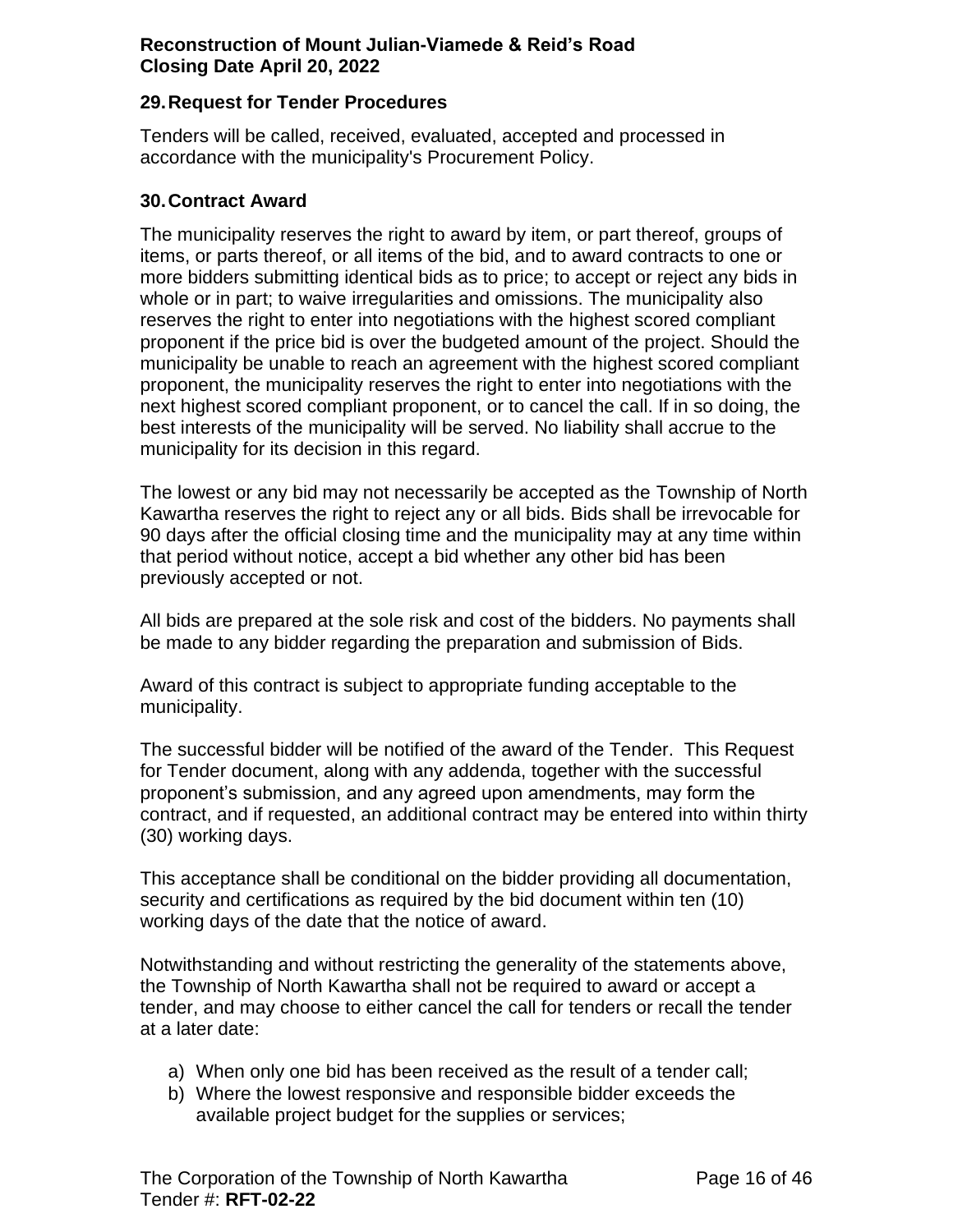#### <span id="page-15-0"></span>**29.Request for Tender Procedures**

Tenders will be called, received, evaluated, accepted and processed in accordance with the municipality's Procurement Policy.

#### <span id="page-15-1"></span>**30.Contract Award**

The municipality reserves the right to award by item, or part thereof, groups of items, or parts thereof, or all items of the bid, and to award contracts to one or more bidders submitting identical bids as to price; to accept or reject any bids in whole or in part; to waive irregularities and omissions. The municipality also reserves the right to enter into negotiations with the highest scored compliant proponent if the price bid is over the budgeted amount of the project. Should the municipality be unable to reach an agreement with the highest scored compliant proponent, the municipality reserves the right to enter into negotiations with the next highest scored compliant proponent, or to cancel the call. If in so doing, the best interests of the municipality will be served. No liability shall accrue to the municipality for its decision in this regard.

The lowest or any bid may not necessarily be accepted as the Township of North Kawartha reserves the right to reject any or all bids. Bids shall be irrevocable for 90 days after the official closing time and the municipality may at any time within that period without notice, accept a bid whether any other bid has been previously accepted or not.

All bids are prepared at the sole risk and cost of the bidders. No payments shall be made to any bidder regarding the preparation and submission of Bids.

Award of this contract is subject to appropriate funding acceptable to the municipality.

The successful bidder will be notified of the award of the Tender. This Request for Tender document, along with any addenda, together with the successful proponent's submission, and any agreed upon amendments, may form the contract, and if requested, an additional contract may be entered into within thirty (30) working days.

This acceptance shall be conditional on the bidder providing all documentation, security and certifications as required by the bid document within ten (10) working days of the date that the notice of award.

Notwithstanding and without restricting the generality of the statements above, the Township of North Kawartha shall not be required to award or accept a tender, and may choose to either cancel the call for tenders or recall the tender at a later date:

- a) When only one bid has been received as the result of a tender call;
- b) Where the lowest responsive and responsible bidder exceeds the available project budget for the supplies or services;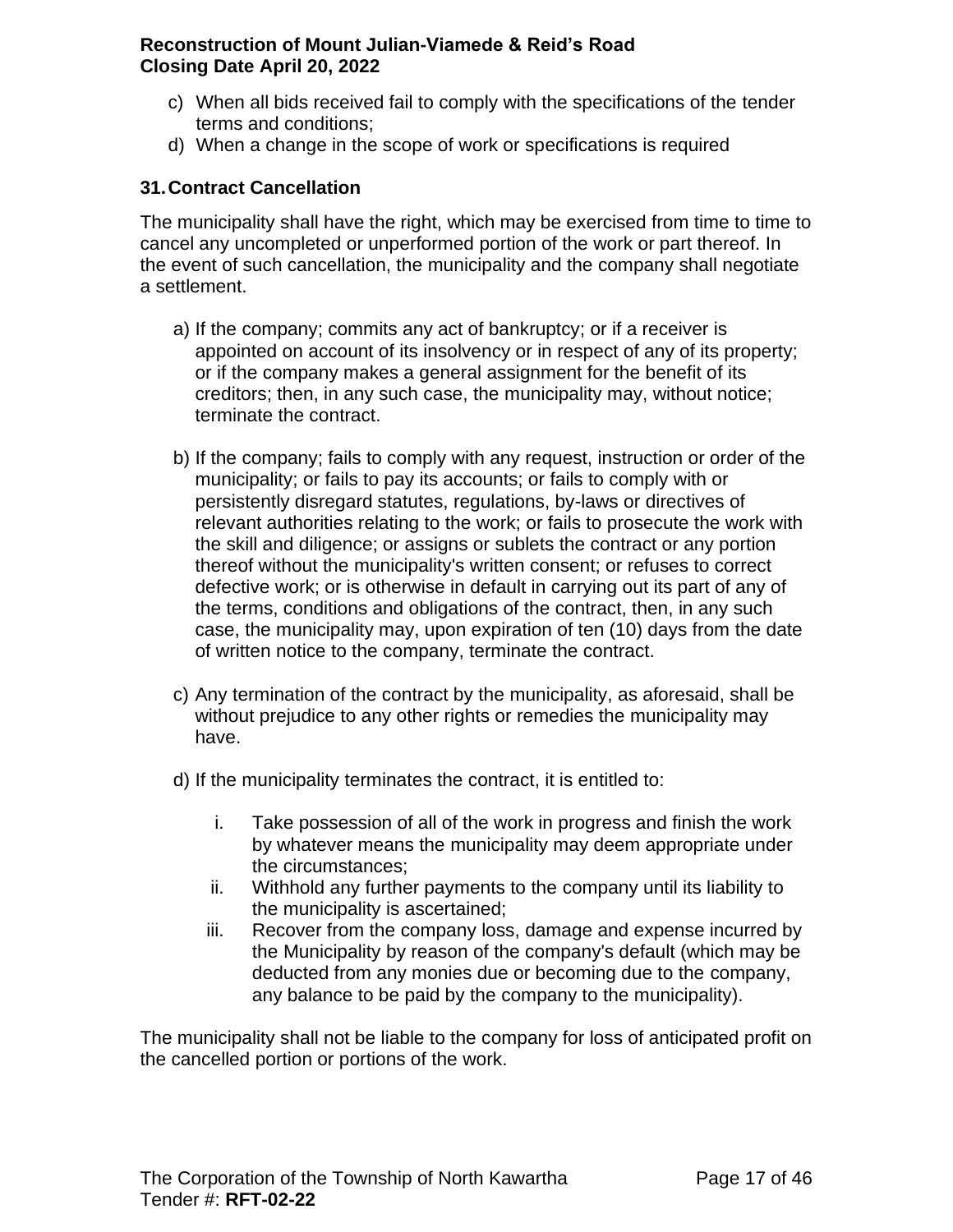- c) When all bids received fail to comply with the specifications of the tender terms and conditions;
- d) When a change in the scope of work or specifications is required

# <span id="page-16-0"></span>**31.Contract Cancellation**

The municipality shall have the right, which may be exercised from time to time to cancel any uncompleted or unperformed portion of the work or part thereof. In the event of such cancellation, the municipality and the company shall negotiate a settlement.

- a) If the company; commits any act of bankruptcy; or if a receiver is appointed on account of its insolvency or in respect of any of its property; or if the company makes a general assignment for the benefit of its creditors; then, in any such case, the municipality may, without notice; terminate the contract.
- b) If the company; fails to comply with any request, instruction or order of the municipality; or fails to pay its accounts; or fails to comply with or persistently disregard statutes, regulations, by-laws or directives of relevant authorities relating to the work; or fails to prosecute the work with the skill and diligence; or assigns or sublets the contract or any portion thereof without the municipality's written consent; or refuses to correct defective work; or is otherwise in default in carrying out its part of any of the terms, conditions and obligations of the contract, then, in any such case, the municipality may, upon expiration of ten (10) days from the date of written notice to the company, terminate the contract.
- c) Any termination of the contract by the municipality, as aforesaid, shall be without prejudice to any other rights or remedies the municipality may have.
- d) If the municipality terminates the contract, it is entitled to:
	- i. Take possession of all of the work in progress and finish the work by whatever means the municipality may deem appropriate under the circumstances;
	- ii. Withhold any further payments to the company until its liability to the municipality is ascertained;
	- iii. Recover from the company loss, damage and expense incurred by the Municipality by reason of the company's default (which may be deducted from any monies due or becoming due to the company, any balance to be paid by the company to the municipality).

The municipality shall not be liable to the company for loss of anticipated profit on the cancelled portion or portions of the work.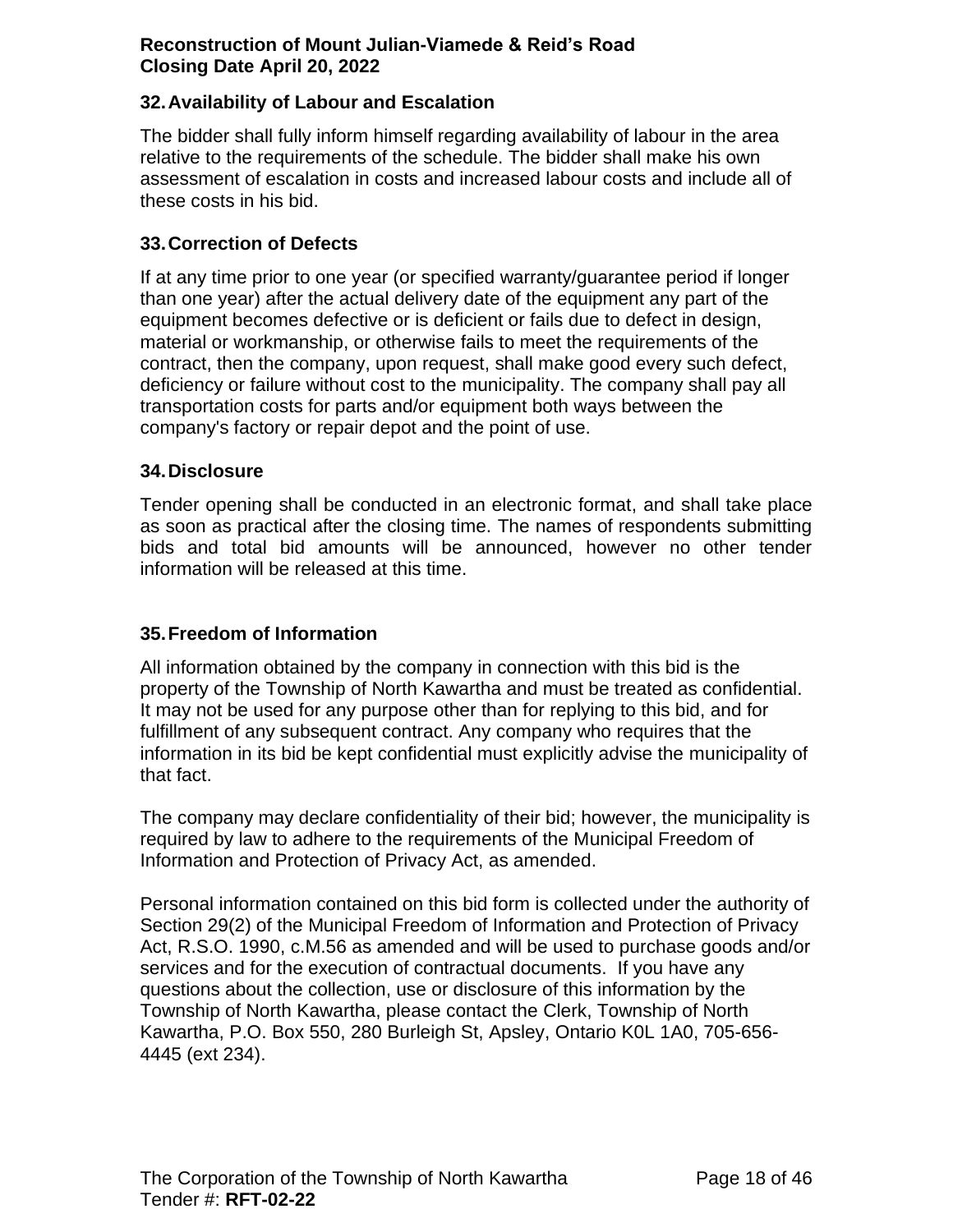### <span id="page-17-0"></span>**32.Availability of Labour and Escalation**

The bidder shall fully inform himself regarding availability of labour in the area relative to the requirements of the schedule. The bidder shall make his own assessment of escalation in costs and increased labour costs and include all of these costs in his bid.

#### <span id="page-17-1"></span>**33.Correction of Defects**

If at any time prior to one year (or specified warranty/guarantee period if longer than one year) after the actual delivery date of the equipment any part of the equipment becomes defective or is deficient or fails due to defect in design, material or workmanship, or otherwise fails to meet the requirements of the contract, then the company, upon request, shall make good every such defect, deficiency or failure without cost to the municipality. The company shall pay all transportation costs for parts and/or equipment both ways between the company's factory or repair depot and the point of use.

#### <span id="page-17-2"></span>**34.Disclosure**

Tender opening shall be conducted in an electronic format, and shall take place as soon as practical after the closing time. The names of respondents submitting bids and total bid amounts will be announced, however no other tender information will be released at this time.

#### <span id="page-17-3"></span>**35.Freedom of Information**

All information obtained by the company in connection with this bid is the property of the Township of North Kawartha and must be treated as confidential. It may not be used for any purpose other than for replying to this bid, and for fulfillment of any subsequent contract. Any company who requires that the information in its bid be kept confidential must explicitly advise the municipality of that fact.

The company may declare confidentiality of their bid; however, the municipality is required by law to adhere to the requirements of the Municipal Freedom of Information and Protection of Privacy Act, as amended.

Personal information contained on this bid form is collected under the authority of Section 29(2) of the Municipal Freedom of Information and Protection of Privacy Act, R.S.O. 1990, c.M.56 as amended and will be used to purchase goods and/or services and for the execution of contractual documents. If you have any questions about the collection, use or disclosure of this information by the Township of North Kawartha, please contact the Clerk, Township of North Kawartha, P.O. Box 550, 280 Burleigh St, Apsley, Ontario K0L 1A0, 705-656- 4445 (ext 234).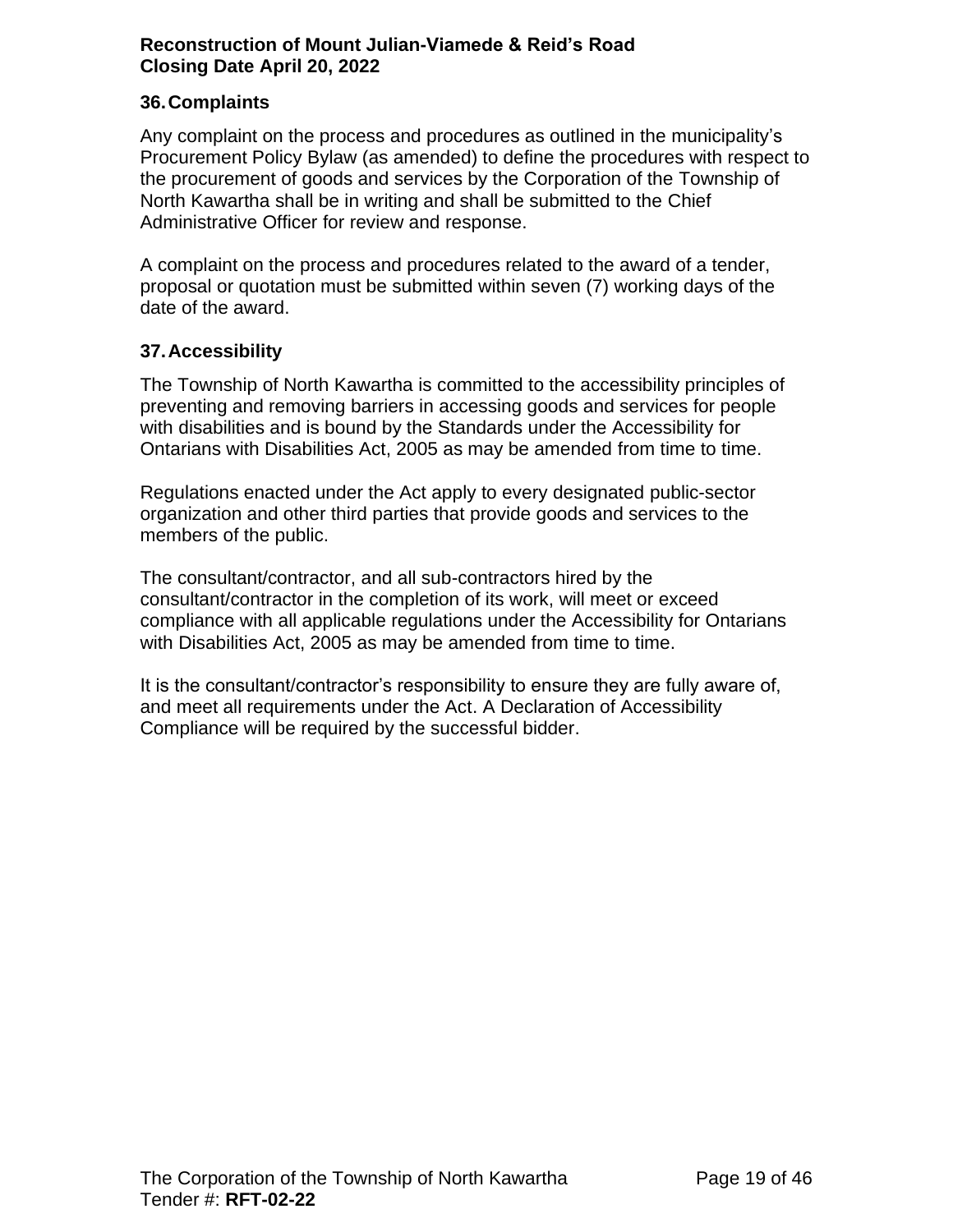### <span id="page-18-0"></span>**36.Complaints**

Any complaint on the process and procedures as outlined in the municipality's Procurement Policy Bylaw (as amended) to define the procedures with respect to the procurement of goods and services by the Corporation of the Township of North Kawartha shall be in writing and shall be submitted to the Chief Administrative Officer for review and response.

A complaint on the process and procedures related to the award of a tender, proposal or quotation must be submitted within seven (7) working days of the date of the award.

#### <span id="page-18-1"></span>**37.Accessibility**

The Township of North Kawartha is committed to the accessibility principles of preventing and removing barriers in accessing goods and services for people with disabilities and is bound by the Standards under the Accessibility for Ontarians with Disabilities Act, 2005 as may be amended from time to time.

Regulations enacted under the Act apply to every designated public-sector organization and other third parties that provide goods and services to the members of the public.

The consultant/contractor, and all sub-contractors hired by the consultant/contractor in the completion of its work, will meet or exceed compliance with all applicable regulations under the Accessibility for Ontarians with Disabilities Act, 2005 as may be amended from time to time.

It is the consultant/contractor's responsibility to ensure they are fully aware of, and meet all requirements under the Act. A Declaration of Accessibility Compliance will be required by the successful bidder.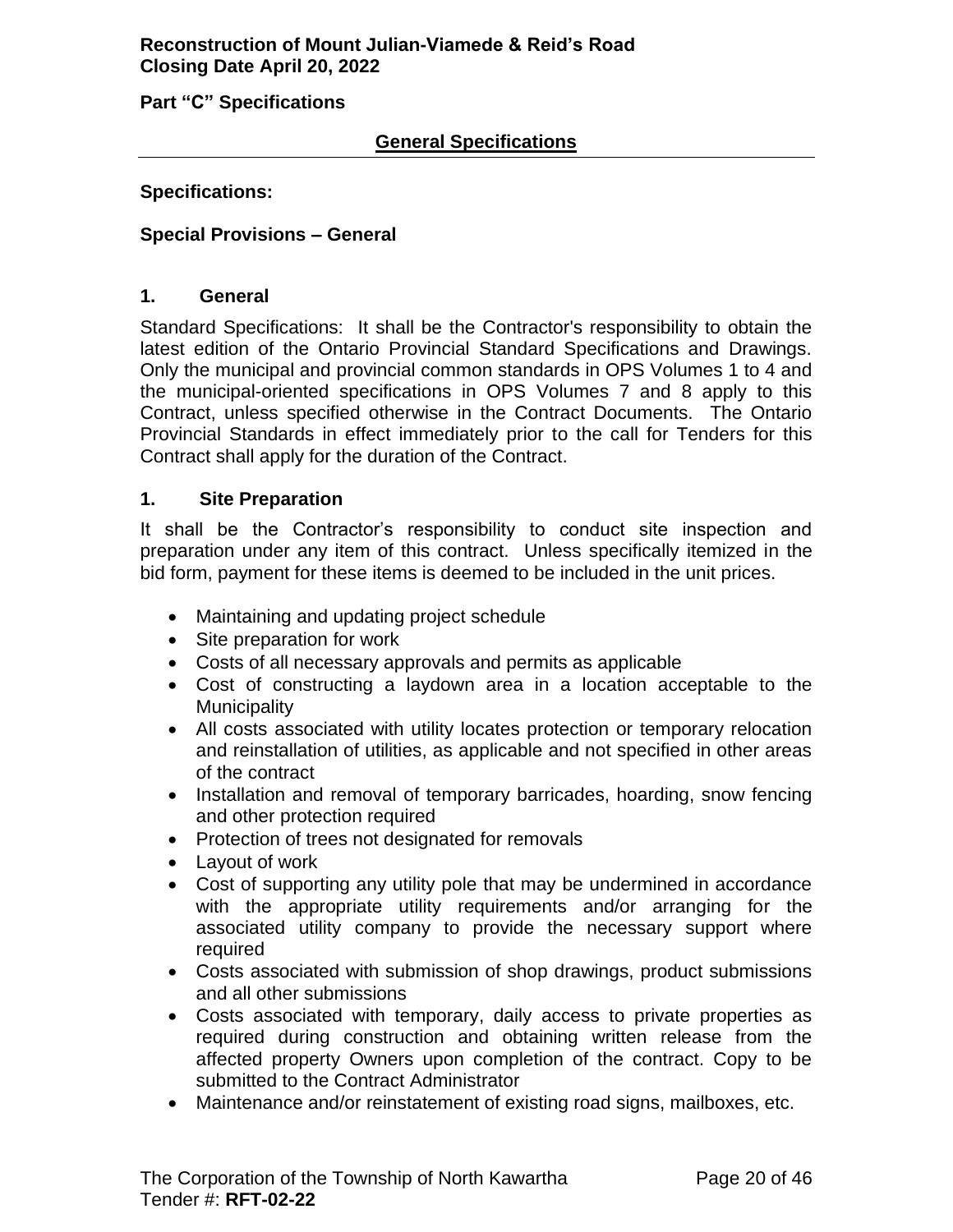<span id="page-19-0"></span>**Part "C" Specifications**

#### **General Specifications**

#### **Specifications:**

#### <span id="page-19-1"></span>**Special Provisions – General**

#### <span id="page-19-2"></span>**1. General**

Standard Specifications: It shall be the Contractor's responsibility to obtain the latest edition of the Ontario Provincial Standard Specifications and Drawings. Only the municipal and provincial common standards in OPS Volumes 1 to 4 and the municipal-oriented specifications in OPS Volumes 7 and 8 apply to this Contract, unless specified otherwise in the Contract Documents. The Ontario Provincial Standards in effect immediately prior to the call for Tenders for this Contract shall apply for the duration of the Contract.

#### <span id="page-19-3"></span>**1. Site Preparation**

It shall be the Contractor's responsibility to conduct site inspection and preparation under any item of this contract. Unless specifically itemized in the bid form, payment for these items is deemed to be included in the unit prices.

- Maintaining and updating project schedule
- Site preparation for work
- Costs of all necessary approvals and permits as applicable
- Cost of constructing a laydown area in a location acceptable to the **Municipality**
- All costs associated with utility locates protection or temporary relocation and reinstallation of utilities, as applicable and not specified in other areas of the contract
- Installation and removal of temporary barricades, hoarding, snow fencing and other protection required
- Protection of trees not designated for removals
- Layout of work
- Cost of supporting any utility pole that may be undermined in accordance with the appropriate utility requirements and/or arranging for the associated utility company to provide the necessary support where required
- Costs associated with submission of shop drawings, product submissions and all other submissions
- Costs associated with temporary, daily access to private properties as required during construction and obtaining written release from the affected property Owners upon completion of the contract. Copy to be submitted to the Contract Administrator
- Maintenance and/or reinstatement of existing road signs, mailboxes, etc.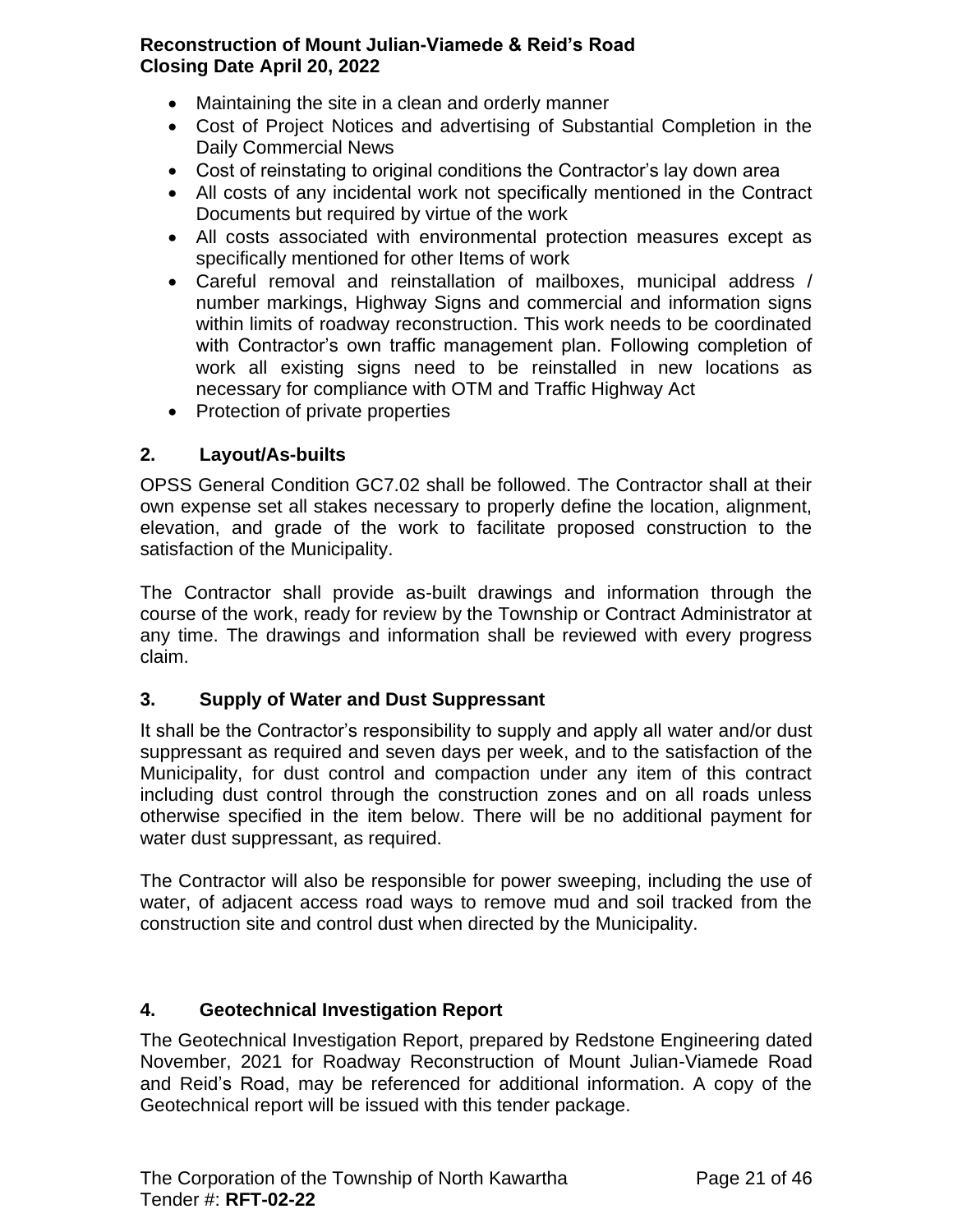- Maintaining the site in a clean and orderly manner
- Cost of Project Notices and advertising of Substantial Completion in the Daily Commercial News
- Cost of reinstating to original conditions the Contractor's lay down area
- All costs of any incidental work not specifically mentioned in the Contract Documents but required by virtue of the work
- All costs associated with environmental protection measures except as specifically mentioned for other Items of work
- Careful removal and reinstallation of mailboxes, municipal address / number markings, Highway Signs and commercial and information signs within limits of roadway reconstruction. This work needs to be coordinated with Contractor's own traffic management plan. Following completion of work all existing signs need to be reinstalled in new locations as necessary for compliance with OTM and Traffic Highway Act
- Protection of private properties

### <span id="page-20-0"></span>**2. Layout/As-builts**

OPSS General Condition GC7.02 shall be followed. The Contractor shall at their own expense set all stakes necessary to properly define the location, alignment, elevation, and grade of the work to facilitate proposed construction to the satisfaction of the Municipality.

The Contractor shall provide as-built drawings and information through the course of the work, ready for review by the Township or Contract Administrator at any time. The drawings and information shall be reviewed with every progress claim.

### <span id="page-20-1"></span>**3. Supply of Water and Dust Suppressant**

It shall be the Contractor's responsibility to supply and apply all water and/or dust suppressant as required and seven days per week, and to the satisfaction of the Municipality, for dust control and compaction under any item of this contract including dust control through the construction zones and on all roads unless otherwise specified in the item below. There will be no additional payment for water dust suppressant, as required.

The Contractor will also be responsible for power sweeping, including the use of water, of adjacent access road ways to remove mud and soil tracked from the construction site and control dust when directed by the Municipality.

### <span id="page-20-2"></span>**4. Geotechnical Investigation Report**

The Geotechnical Investigation Report, prepared by Redstone Engineering dated November, 2021 for Roadway Reconstruction of Mount Julian-Viamede Road and Reid's Road, may be referenced for additional information. A copy of the Geotechnical report will be issued with this tender package.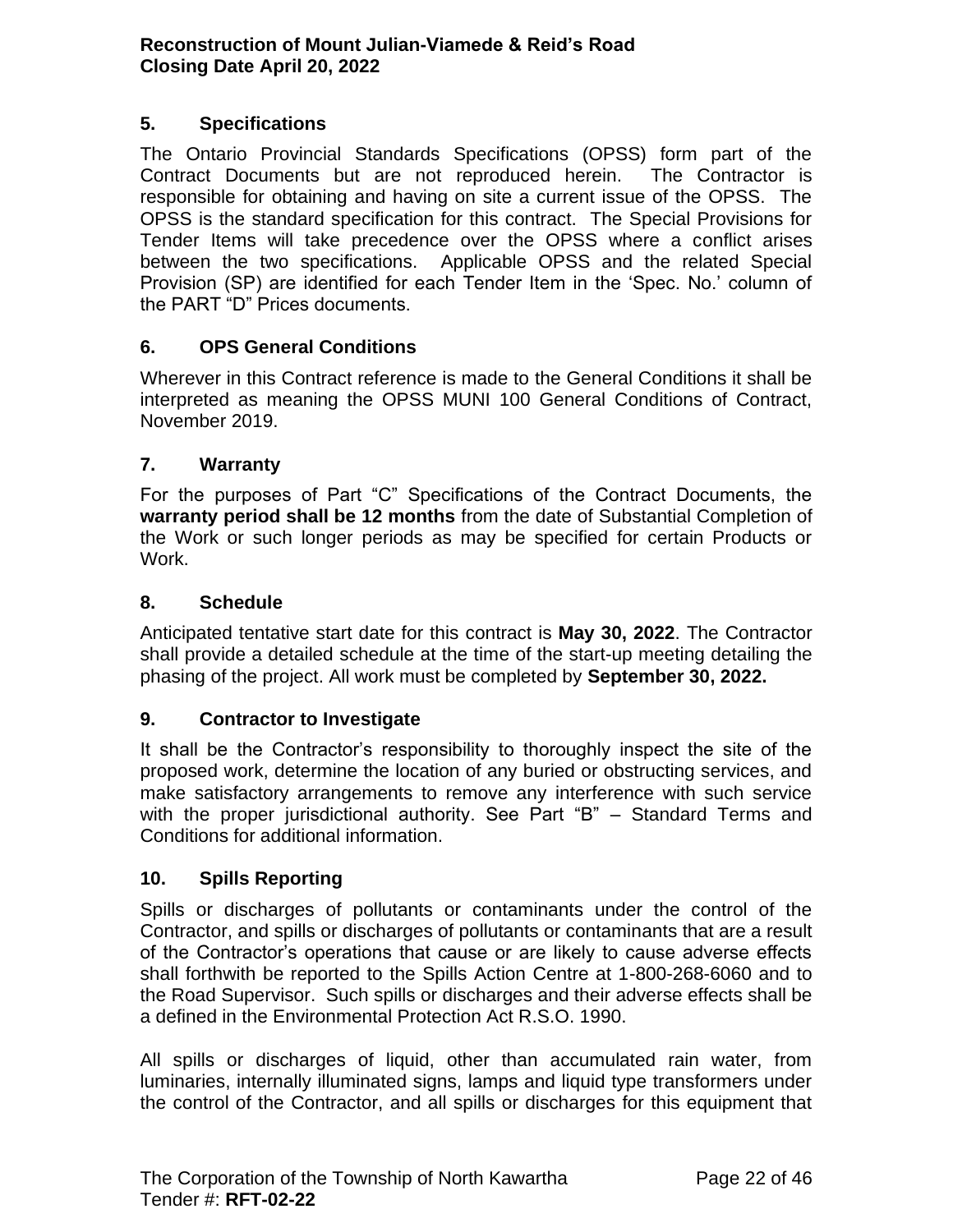### <span id="page-21-0"></span>**5. Specifications**

The Ontario Provincial Standards Specifications (OPSS) form part of the Contract Documents but are not reproduced herein. The Contractor is responsible for obtaining and having on site a current issue of the OPSS. The OPSS is the standard specification for this contract. The Special Provisions for Tender Items will take precedence over the OPSS where a conflict arises between the two specifications. Applicable OPSS and the related Special Provision (SP) are identified for each Tender Item in the 'Spec. No.' column of the PART "D" Prices documents.

### <span id="page-21-1"></span>**6. OPS General Conditions**

Wherever in this Contract reference is made to the General Conditions it shall be interpreted as meaning the OPSS MUNI 100 General Conditions of Contract, November 2019.

### <span id="page-21-2"></span>**7. Warranty**

For the purposes of Part "C" Specifications of the Contract Documents, the **warranty period shall be 12 months** from the date of Substantial Completion of the Work or such longer periods as may be specified for certain Products or Work.

### <span id="page-21-3"></span>**8. Schedule**

Anticipated tentative start date for this contract is **May 30, 2022**. The Contractor shall provide a detailed schedule at the time of the start-up meeting detailing the phasing of the project. All work must be completed by **September 30, 2022.**

### <span id="page-21-4"></span>**9. Contractor to Investigate**

It shall be the Contractor's responsibility to thoroughly inspect the site of the proposed work, determine the location of any buried or obstructing services, and make satisfactory arrangements to remove any interference with such service with the proper jurisdictional authority. See Part "B" – Standard Terms and Conditions for additional information.

#### <span id="page-21-5"></span>**10. Spills Reporting**

Spills or discharges of pollutants or contaminants under the control of the Contractor, and spills or discharges of pollutants or contaminants that are a result of the Contractor's operations that cause or are likely to cause adverse effects shall forthwith be reported to the Spills Action Centre at 1-800-268-6060 and to the Road Supervisor. Such spills or discharges and their adverse effects shall be a defined in the Environmental Protection Act R.S.O. 1990.

All spills or discharges of liquid, other than accumulated rain water, from luminaries, internally illuminated signs, lamps and liquid type transformers under the control of the Contractor, and all spills or discharges for this equipment that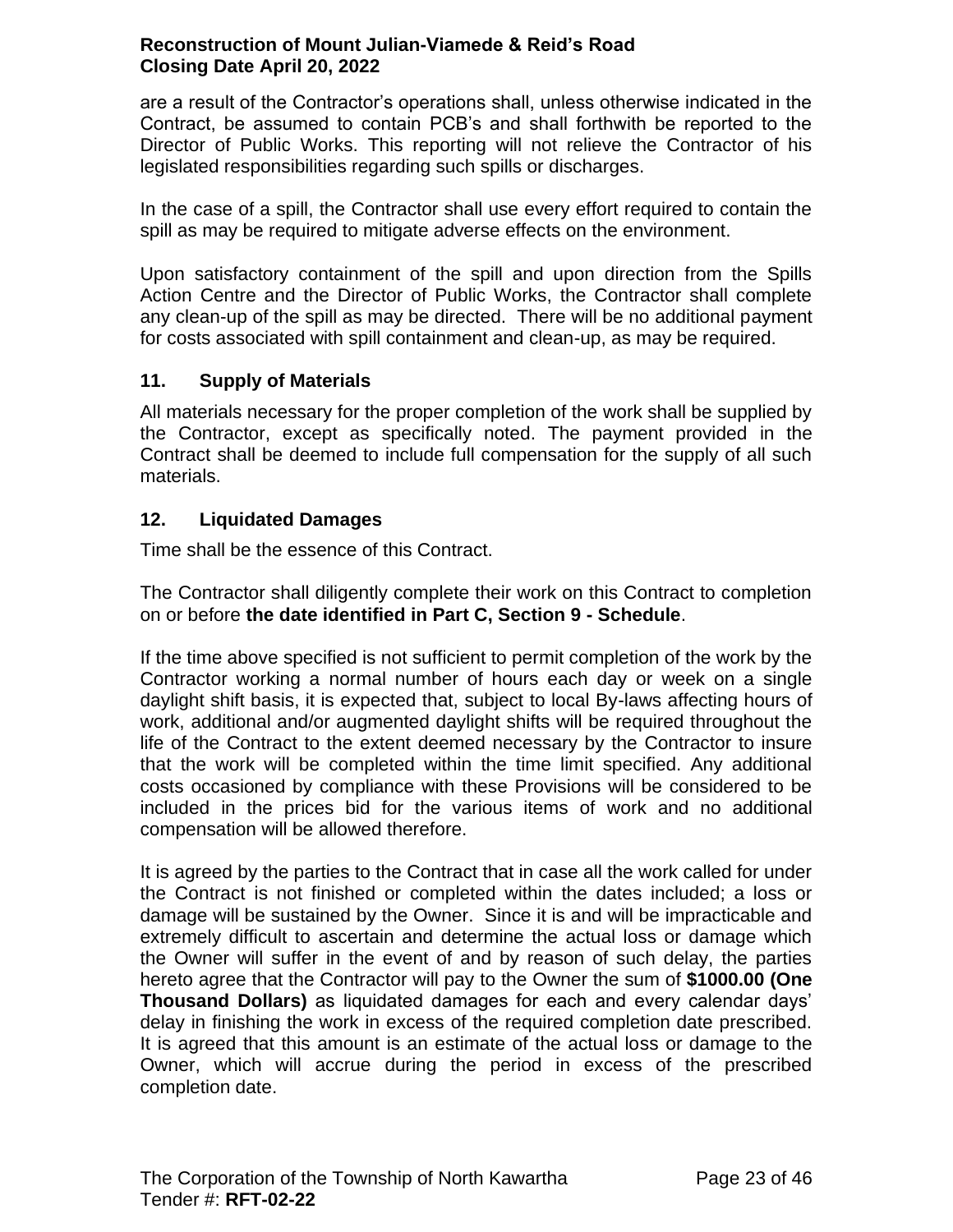are a result of the Contractor's operations shall, unless otherwise indicated in the Contract, be assumed to contain PCB's and shall forthwith be reported to the Director of Public Works. This reporting will not relieve the Contractor of his legislated responsibilities regarding such spills or discharges.

In the case of a spill, the Contractor shall use every effort required to contain the spill as may be required to mitigate adverse effects on the environment.

Upon satisfactory containment of the spill and upon direction from the Spills Action Centre and the Director of Public Works, the Contractor shall complete any clean-up of the spill as may be directed. There will be no additional payment for costs associated with spill containment and clean-up, as may be required.

# <span id="page-22-0"></span>**11. Supply of Materials**

All materials necessary for the proper completion of the work shall be supplied by the Contractor, except as specifically noted. The payment provided in the Contract shall be deemed to include full compensation for the supply of all such materials.

# <span id="page-22-1"></span>**12. Liquidated Damages**

Time shall be the essence of this Contract.

The Contractor shall diligently complete their work on this Contract to completion on or before **the date identified in Part C, Section 9 - Schedule**.

If the time above specified is not sufficient to permit completion of the work by the Contractor working a normal number of hours each day or week on a single daylight shift basis, it is expected that, subject to local By-laws affecting hours of work, additional and/or augmented daylight shifts will be required throughout the life of the Contract to the extent deemed necessary by the Contractor to insure that the work will be completed within the time limit specified. Any additional costs occasioned by compliance with these Provisions will be considered to be included in the prices bid for the various items of work and no additional compensation will be allowed therefore.

It is agreed by the parties to the Contract that in case all the work called for under the Contract is not finished or completed within the dates included; a loss or damage will be sustained by the Owner. Since it is and will be impracticable and extremely difficult to ascertain and determine the actual loss or damage which the Owner will suffer in the event of and by reason of such delay, the parties hereto agree that the Contractor will pay to the Owner the sum of **\$1000.00 (One Thousand Dollars)** as liquidated damages for each and every calendar days' delay in finishing the work in excess of the required completion date prescribed. It is agreed that this amount is an estimate of the actual loss or damage to the Owner, which will accrue during the period in excess of the prescribed completion date.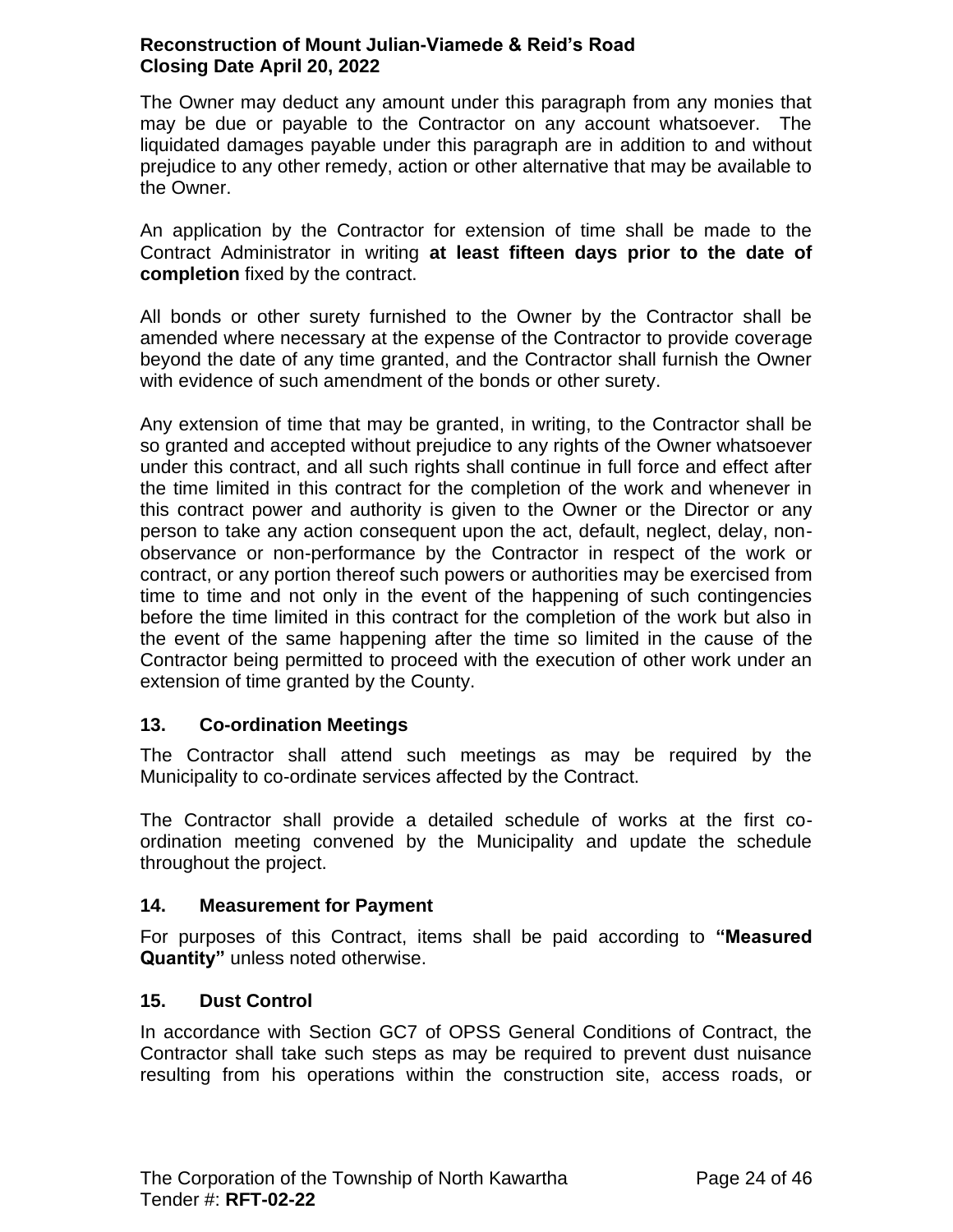The Owner may deduct any amount under this paragraph from any monies that may be due or payable to the Contractor on any account whatsoever. The liquidated damages payable under this paragraph are in addition to and without prejudice to any other remedy, action or other alternative that may be available to the Owner.

An application by the Contractor for extension of time shall be made to the Contract Administrator in writing **at least fifteen days prior to the date of completion** fixed by the contract.

All bonds or other surety furnished to the Owner by the Contractor shall be amended where necessary at the expense of the Contractor to provide coverage beyond the date of any time granted, and the Contractor shall furnish the Owner with evidence of such amendment of the bonds or other surety.

Any extension of time that may be granted, in writing, to the Contractor shall be so granted and accepted without prejudice to any rights of the Owner whatsoever under this contract, and all such rights shall continue in full force and effect after the time limited in this contract for the completion of the work and whenever in this contract power and authority is given to the Owner or the Director or any person to take any action consequent upon the act, default, neglect, delay, nonobservance or non-performance by the Contractor in respect of the work or contract, or any portion thereof such powers or authorities may be exercised from time to time and not only in the event of the happening of such contingencies before the time limited in this contract for the completion of the work but also in the event of the same happening after the time so limited in the cause of the Contractor being permitted to proceed with the execution of other work under an extension of time granted by the County.

### <span id="page-23-0"></span>**13. Co-ordination Meetings**

The Contractor shall attend such meetings as may be required by the Municipality to co-ordinate services affected by the Contract.

The Contractor shall provide a detailed schedule of works at the first coordination meeting convened by the Municipality and update the schedule throughout the project.

# <span id="page-23-1"></span>**14. Measurement for Payment**

For purposes of this Contract, items shall be paid according to **"Measured Quantity"** unless noted otherwise.

# <span id="page-23-2"></span>**15. Dust Control**

In accordance with Section GC7 of OPSS General Conditions of Contract, the Contractor shall take such steps as may be required to prevent dust nuisance resulting from his operations within the construction site, access roads, or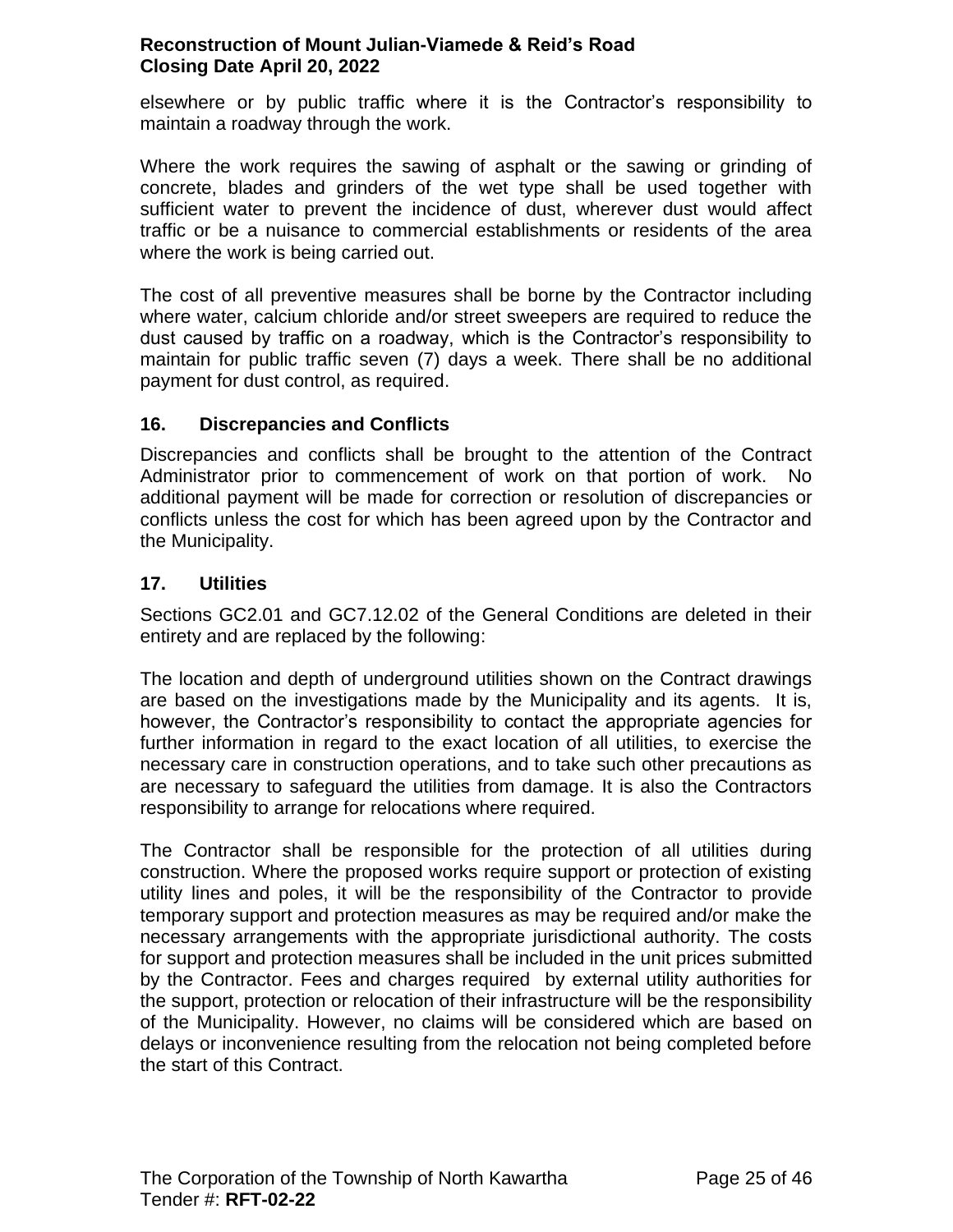elsewhere or by public traffic where it is the Contractor's responsibility to maintain a roadway through the work.

Where the work requires the sawing of asphalt or the sawing or grinding of concrete, blades and grinders of the wet type shall be used together with sufficient water to prevent the incidence of dust, wherever dust would affect traffic or be a nuisance to commercial establishments or residents of the area where the work is being carried out.

The cost of all preventive measures shall be borne by the Contractor including where water, calcium chloride and/or street sweepers are required to reduce the dust caused by traffic on a roadway, which is the Contractor's responsibility to maintain for public traffic seven (7) days a week. There shall be no additional payment for dust control, as required.

### <span id="page-24-0"></span>**16. Discrepancies and Conflicts**

Discrepancies and conflicts shall be brought to the attention of the Contract Administrator prior to commencement of work on that portion of work. No additional payment will be made for correction or resolution of discrepancies or conflicts unless the cost for which has been agreed upon by the Contractor and the Municipality.

# <span id="page-24-1"></span>**17. Utilities**

Sections GC2.01 and GC7.12.02 of the General Conditions are deleted in their entirety and are replaced by the following:

The location and depth of underground utilities shown on the Contract drawings are based on the investigations made by the Municipality and its agents. It is, however, the Contractor's responsibility to contact the appropriate agencies for further information in regard to the exact location of all utilities, to exercise the necessary care in construction operations, and to take such other precautions as are necessary to safeguard the utilities from damage. It is also the Contractors responsibility to arrange for relocations where required.

The Contractor shall be responsible for the protection of all utilities during construction. Where the proposed works require support or protection of existing utility lines and poles, it will be the responsibility of the Contractor to provide temporary support and protection measures as may be required and/or make the necessary arrangements with the appropriate jurisdictional authority. The costs for support and protection measures shall be included in the unit prices submitted by the Contractor. Fees and charges required by external utility authorities for the support, protection or relocation of their infrastructure will be the responsibility of the Municipality. However, no claims will be considered which are based on delays or inconvenience resulting from the relocation not being completed before the start of this Contract.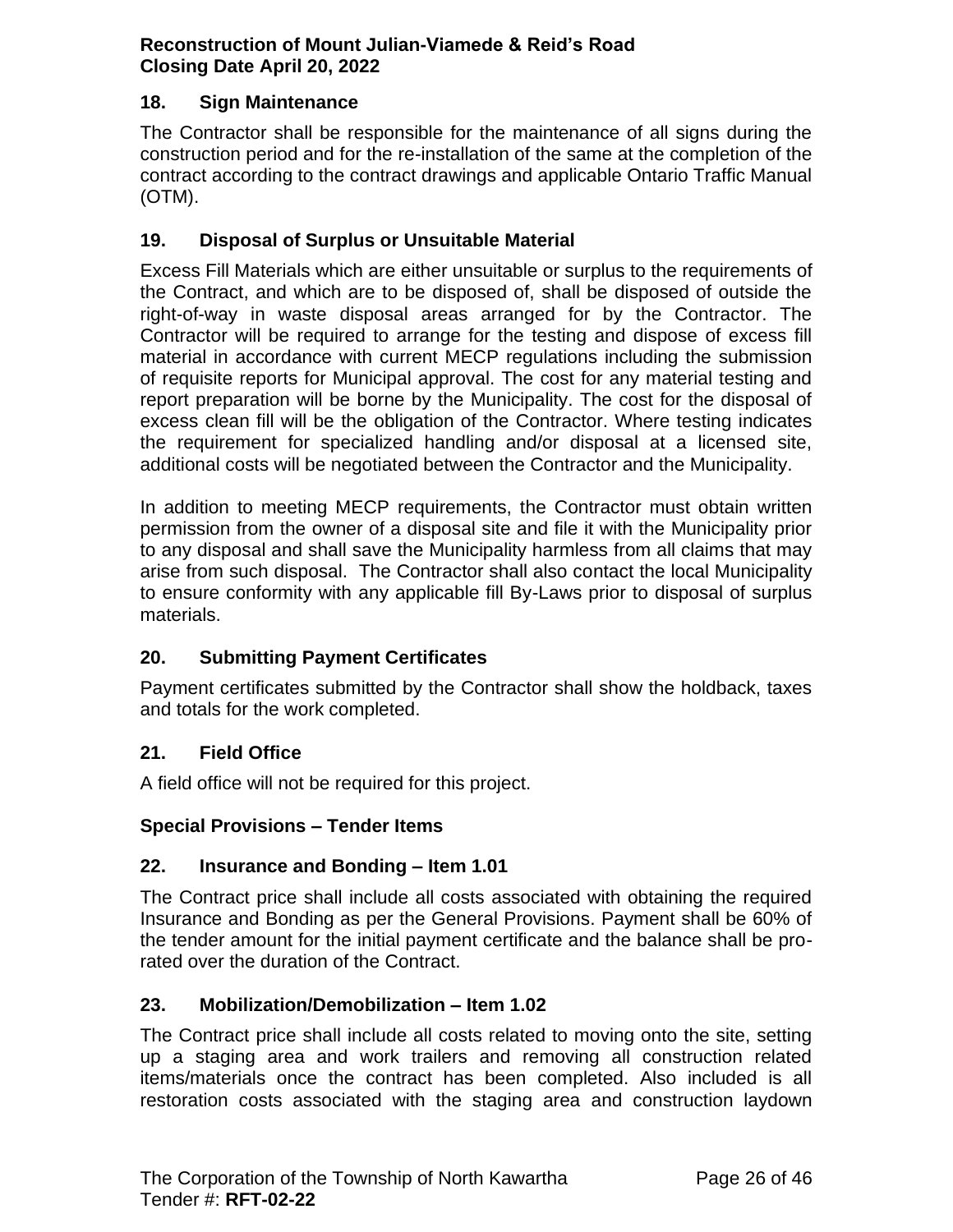### <span id="page-25-0"></span>**18. Sign Maintenance**

The Contractor shall be responsible for the maintenance of all signs during the construction period and for the re-installation of the same at the completion of the contract according to the contract drawings and applicable Ontario Traffic Manual (OTM).

#### <span id="page-25-1"></span>**19. Disposal of Surplus or Unsuitable Material**

Excess Fill Materials which are either unsuitable or surplus to the requirements of the Contract, and which are to be disposed of, shall be disposed of outside the right-of-way in waste disposal areas arranged for by the Contractor. The Contractor will be required to arrange for the testing and dispose of excess fill material in accordance with current MECP regulations including the submission of requisite reports for Municipal approval. The cost for any material testing and report preparation will be borne by the Municipality. The cost for the disposal of excess clean fill will be the obligation of the Contractor. Where testing indicates the requirement for specialized handling and/or disposal at a licensed site, additional costs will be negotiated between the Contractor and the Municipality.

In addition to meeting MECP requirements, the Contractor must obtain written permission from the owner of a disposal site and file it with the Municipality prior to any disposal and shall save the Municipality harmless from all claims that may arise from such disposal. The Contractor shall also contact the local Municipality to ensure conformity with any applicable fill By-Laws prior to disposal of surplus materials.

### <span id="page-25-2"></span>**20. Submitting Payment Certificates**

Payment certificates submitted by the Contractor shall show the holdback, taxes and totals for the work completed.

### <span id="page-25-3"></span>**21. Field Office**

A field office will not be required for this project.

#### <span id="page-25-4"></span>**Special Provisions – Tender Items**

#### <span id="page-25-5"></span>**22. Insurance and Bonding – Item 1.01**

The Contract price shall include all costs associated with obtaining the required Insurance and Bonding as per the General Provisions. Payment shall be 60% of the tender amount for the initial payment certificate and the balance shall be prorated over the duration of the Contract.

#### <span id="page-25-6"></span>**23. Mobilization/Demobilization – Item 1.02**

The Contract price shall include all costs related to moving onto the site, setting up a staging area and work trailers and removing all construction related items/materials once the contract has been completed. Also included is all restoration costs associated with the staging area and construction laydown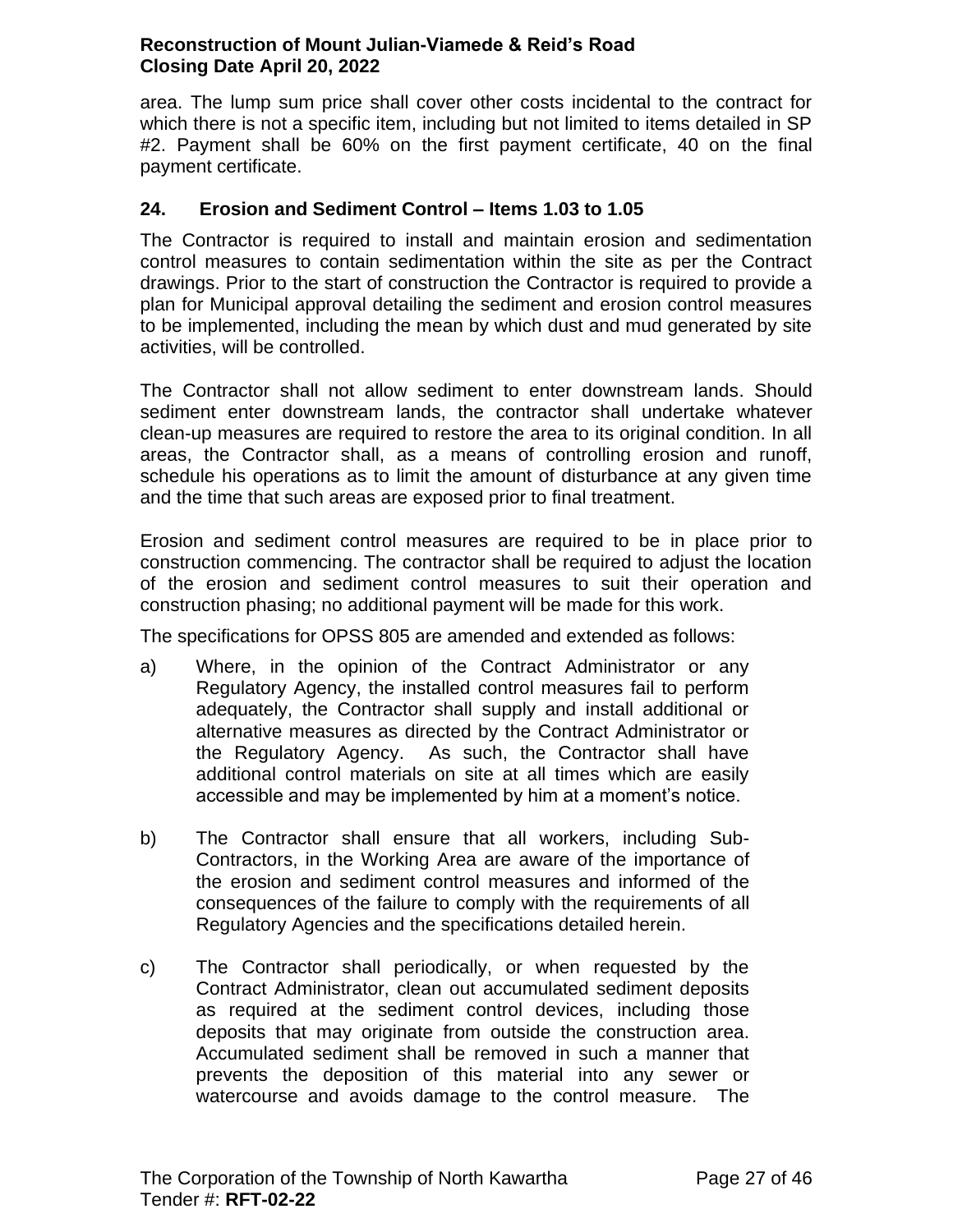area. The lump sum price shall cover other costs incidental to the contract for which there is not a specific item, including but not limited to items detailed in SP #2. Payment shall be 60% on the first payment certificate, 40 on the final payment certificate.

## <span id="page-26-0"></span>**24. Erosion and Sediment Control – Items 1.03 to 1.05**

The Contractor is required to install and maintain erosion and sedimentation control measures to contain sedimentation within the site as per the Contract drawings. Prior to the start of construction the Contractor is required to provide a plan for Municipal approval detailing the sediment and erosion control measures to be implemented, including the mean by which dust and mud generated by site activities, will be controlled.

The Contractor shall not allow sediment to enter downstream lands. Should sediment enter downstream lands, the contractor shall undertake whatever clean-up measures are required to restore the area to its original condition. In all areas, the Contractor shall, as a means of controlling erosion and runoff, schedule his operations as to limit the amount of disturbance at any given time and the time that such areas are exposed prior to final treatment.

Erosion and sediment control measures are required to be in place prior to construction commencing. The contractor shall be required to adjust the location of the erosion and sediment control measures to suit their operation and construction phasing; no additional payment will be made for this work.

The specifications for OPSS 805 are amended and extended as follows:

- a) Where, in the opinion of the Contract Administrator or any Regulatory Agency, the installed control measures fail to perform adequately, the Contractor shall supply and install additional or alternative measures as directed by the Contract Administrator or the Regulatory Agency. As such, the Contractor shall have additional control materials on site at all times which are easily accessible and may be implemented by him at a moment's notice.
- b) The Contractor shall ensure that all workers, including Sub-Contractors, in the Working Area are aware of the importance of the erosion and sediment control measures and informed of the consequences of the failure to comply with the requirements of all Regulatory Agencies and the specifications detailed herein.
- c) The Contractor shall periodically, or when requested by the Contract Administrator, clean out accumulated sediment deposits as required at the sediment control devices, including those deposits that may originate from outside the construction area. Accumulated sediment shall be removed in such a manner that prevents the deposition of this material into any sewer or watercourse and avoids damage to the control measure. The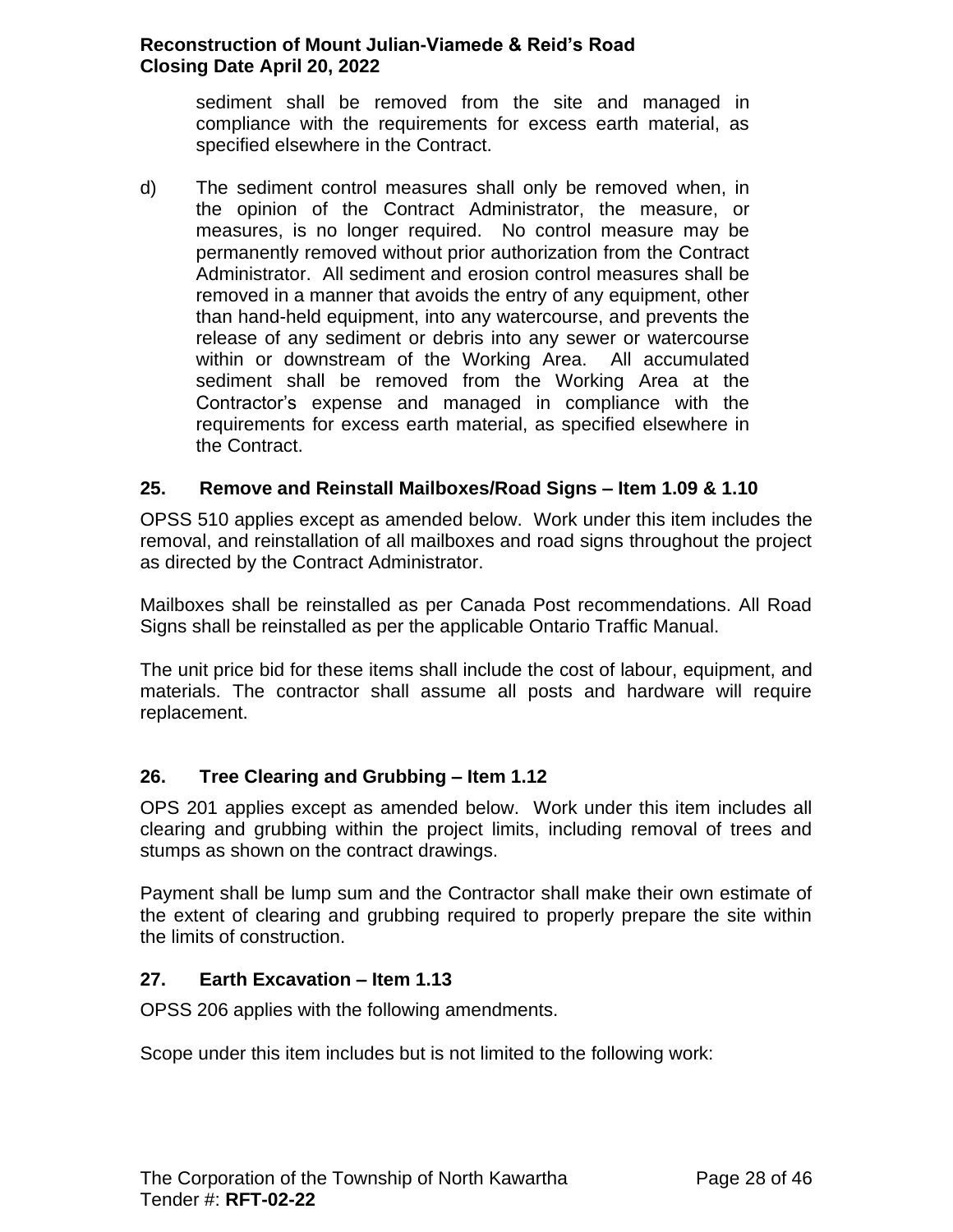sediment shall be removed from the site and managed in compliance with the requirements for excess earth material, as specified elsewhere in the Contract.

d) The sediment control measures shall only be removed when, in the opinion of the Contract Administrator, the measure, or measures, is no longer required. No control measure may be permanently removed without prior authorization from the Contract Administrator. All sediment and erosion control measures shall be removed in a manner that avoids the entry of any equipment, other than hand-held equipment, into any watercourse, and prevents the release of any sediment or debris into any sewer or watercourse within or downstream of the Working Area. All accumulated sediment shall be removed from the Working Area at the Contractor's expense and managed in compliance with the requirements for excess earth material, as specified elsewhere in the Contract.

### <span id="page-27-0"></span>**25. Remove and Reinstall Mailboxes/Road Signs – Item 1.09 & 1.10**

OPSS 510 applies except as amended below. Work under this item includes the removal, and reinstallation of all mailboxes and road signs throughout the project as directed by the Contract Administrator.

Mailboxes shall be reinstalled as per Canada Post recommendations. All Road Signs shall be reinstalled as per the applicable Ontario Traffic Manual.

The unit price bid for these items shall include the cost of labour, equipment, and materials. The contractor shall assume all posts and hardware will require replacement.

### <span id="page-27-1"></span>**26. Tree Clearing and Grubbing – Item 1.12**

OPS 201 applies except as amended below. Work under this item includes all clearing and grubbing within the project limits, including removal of trees and stumps as shown on the contract drawings.

Payment shall be lump sum and the Contractor shall make their own estimate of the extent of clearing and grubbing required to properly prepare the site within the limits of construction.

#### <span id="page-27-2"></span>**27. Earth Excavation – Item 1.13**

OPSS 206 applies with the following amendments.

Scope under this item includes but is not limited to the following work: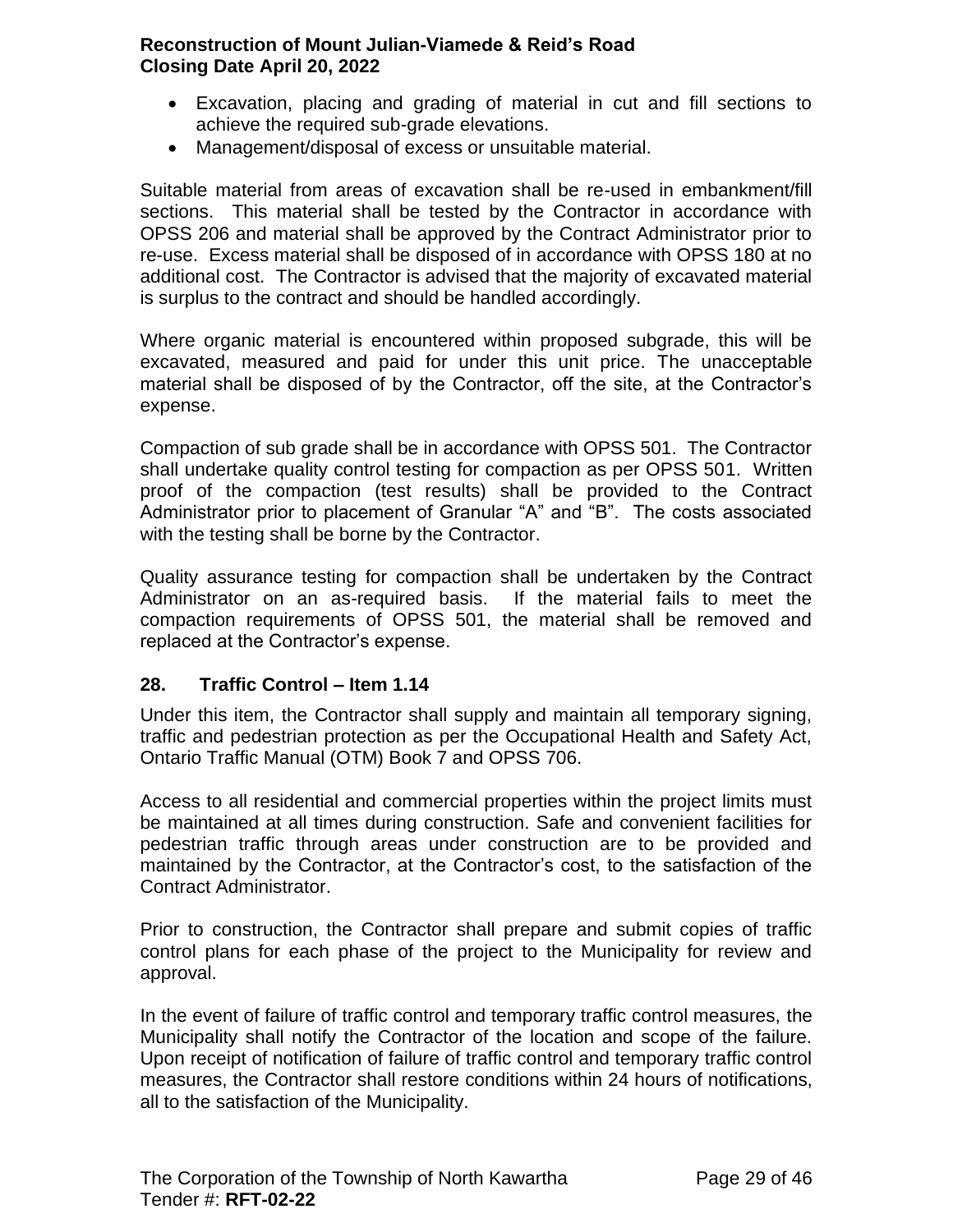- Excavation, placing and grading of material in cut and fill sections to achieve the required sub-grade elevations.
- Management/disposal of excess or unsuitable material.

Suitable material from areas of excavation shall be re-used in embankment/fill sections. This material shall be tested by the Contractor in accordance with OPSS 206 and material shall be approved by the Contract Administrator prior to re-use. Excess material shall be disposed of in accordance with OPSS 180 at no additional cost. The Contractor is advised that the majority of excavated material is surplus to the contract and should be handled accordingly.

Where organic material is encountered within proposed subgrade, this will be excavated, measured and paid for under this unit price. The unacceptable material shall be disposed of by the Contractor, off the site, at the Contractor's expense.

Compaction of sub grade shall be in accordance with OPSS 501. The Contractor shall undertake quality control testing for compaction as per OPSS 501. Written proof of the compaction (test results) shall be provided to the Contract Administrator prior to placement of Granular "A" and "B". The costs associated with the testing shall be borne by the Contractor.

Quality assurance testing for compaction shall be undertaken by the Contract Administrator on an as-required basis. If the material fails to meet the compaction requirements of OPSS 501, the material shall be removed and replaced at the Contractor's expense.

### <span id="page-28-0"></span>**28. Traffic Control – Item 1.14**

Under this item, the Contractor shall supply and maintain all temporary signing, traffic and pedestrian protection as per the Occupational Health and Safety Act, Ontario Traffic Manual (OTM) Book 7 and OPSS 706.

Access to all residential and commercial properties within the project limits must be maintained at all times during construction. Safe and convenient facilities for pedestrian traffic through areas under construction are to be provided and maintained by the Contractor, at the Contractor's cost, to the satisfaction of the Contract Administrator.

Prior to construction, the Contractor shall prepare and submit copies of traffic control plans for each phase of the project to the Municipality for review and approval.

In the event of failure of traffic control and temporary traffic control measures, the Municipality shall notify the Contractor of the location and scope of the failure. Upon receipt of notification of failure of traffic control and temporary traffic control measures, the Contractor shall restore conditions within 24 hours of notifications, all to the satisfaction of the Municipality.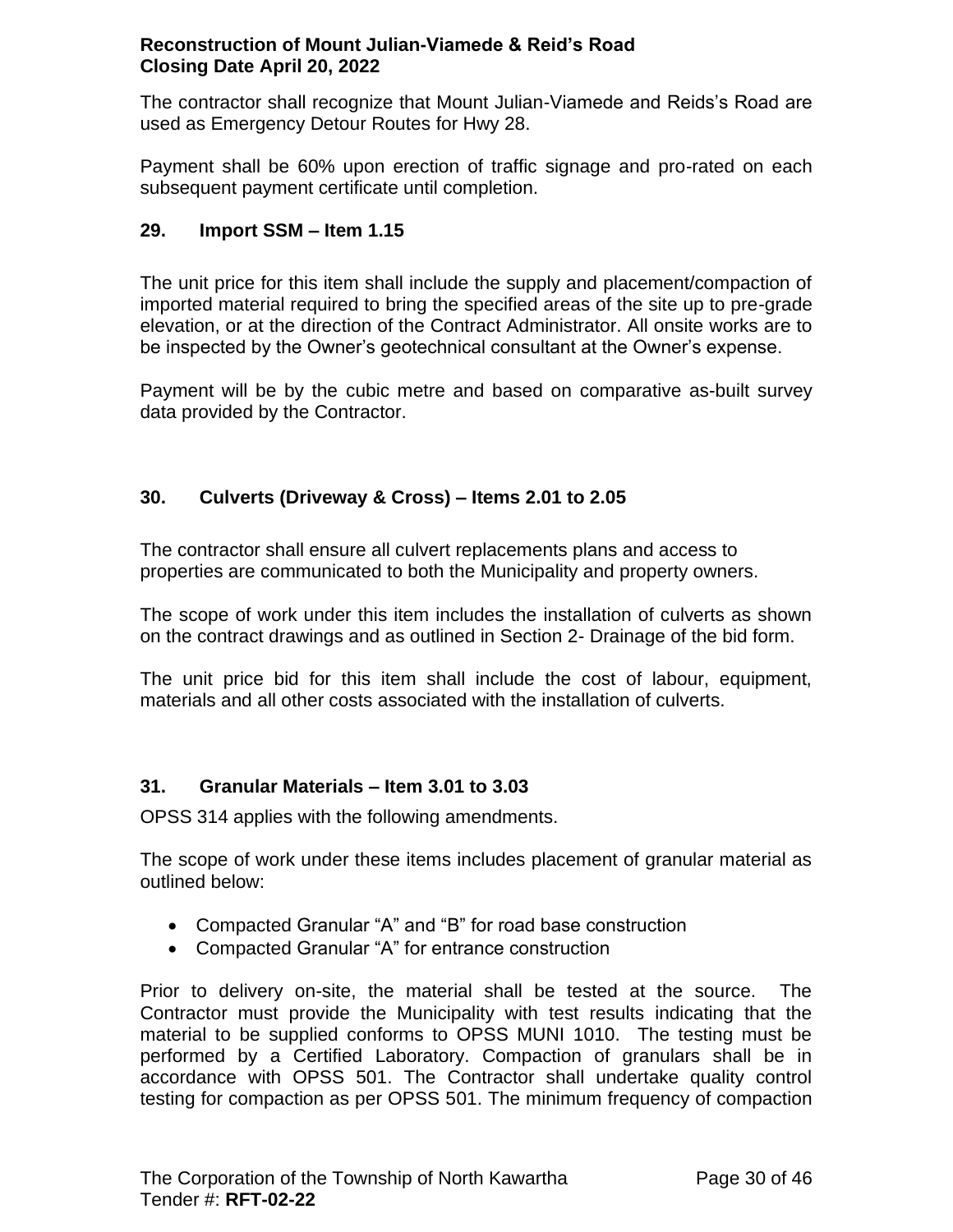The contractor shall recognize that Mount Julian-Viamede and Reids's Road are used as Emergency Detour Routes for Hwy 28.

Payment shall be 60% upon erection of traffic signage and pro-rated on each subsequent payment certificate until completion.

# <span id="page-29-0"></span>**29. Import SSM – Item 1.15**

The unit price for this item shall include the supply and placement/compaction of imported material required to bring the specified areas of the site up to pre-grade elevation, or at the direction of the Contract Administrator. All onsite works are to be inspected by the Owner's geotechnical consultant at the Owner's expense.

Payment will be by the cubic metre and based on comparative as-built survey data provided by the Contractor.

# <span id="page-29-1"></span>**30. Culverts (Driveway & Cross) – Items 2.01 to 2.05**

The contractor shall ensure all culvert replacements plans and access to properties are communicated to both the Municipality and property owners.

The scope of work under this item includes the installation of culverts as shown on the contract drawings and as outlined in Section 2- Drainage of the bid form.

The unit price bid for this item shall include the cost of labour, equipment, materials and all other costs associated with the installation of culverts.

### <span id="page-29-2"></span>**31. Granular Materials – Item 3.01 to 3.03**

OPSS 314 applies with the following amendments.

The scope of work under these items includes placement of granular material as outlined below:

- Compacted Granular "A" and "B" for road base construction
- Compacted Granular "A" for entrance construction

Prior to delivery on-site, the material shall be tested at the source. The Contractor must provide the Municipality with test results indicating that the material to be supplied conforms to OPSS MUNI 1010. The testing must be performed by a Certified Laboratory. Compaction of granulars shall be in accordance with OPSS 501. The Contractor shall undertake quality control testing for compaction as per OPSS 501. The minimum frequency of compaction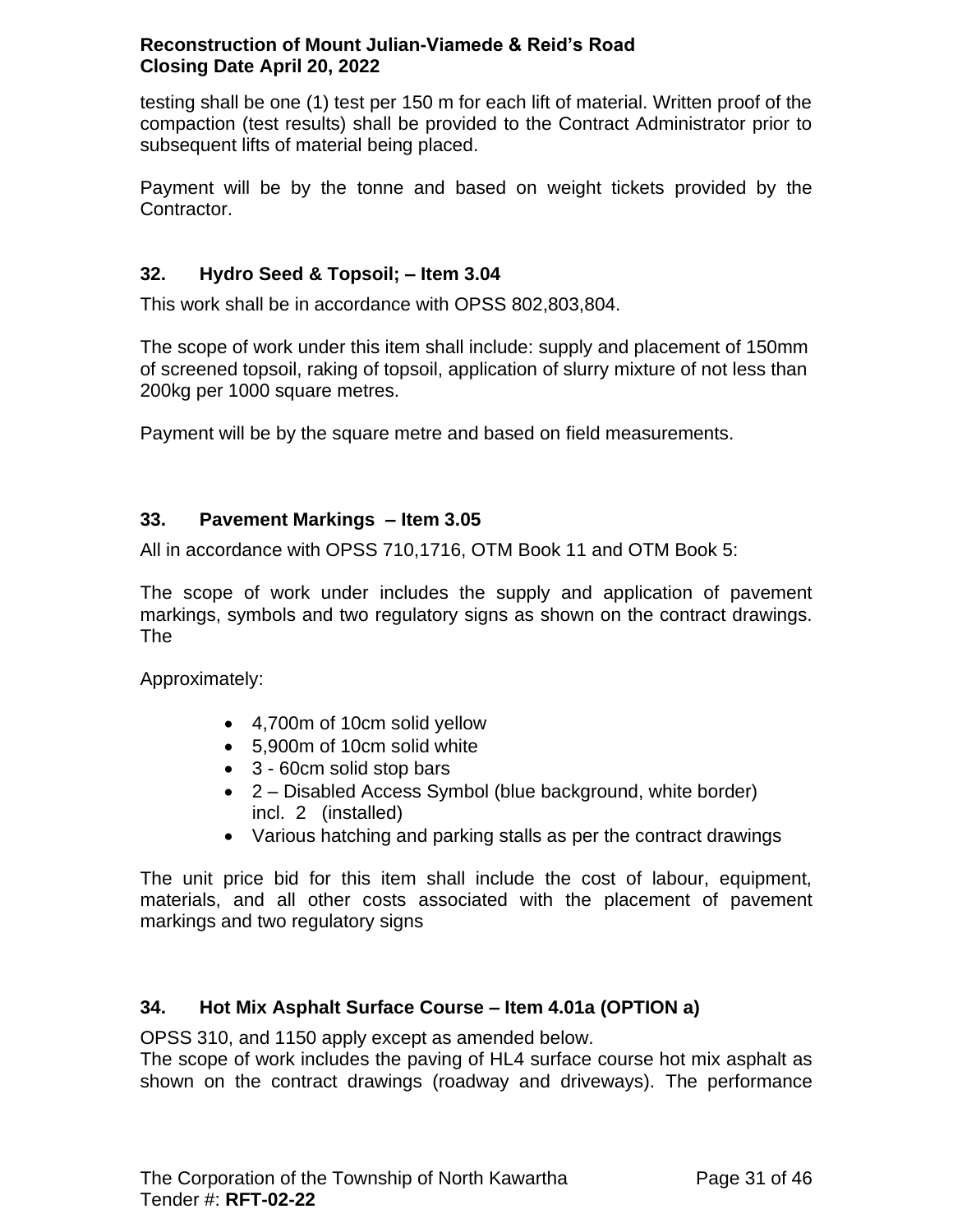testing shall be one (1) test per 150 m for each lift of material. Written proof of the compaction (test results) shall be provided to the Contract Administrator prior to subsequent lifts of material being placed.

Payment will be by the tonne and based on weight tickets provided by the Contractor.

# <span id="page-30-0"></span>**32. Hydro Seed & Topsoil; – Item 3.04**

This work shall be in accordance with OPSS 802,803,804.

The scope of work under this item shall include: supply and placement of 150mm of screened topsoil, raking of topsoil, application of slurry mixture of not less than 200kg per 1000 square metres.

Payment will be by the square metre and based on field measurements.

### <span id="page-30-1"></span>**33. Pavement Markings – Item 3.05**

All in accordance with OPSS 710,1716, OTM Book 11 and OTM Book 5:

The scope of work under includes the supply and application of pavement markings, symbols and two regulatory signs as shown on the contract drawings. The

Approximately:

- 4,700m of 10cm solid yellow
- 5,900m of 10cm solid white
- 3 60cm solid stop bars
- 2 Disabled Access Symbol (blue background, white border) incl. 2 (installed)
- Various hatching and parking stalls as per the contract drawings

The unit price bid for this item shall include the cost of labour, equipment, materials, and all other costs associated with the placement of pavement markings and two regulatory signs

### <span id="page-30-2"></span>**34. Hot Mix Asphalt Surface Course – Item 4.01a (OPTION a)**

OPSS 310, and 1150 apply except as amended below.

The scope of work includes the paving of HL4 surface course hot mix asphalt as shown on the contract drawings (roadway and driveways). The performance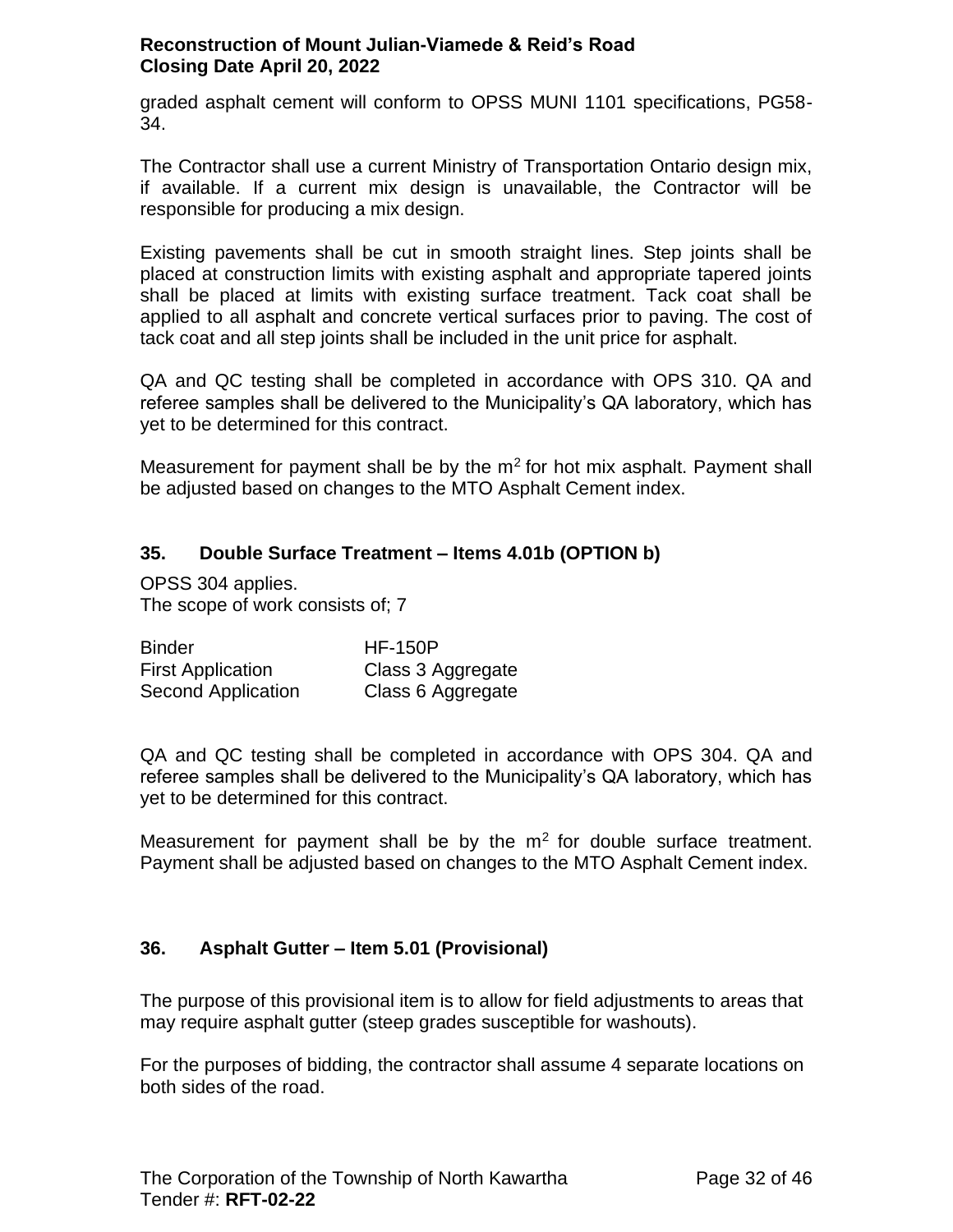graded asphalt cement will conform to OPSS MUNI 1101 specifications, PG58- 34.

The Contractor shall use a current Ministry of Transportation Ontario design mix, if available. If a current mix design is unavailable, the Contractor will be responsible for producing a mix design.

Existing pavements shall be cut in smooth straight lines. Step joints shall be placed at construction limits with existing asphalt and appropriate tapered joints shall be placed at limits with existing surface treatment. Tack coat shall be applied to all asphalt and concrete vertical surfaces prior to paving. The cost of tack coat and all step joints shall be included in the unit price for asphalt.

QA and QC testing shall be completed in accordance with OPS 310. QA and referee samples shall be delivered to the Municipality's QA laboratory, which has yet to be determined for this contract.

Measurement for payment shall be by the  $m<sup>2</sup>$  for hot mix asphalt. Payment shall be adjusted based on changes to the MTO Asphalt Cement index.

# <span id="page-31-0"></span>**35. Double Surface Treatment – Items 4.01b (OPTION b)**

OPSS 304 applies. The scope of work consists of; 7

| <b>Binder</b>            | <b>HF-150P</b>    |
|--------------------------|-------------------|
| <b>First Application</b> | Class 3 Aggregate |
| Second Application       | Class 6 Aggregate |

QA and QC testing shall be completed in accordance with OPS 304. QA and referee samples shall be delivered to the Municipality's QA laboratory, which has yet to be determined for this contract.

Measurement for payment shall be by the  $m<sup>2</sup>$  for double surface treatment. Payment shall be adjusted based on changes to the MTO Asphalt Cement index.

### <span id="page-31-1"></span>**36. Asphalt Gutter – Item 5.01 (Provisional)**

The purpose of this provisional item is to allow for field adjustments to areas that may require asphalt gutter (steep grades susceptible for washouts).

For the purposes of bidding, the contractor shall assume 4 separate locations on both sides of the road.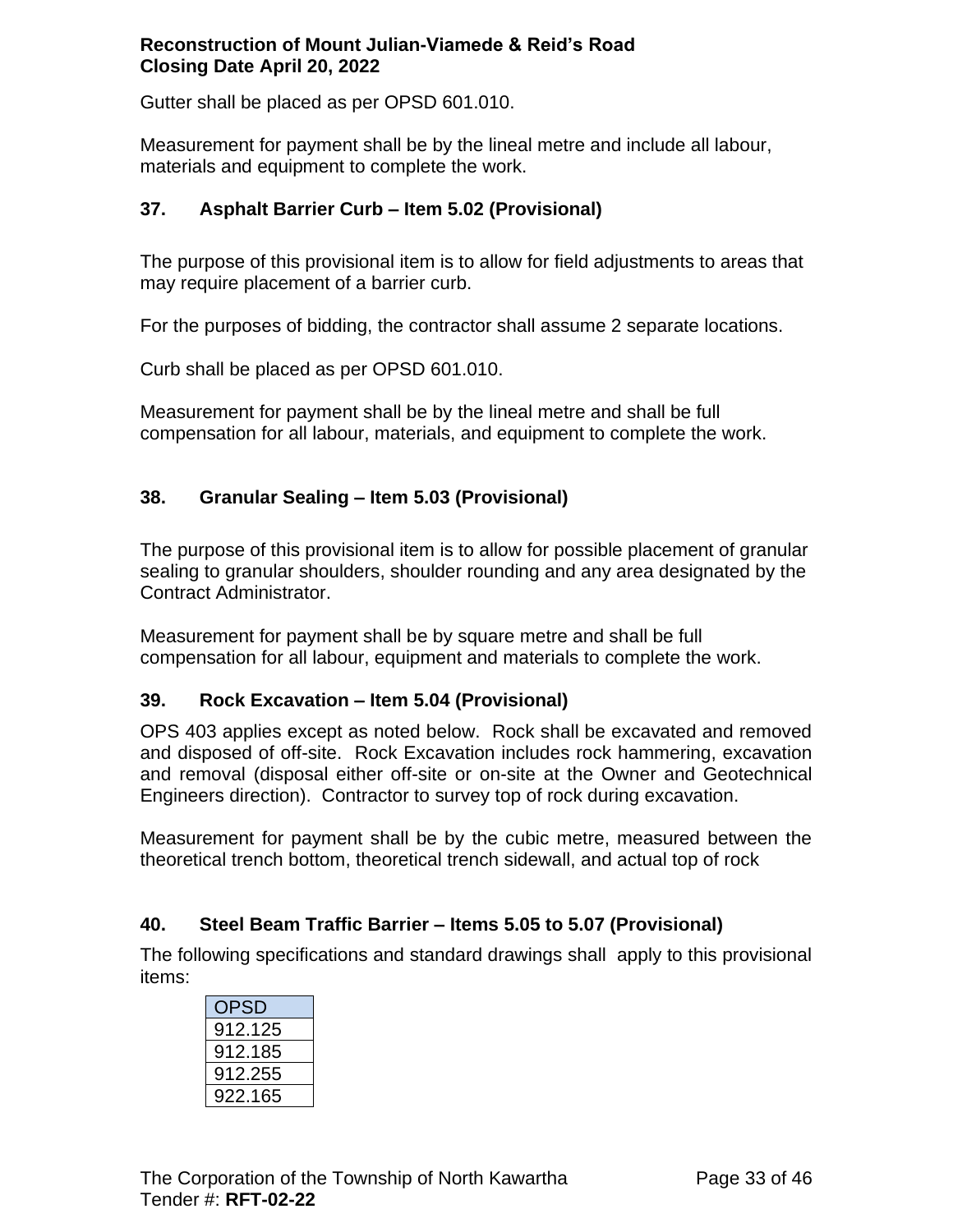Gutter shall be placed as per OPSD 601.010.

Measurement for payment shall be by the lineal metre and include all labour, materials and equipment to complete the work.

## <span id="page-32-0"></span>**37. Asphalt Barrier Curb – Item 5.02 (Provisional)**

The purpose of this provisional item is to allow for field adjustments to areas that may require placement of a barrier curb.

For the purposes of bidding, the contractor shall assume 2 separate locations.

Curb shall be placed as per OPSD 601.010.

Measurement for payment shall be by the lineal metre and shall be full compensation for all labour, materials, and equipment to complete the work.

# <span id="page-32-1"></span>**38. Granular Sealing – Item 5.03 (Provisional)**

The purpose of this provisional item is to allow for possible placement of granular sealing to granular shoulders, shoulder rounding and any area designated by the Contract Administrator.

Measurement for payment shall be by square metre and shall be full compensation for all labour, equipment and materials to complete the work.

### <span id="page-32-2"></span>**39. Rock Excavation – Item 5.04 (Provisional)**

OPS 403 applies except as noted below. Rock shall be excavated and removed and disposed of off-site. Rock Excavation includes rock hammering, excavation and removal (disposal either off-site or on-site at the Owner and Geotechnical Engineers direction). Contractor to survey top of rock during excavation.

Measurement for payment shall be by the cubic metre, measured between the theoretical trench bottom, theoretical trench sidewall, and actual top of rock

### <span id="page-32-3"></span>**40. Steel Beam Traffic Barrier – Items 5.05 to 5.07 (Provisional)**

The following specifications and standard drawings shall apply to this provisional items:

| OPSD    |  |
|---------|--|
| 912.125 |  |
| 912.185 |  |
| 912.255 |  |
| 922.165 |  |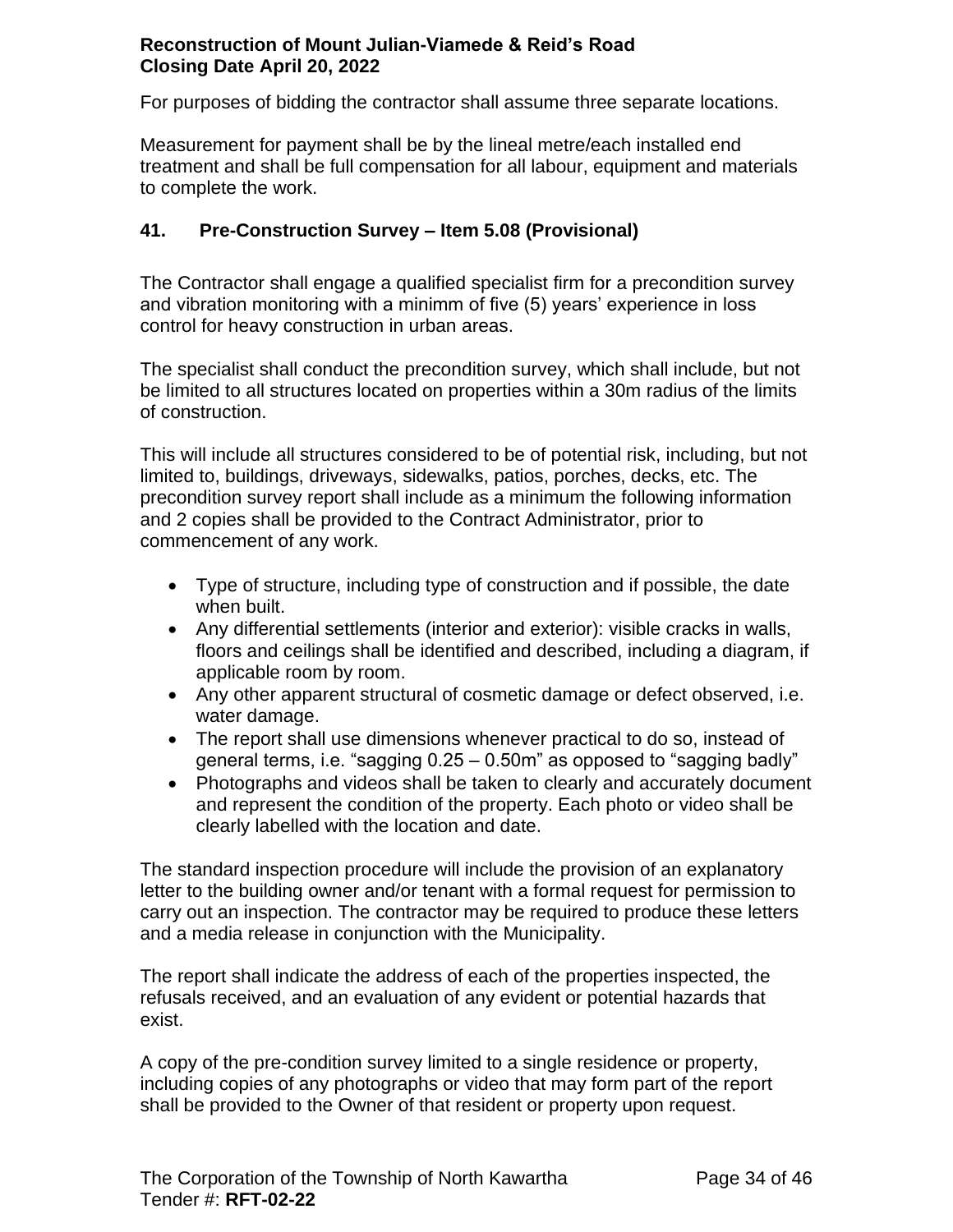For purposes of bidding the contractor shall assume three separate locations.

Measurement for payment shall be by the lineal metre/each installed end treatment and shall be full compensation for all labour, equipment and materials to complete the work.

## <span id="page-33-0"></span>**41. Pre-Construction Survey – Item 5.08 (Provisional)**

The Contractor shall engage a qualified specialist firm for a precondition survey and vibration monitoring with a minimm of five (5) years' experience in loss control for heavy construction in urban areas.

The specialist shall conduct the precondition survey, which shall include, but not be limited to all structures located on properties within a 30m radius of the limits of construction.

This will include all structures considered to be of potential risk, including, but not limited to, buildings, driveways, sidewalks, patios, porches, decks, etc. The precondition survey report shall include as a minimum the following information and 2 copies shall be provided to the Contract Administrator, prior to commencement of any work.

- Type of structure, including type of construction and if possible, the date when built.
- Any differential settlements (interior and exterior): visible cracks in walls, floors and ceilings shall be identified and described, including a diagram, if applicable room by room.
- Any other apparent structural of cosmetic damage or defect observed, i.e. water damage.
- The report shall use dimensions whenever practical to do so, instead of general terms, i.e. "sagging 0.25 – 0.50m" as opposed to "sagging badly"
- Photographs and videos shall be taken to clearly and accurately document and represent the condition of the property. Each photo or video shall be clearly labelled with the location and date.

The standard inspection procedure will include the provision of an explanatory letter to the building owner and/or tenant with a formal request for permission to carry out an inspection. The contractor may be required to produce these letters and a media release in conjunction with the Municipality.

The report shall indicate the address of each of the properties inspected, the refusals received, and an evaluation of any evident or potential hazards that exist.

A copy of the pre-condition survey limited to a single residence or property, including copies of any photographs or video that may form part of the report shall be provided to the Owner of that resident or property upon request.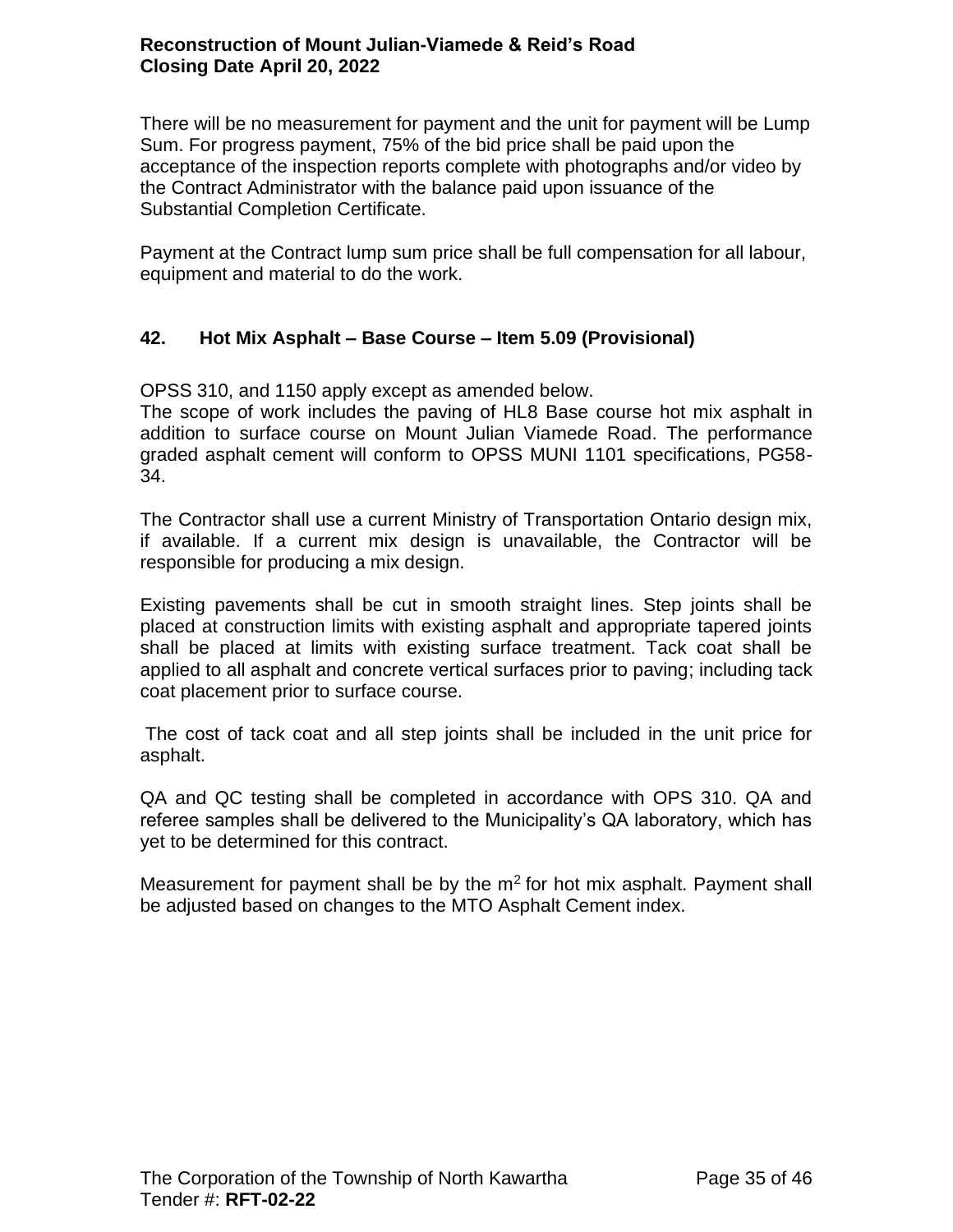There will be no measurement for payment and the unit for payment will be Lump Sum. For progress payment, 75% of the bid price shall be paid upon the acceptance of the inspection reports complete with photographs and/or video by the Contract Administrator with the balance paid upon issuance of the Substantial Completion Certificate.

Payment at the Contract lump sum price shall be full compensation for all labour, equipment and material to do the work.

# <span id="page-34-0"></span>**42. Hot Mix Asphalt – Base Course – Item 5.09 (Provisional)**

OPSS 310, and 1150 apply except as amended below.

The scope of work includes the paving of HL8 Base course hot mix asphalt in addition to surface course on Mount Julian Viamede Road. The performance graded asphalt cement will conform to OPSS MUNI 1101 specifications, PG58- 34.

The Contractor shall use a current Ministry of Transportation Ontario design mix, if available. If a current mix design is unavailable, the Contractor will be responsible for producing a mix design.

Existing pavements shall be cut in smooth straight lines. Step joints shall be placed at construction limits with existing asphalt and appropriate tapered joints shall be placed at limits with existing surface treatment. Tack coat shall be applied to all asphalt and concrete vertical surfaces prior to paving; including tack coat placement prior to surface course.

The cost of tack coat and all step joints shall be included in the unit price for asphalt.

QA and QC testing shall be completed in accordance with OPS 310. QA and referee samples shall be delivered to the Municipality's QA laboratory, which has yet to be determined for this contract.

Measurement for payment shall be by the  $m<sup>2</sup>$  for hot mix asphalt. Payment shall be adjusted based on changes to the MTO Asphalt Cement index.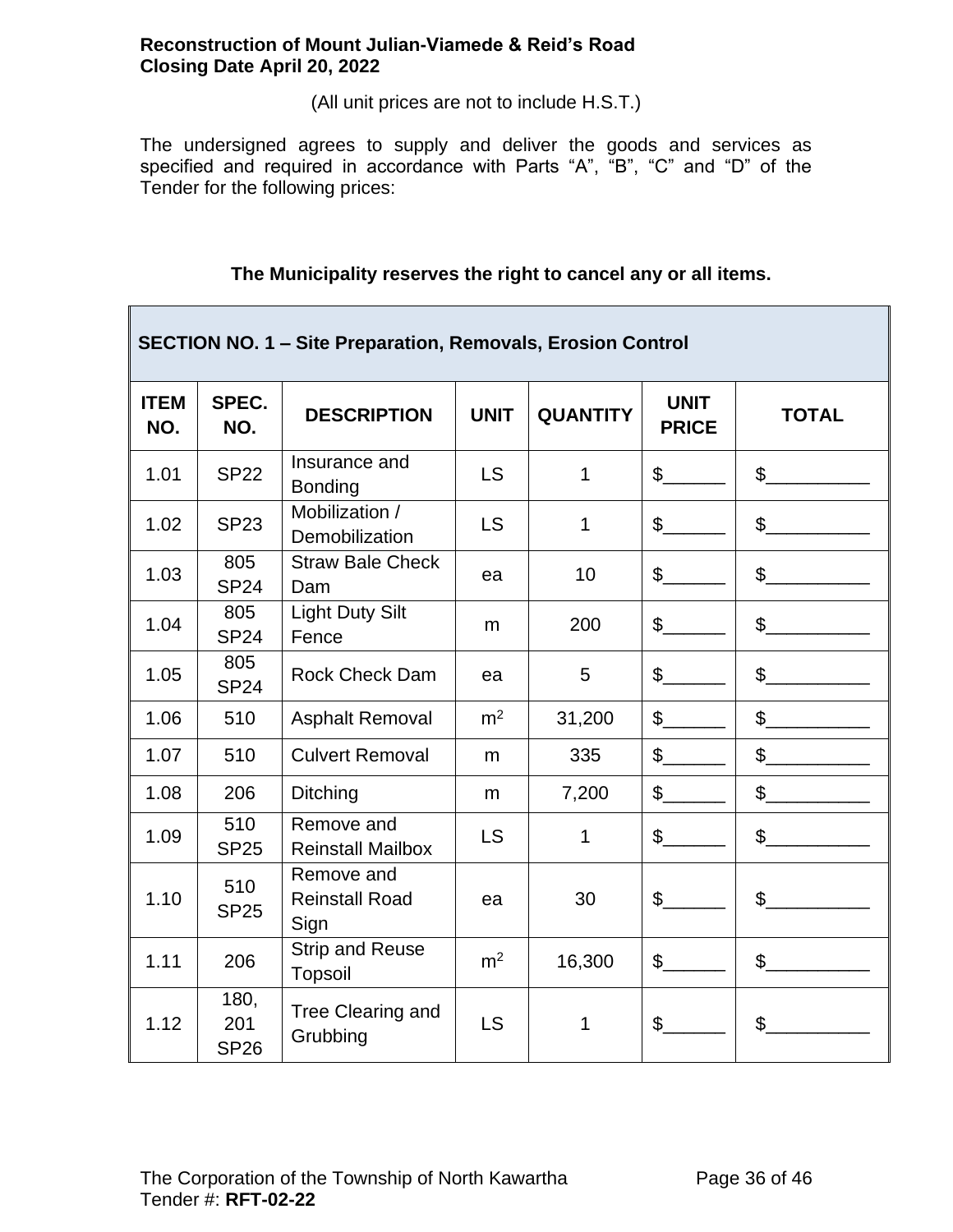(All unit prices are not to include H.S.T.)

The undersigned agrees to supply and deliver the goods and services as specified and required in accordance with Parts "A", "B", "C" and "D" of the Tender for the following prices:

|                    | <b>SECTION NO. 1 - Site Preparation, Removals, Erosion Control</b> |                                             |                |                 |                             |                |  |  |
|--------------------|--------------------------------------------------------------------|---------------------------------------------|----------------|-----------------|-----------------------------|----------------|--|--|
| <b>ITEM</b><br>NO. | SPEC.<br>NO.                                                       | <b>DESCRIPTION</b>                          | <b>UNIT</b>    | <b>QUANTITY</b> | <b>UNIT</b><br><b>PRICE</b> | <b>TOTAL</b>   |  |  |
| 1.01               | <b>SP22</b>                                                        | Insurance and<br><b>Bonding</b>             | <b>LS</b>      | $\mathbf{1}$    | $\mathsf{\$}$               | $\mathbb{S}$   |  |  |
| 1.02               | <b>SP23</b>                                                        | Mobilization /<br>Demobilization            | <b>LS</b>      | 1               | $\frac{1}{2}$               | $\frac{1}{2}$  |  |  |
| 1.03               | 805<br><b>SP24</b>                                                 | <b>Straw Bale Check</b><br>Dam              | ea             | 10              | $\mathcal{S}$               | $\frac{1}{2}$  |  |  |
| 1.04               | 805<br><b>SP24</b>                                                 | <b>Light Duty Silt</b><br>Fence             | m              | 200             | $\mathbb{S}$                | $\mathbb{S}$   |  |  |
| 1.05               | 805<br><b>SP24</b>                                                 | <b>Rock Check Dam</b>                       | ea             | 5               | $\frac{1}{2}$               | \$             |  |  |
| 1.06               | 510                                                                | <b>Asphalt Removal</b>                      | m <sup>2</sup> | 31,200          | $\mathbb{S}$                | $\mathbb{S}$   |  |  |
| 1.07               | 510                                                                | <b>Culvert Removal</b>                      | m              | 335             | $\frac{1}{2}$               | $\mathbb{S}$   |  |  |
| 1.08               | 206                                                                | Ditching                                    | m              | 7,200           | $\mathbb{S}$                | $\mathsf{\$}$  |  |  |
| 1.09               | 510<br><b>SP25</b>                                                 | Remove and<br><b>Reinstall Mailbox</b>      | <b>LS</b>      | 1               | $\mathsf{\$}$               | \$             |  |  |
| 1.10               | 510<br><b>SP25</b>                                                 | Remove and<br><b>Reinstall Road</b><br>Sign | ea             | 30              | $\mathfrak{S}$              | $\mathsf{\$}$  |  |  |
| 1.11               | 206                                                                | <b>Strip and Reuse</b><br><b>Topsoil</b>    | m <sup>2</sup> | 16,300          | $\mathbb{S}$                | $\mathbb{S}^-$ |  |  |
| 1.12               | 180,<br>201<br><b>SP26</b>                                         | Tree Clearing and<br>Grubbing               | LS             | 1               | $\mathfrak{S}$              | $\mathbb{S}^-$ |  |  |

## **The Municipality reserves the right to cancel any or all items.**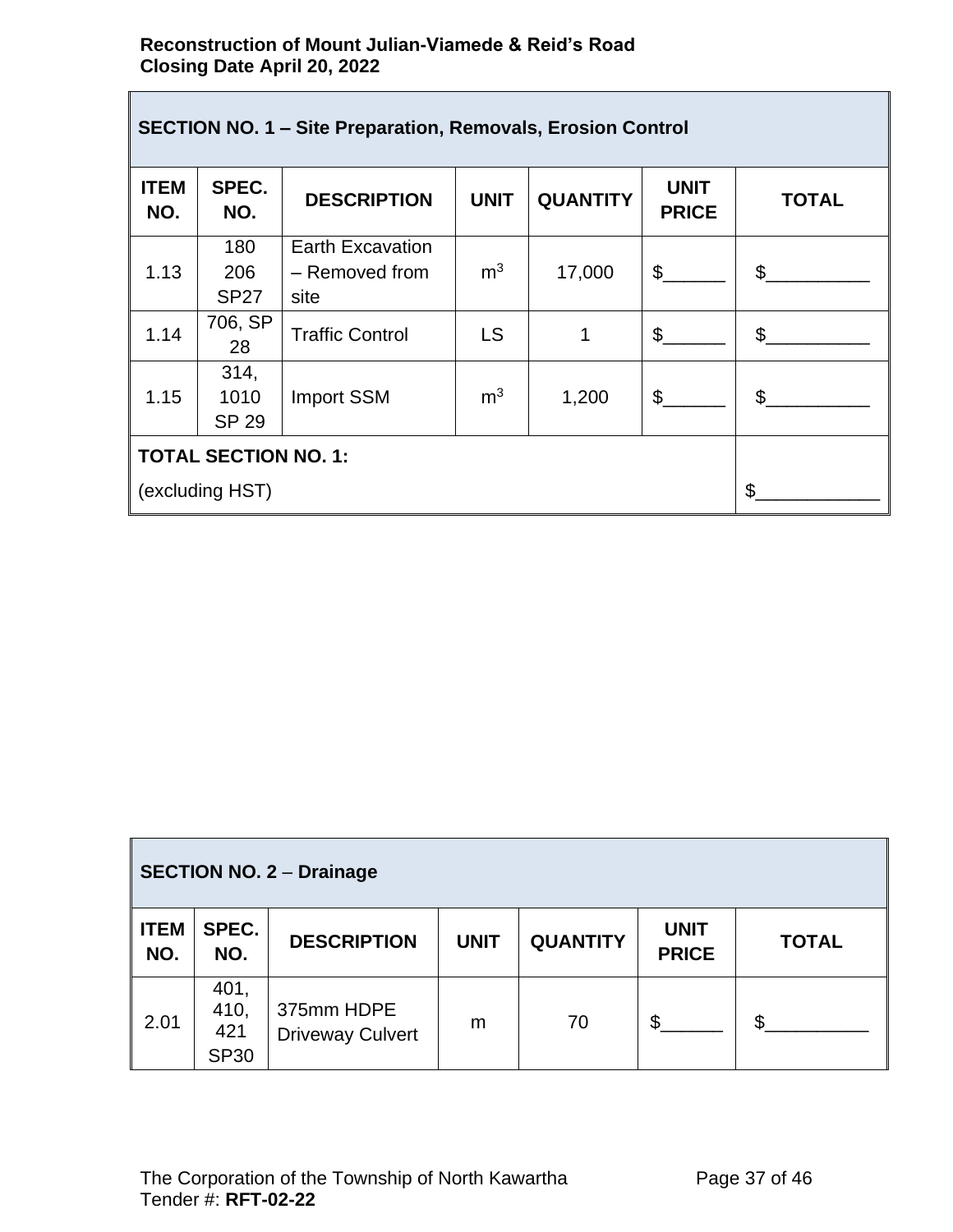| <b>SECTION NO. 1 - Site Preparation, Removals, Erosion Control</b> |                              |                         |                |                 |                             |              |  |
|--------------------------------------------------------------------|------------------------------|-------------------------|----------------|-----------------|-----------------------------|--------------|--|
| <b>ITEM</b><br>NO.                                                 | SPEC.<br>NO.                 | <b>DESCRIPTION</b>      | <b>UNIT</b>    | <b>QUANTITY</b> | <b>UNIT</b><br><b>PRICE</b> | <b>TOTAL</b> |  |
|                                                                    | 180                          | <b>Earth Excavation</b> |                |                 |                             |              |  |
| 1.13                                                               | 206<br><b>SP27</b>           | - Removed from<br>site  | m <sup>3</sup> | 17,000          | $\mathcal{S}$               | $\mathbb{S}$ |  |
| 1.14                                                               | 706, SP<br>28                | <b>Traffic Control</b>  | LS             | 1               | \$                          | \$           |  |
| 1.15                                                               | 314,<br>1010<br><b>SP 29</b> | <b>Import SSM</b>       | m <sup>3</sup> | 1,200           | \$                          | \$           |  |
| <b>TOTAL SECTION NO. 1:</b>                                        |                              |                         |                |                 |                             |              |  |
| (excluding HST)                                                    |                              |                         |                |                 |                             | \$           |  |

| <b>SECTION NO. 2 - Drainage</b> |                                    |                                       |             |                 |                             |              |  |
|---------------------------------|------------------------------------|---------------------------------------|-------------|-----------------|-----------------------------|--------------|--|
| <b>ITEM</b><br>NO.              | SPEC.<br>NO.                       | <b>DESCRIPTION</b>                    | <b>UNIT</b> | <b>QUANTITY</b> | <b>UNIT</b><br><b>PRICE</b> | <b>TOTAL</b> |  |
| 2.01                            | 401,<br>410,<br>421<br><b>SP30</b> | 375mm HDPE<br><b>Driveway Culvert</b> | m           | 70              | \$                          | \$           |  |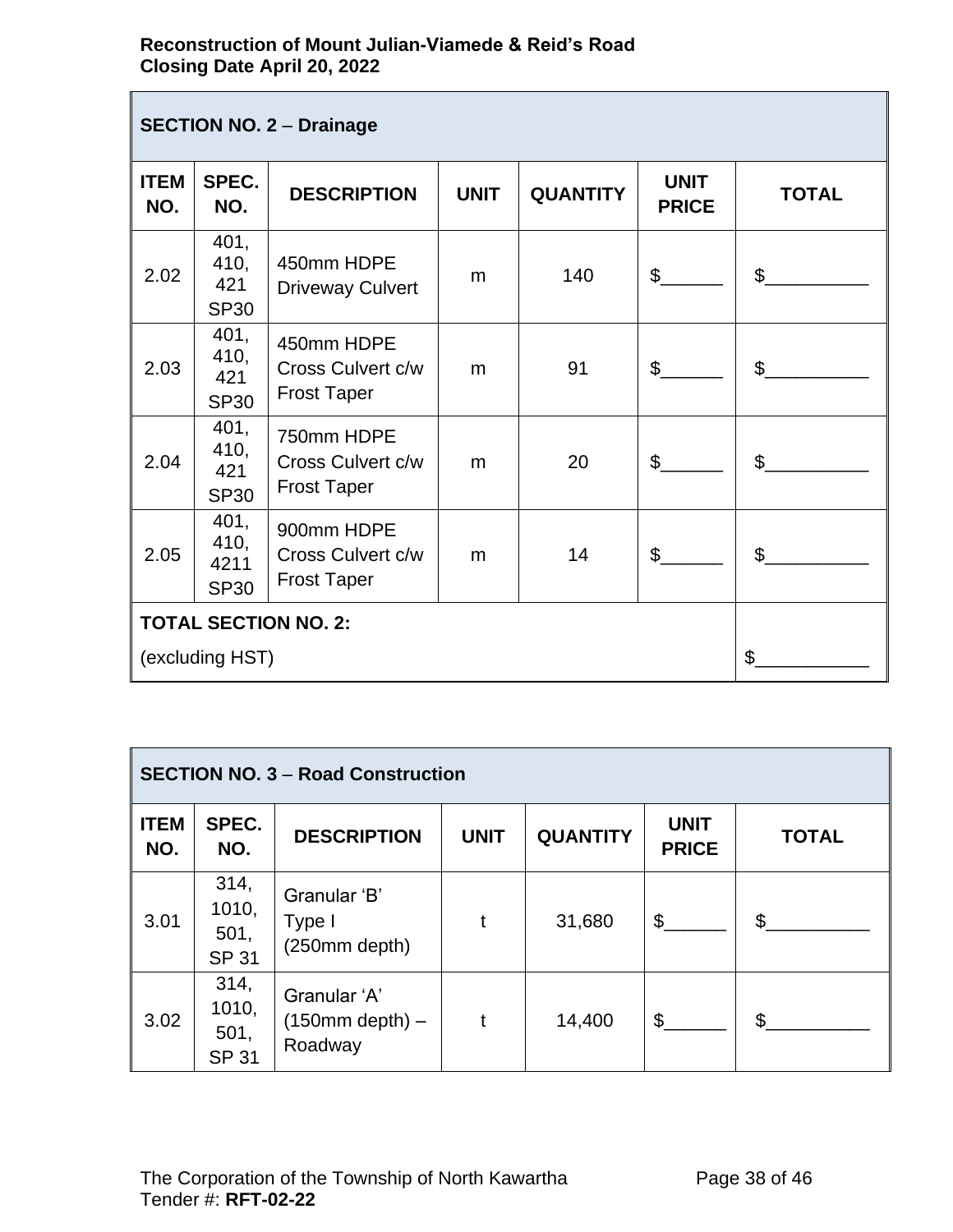$\overline{\phantom{a}}$ 

| <b>SECTION NO. 2 - Drainage</b> |                                     |                                                       |             |                 |                             |                |
|---------------------------------|-------------------------------------|-------------------------------------------------------|-------------|-----------------|-----------------------------|----------------|
| <b>ITEM</b><br>NO.              | SPEC.<br>NO.                        | <b>DESCRIPTION</b>                                    | <b>UNIT</b> | <b>QUANTITY</b> | <b>UNIT</b><br><b>PRICE</b> | <b>TOTAL</b>   |
| 2.02                            | 401,<br>410,<br>421<br><b>SP30</b>  | 450mm HDPE<br><b>Driveway Culvert</b>                 | m           | 140             | $\mathbb{S}^-$              | $\mathfrak{S}$ |
| 2.03                            | 401,<br>410,<br>421<br><b>SP30</b>  | 450mm HDPE<br>Cross Culvert c/w<br><b>Frost Taper</b> | m           | 91              | $\mathfrak{S}$              | $\mathfrak{S}$ |
| 2.04                            | 401,<br>410,<br>421<br><b>SP30</b>  | 750mm HDPE<br>Cross Culvert c/w<br><b>Frost Taper</b> | m           | 20              | \$                          | $\mathfrak{L}$ |
| 2.05                            | 401,<br>410,<br>4211<br><b>SP30</b> | 900mm HDPE<br>Cross Culvert c/w<br><b>Frost Taper</b> | m           | 14              | \$                          | $\mathfrak{S}$ |
| <b>TOTAL SECTION NO. 2:</b>     |                                     |                                                       |             |                 |                             |                |
| (excluding HST)                 |                                     |                                                       |             |                 | \$                          |                |

| <b>SECTION NO. 3 - Road Construction</b> |                                       |                                              |             |                 |                             |              |
|------------------------------------------|---------------------------------------|----------------------------------------------|-------------|-----------------|-----------------------------|--------------|
| <b>ITEM</b><br>NO.                       | SPEC.<br>NO.                          | <b>DESCRIPTION</b>                           | <b>UNIT</b> | <b>QUANTITY</b> | <b>UNIT</b><br><b>PRICE</b> | <b>TOTAL</b> |
| 3.01                                     | 314,<br>1010,<br>501,<br><b>SP 31</b> | Granular 'B'<br>Type I<br>(250mm depth)      |             | 31,680          | $\mathfrak{S}$              | \$           |
| 3.02                                     | 314,<br>1010,<br>501,<br><b>SP 31</b> | Granular 'A'<br>$(150mm$ depth) –<br>Roadway |             | 14,400          | \$                          | \$           |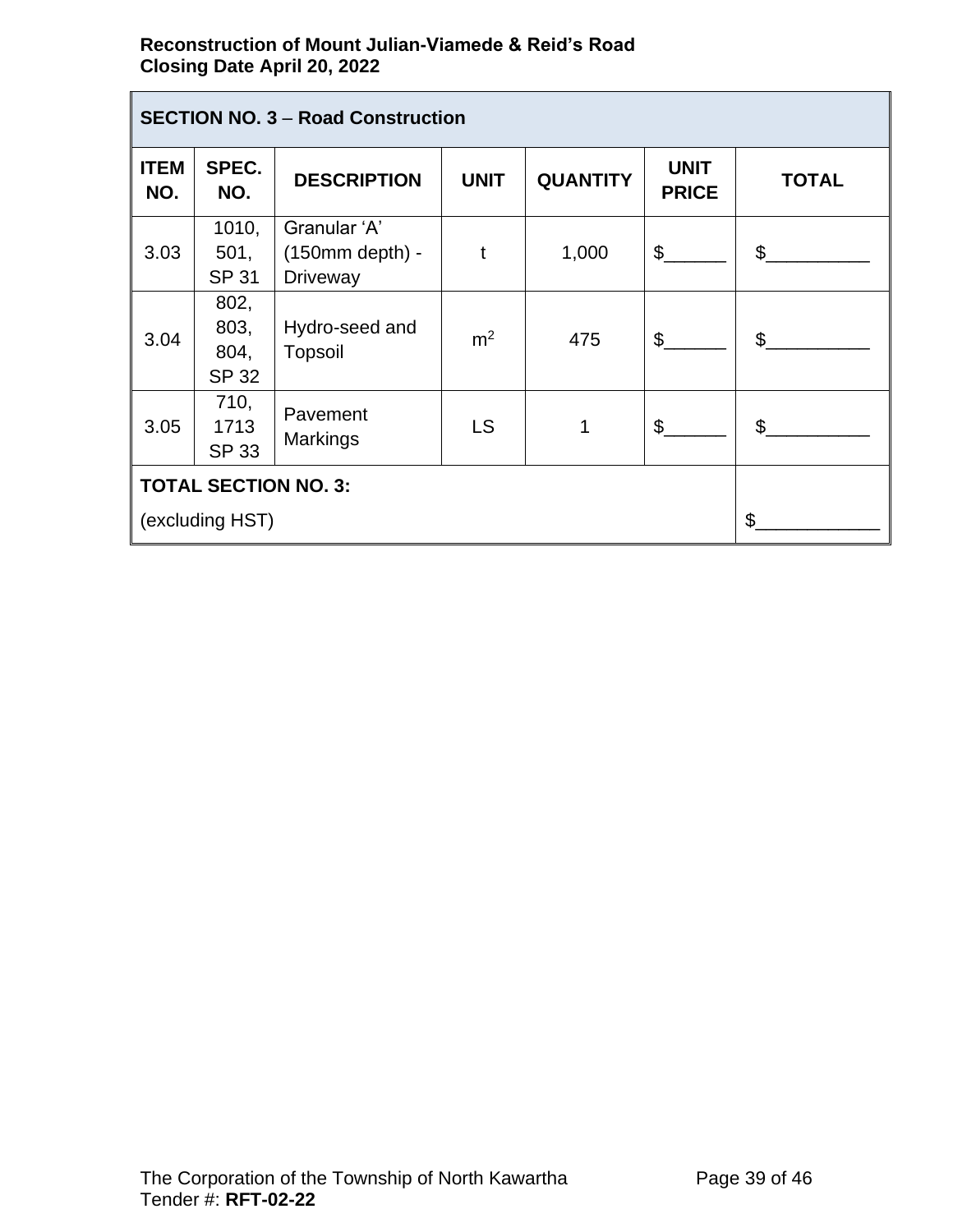| <b>SECTION NO. 3 - Road Construction</b>       |                                      |                                                      |                |                 |                             |              |
|------------------------------------------------|--------------------------------------|------------------------------------------------------|----------------|-----------------|-----------------------------|--------------|
| <b>ITEM</b><br>NO.                             | SPEC.<br>NO.                         | <b>DESCRIPTION</b>                                   | <b>UNIT</b>    | <b>QUANTITY</b> | <b>UNIT</b><br><b>PRICE</b> | <b>TOTAL</b> |
| 3.03                                           | 1010,<br>501,<br><b>SP 31</b>        | Granular 'A'<br>$(150mm$ depth) -<br><b>Driveway</b> | t              | 1,000           | $\mathfrak{L}$              | \$           |
| 3.04                                           | 802,<br>803,<br>804,<br><b>SP 32</b> | Hydro-seed and<br><b>Topsoil</b>                     | m <sup>2</sup> | 475             | $\mathfrak{L}$              | \$           |
| 3.05                                           | 710,<br>1713<br><b>SP 33</b>         | Pavement<br><b>Markings</b>                          | <b>LS</b>      |                 | \$                          | \$           |
| <b>TOTAL SECTION NO. 3:</b><br>(excluding HST) |                                      |                                                      |                |                 |                             | \$           |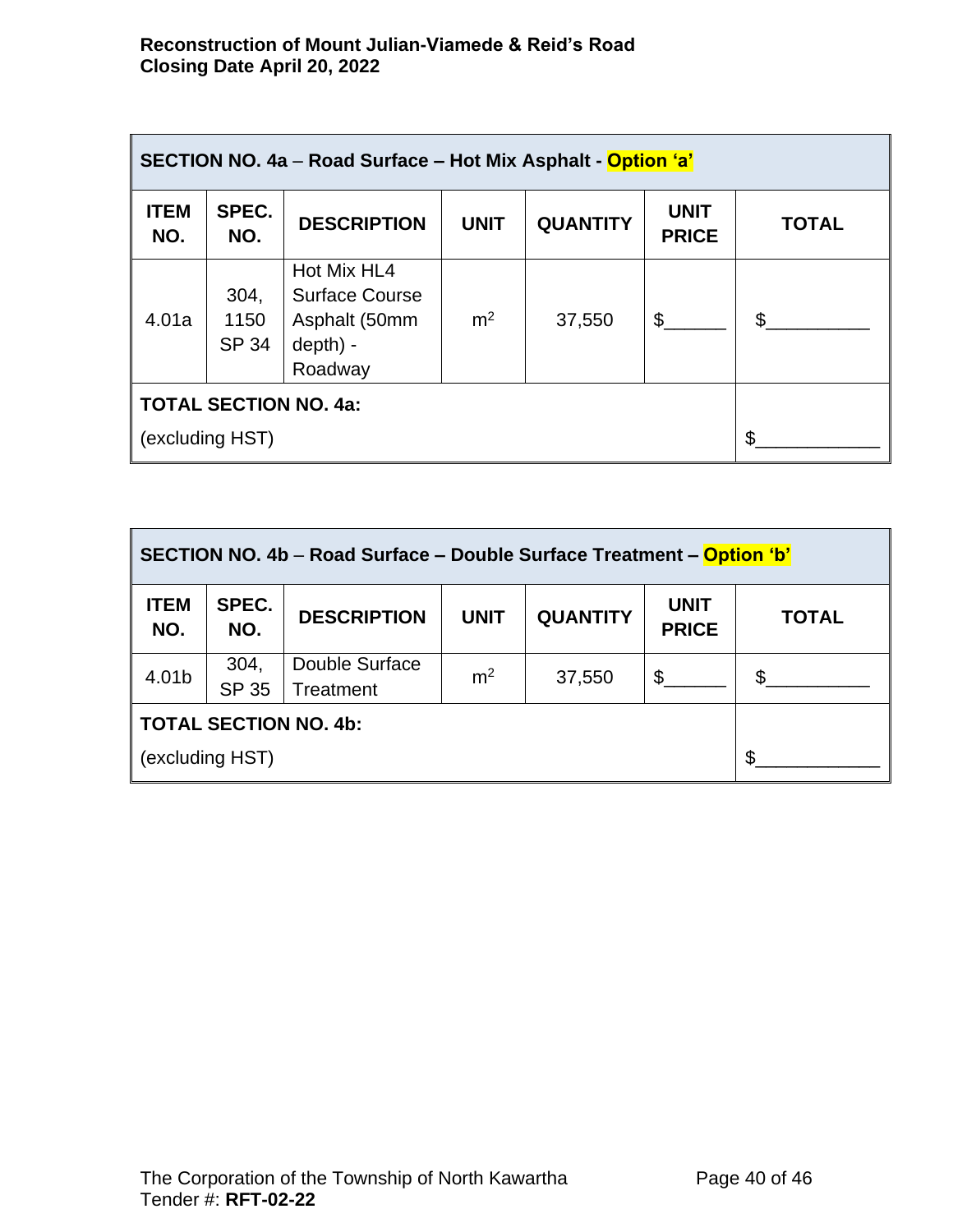| SECTION NO. 4a – Road Surface – Hot Mix Asphalt - Option 'a' |                              |                                                                              |                |                 |                             |              |
|--------------------------------------------------------------|------------------------------|------------------------------------------------------------------------------|----------------|-----------------|-----------------------------|--------------|
| <b>ITEM</b><br>NO.                                           | SPEC.<br>NO.                 | <b>DESCRIPTION</b>                                                           | <b>UNIT</b>    | <b>QUANTITY</b> | <b>UNIT</b><br><b>PRICE</b> | <b>TOTAL</b> |
| 4.01a                                                        | 304,<br>1150<br><b>SP 34</b> | Hot Mix HL4<br><b>Surface Course</b><br>Asphalt (50mm<br>depth) -<br>Roadway | m <sup>2</sup> | 37,550          | \$                          | \$.          |
| <b>TOTAL SECTION NO. 4a:</b>                                 |                              |                                                                              |                |                 |                             |              |
| (excluding HST)                                              |                              |                                                                              |                |                 |                             |              |

| SECTION NO. 4b – Road Surface – Double Surface Treatment – Option 'b' |                      |                             |                |                 |                             |                |
|-----------------------------------------------------------------------|----------------------|-----------------------------|----------------|-----------------|-----------------------------|----------------|
| <b>ITEM</b><br>NO.                                                    | SPEC.<br>NO.         | <b>DESCRIPTION</b>          | <b>UNIT</b>    | <b>QUANTITY</b> | <b>UNIT</b><br><b>PRICE</b> | <b>TOTAL</b>   |
| 4.01b                                                                 | 304,<br><b>SP 35</b> | Double Surface<br>Treatment | m <sup>2</sup> | 37,550          | \$                          | $\mathfrak{L}$ |
| <b>TOTAL SECTION NO. 4b:</b>                                          |                      |                             |                |                 |                             |                |
| (excluding HST)                                                       |                      |                             |                |                 | \$                          |                |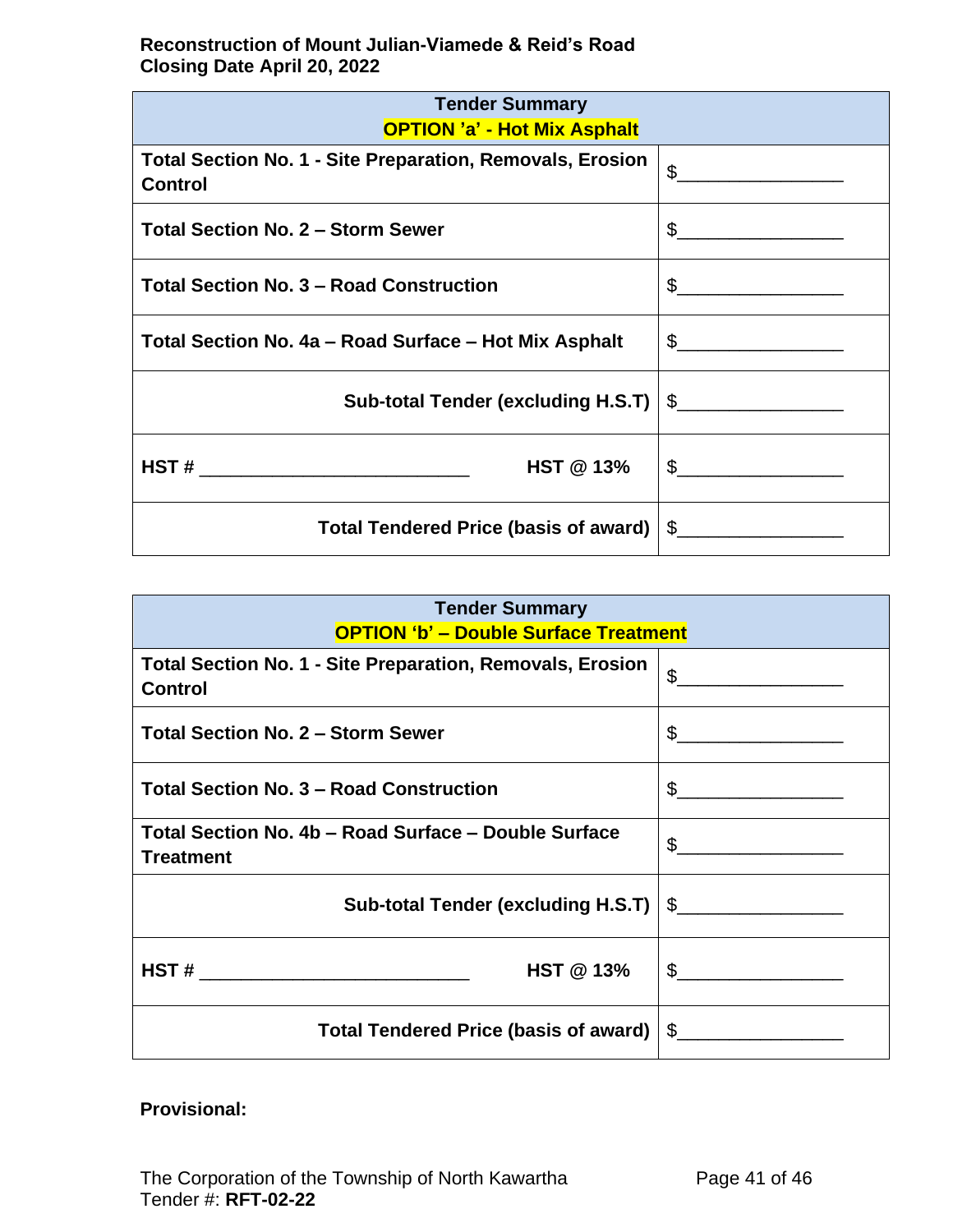| <b>Tender Summary</b><br><b>OPTION 'a' - Hot Mix Asphalt</b>                       |                                                                                                                                                                                                                                                                                                                                                                     |  |  |  |
|------------------------------------------------------------------------------------|---------------------------------------------------------------------------------------------------------------------------------------------------------------------------------------------------------------------------------------------------------------------------------------------------------------------------------------------------------------------|--|--|--|
| <b>Total Section No. 1 - Site Preparation, Removals, Erosion</b><br><b>Control</b> | $\mathfrak{S}$<br><u> 1989 - Johann Barbara, martxa al</u>                                                                                                                                                                                                                                                                                                          |  |  |  |
| <b>Total Section No. 2 - Storm Sewer</b>                                           | $\begin{picture}(20,10) \put(0,0){\vector(1,0){100}} \put(15,0){\vector(1,0){100}} \put(15,0){\vector(1,0){100}} \put(15,0){\vector(1,0){100}} \put(15,0){\vector(1,0){100}} \put(15,0){\vector(1,0){100}} \put(15,0){\vector(1,0){100}} \put(15,0){\vector(1,0){100}} \put(15,0){\vector(1,0){100}} \put(15,0){\vector(1,0){100}} \put(15,0){\vector(1,0){100}} \$ |  |  |  |
| <b>Total Section No. 3 - Road Construction</b>                                     | $\frac{1}{2}$                                                                                                                                                                                                                                                                                                                                                       |  |  |  |
| Total Section No. 4a – Road Surface – Hot Mix Asphalt                              | $\begin{picture}(20,10) \put(0,0){\vector(1,0){100}} \put(15,0){\vector(1,0){100}} \put(15,0){\vector(1,0){100}} \put(15,0){\vector(1,0){100}} \put(15,0){\vector(1,0){100}} \put(15,0){\vector(1,0){100}} \put(15,0){\vector(1,0){100}} \put(15,0){\vector(1,0){100}} \put(15,0){\vector(1,0){100}} \put(15,0){\vector(1,0){100}} \put(15,0){\vector(1,0){100}} \$ |  |  |  |
| <b>Sub-total Tender (excluding H.S.T)</b>                                          | $\begin{picture}(20,10) \put(0,0){\line(1,0){10}} \put(15,0){\line(1,0){10}} \put(15,0){\line(1,0){10}} \put(15,0){\line(1,0){10}} \put(15,0){\line(1,0){10}} \put(15,0){\line(1,0){10}} \put(15,0){\line(1,0){10}} \put(15,0){\line(1,0){10}} \put(15,0){\line(1,0){10}} \put(15,0){\line(1,0){10}} \put(15,0){\line(1,0){10}} \put(15,0){\line(1$                 |  |  |  |
| <b>HST @ 13%</b><br>$\overline{\text{HST}}$ # __________________________________   | $\begin{picture}(20,10) \put(0,0){\vector(1,0){100}} \put(15,0){\vector(1,0){100}} \put(15,0){\vector(1,0){100}} \put(15,0){\vector(1,0){100}} \put(15,0){\vector(1,0){100}} \put(15,0){\vector(1,0){100}} \put(15,0){\vector(1,0){100}} \put(15,0){\vector(1,0){100}} \put(15,0){\vector(1,0){100}} \put(15,0){\vector(1,0){100}} \put(15,0){\vector(1,0){100}} \$ |  |  |  |
| <b>Total Tendered Price (basis of award)</b>                                       | S.                                                                                                                                                                                                                                                                                                                                                                  |  |  |  |

| <b>Tender Summary</b><br><b>OPTION 'b' - Double Surface Treatment</b>       |                                                                                                                                                                                                                                                                                                                                                     |  |  |  |
|-----------------------------------------------------------------------------|-----------------------------------------------------------------------------------------------------------------------------------------------------------------------------------------------------------------------------------------------------------------------------------------------------------------------------------------------------|--|--|--|
| Total Section No. 1 - Site Preparation, Removals, Erosion<br><b>Control</b> | $\mathbb{S}$                                                                                                                                                                                                                                                                                                                                        |  |  |  |
| <b>Total Section No. 2 - Storm Sewer</b>                                    | $\frac{1}{2}$                                                                                                                                                                                                                                                                                                                                       |  |  |  |
| <b>Total Section No. 3 - Road Construction</b>                              | $\begin{picture}(20,10) \put(0,0){\line(1,0){10}} \put(15,0){\line(1,0){10}} \put(15,0){\line(1,0){10}} \put(15,0){\line(1,0){10}} \put(15,0){\line(1,0){10}} \put(15,0){\line(1,0){10}} \put(15,0){\line(1,0){10}} \put(15,0){\line(1,0){10}} \put(15,0){\line(1,0){10}} \put(15,0){\line(1,0){10}} \put(15,0){\line(1,0){10}} \put(15,0){\line(1$ |  |  |  |
| Total Section No. 4b - Road Surface - Double Surface<br><b>Treatment</b>    |                                                                                                                                                                                                                                                                                                                                                     |  |  |  |
| Sub-total Tender (excluding H.S.T)   \$__________________                   |                                                                                                                                                                                                                                                                                                                                                     |  |  |  |
| <b>HST @ 13%</b><br>HST#                                                    | $\mathbb{S}$                                                                                                                                                                                                                                                                                                                                        |  |  |  |
| Total Tendered Price (basis of award) $\frac{1}{2}$                         |                                                                                                                                                                                                                                                                                                                                                     |  |  |  |

# **Provisional:**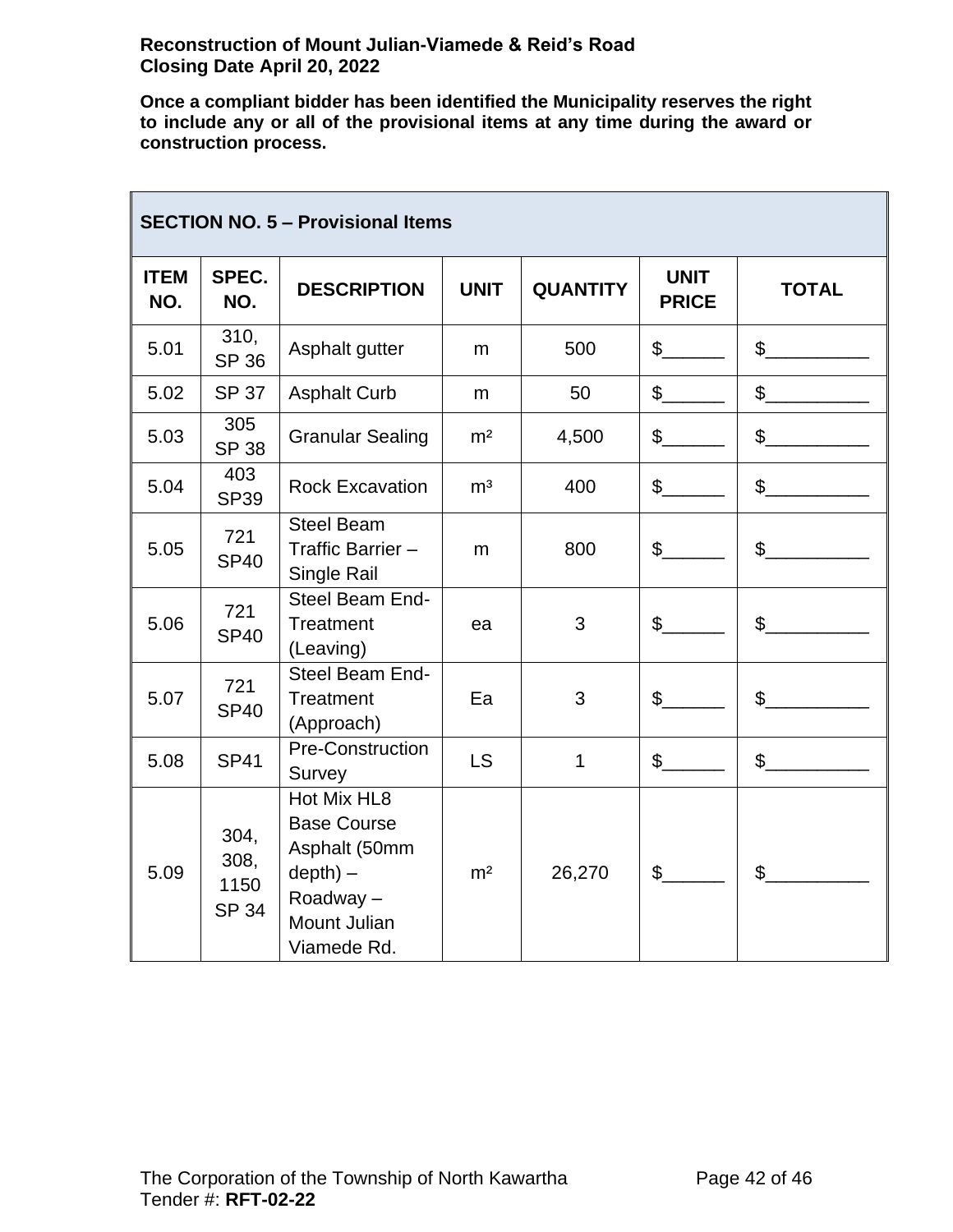T

**Once a compliant bidder has been identified the Municipality reserves the right to include any or all of the provisional items at any time during the award or construction process.**

| <b>SECTION NO. 5 - Provisional Items</b> |                                      |                                                                                                                    |                |                 |                             |                |
|------------------------------------------|--------------------------------------|--------------------------------------------------------------------------------------------------------------------|----------------|-----------------|-----------------------------|----------------|
| <b>ITEM</b><br>NO.                       | SPEC.<br>NO.                         | <b>DESCRIPTION</b>                                                                                                 | <b>UNIT</b>    | <b>QUANTITY</b> | <b>UNIT</b><br><b>PRICE</b> | <b>TOTAL</b>   |
| 5.01                                     | 310,<br><b>SP 36</b>                 | Asphalt gutter                                                                                                     | m              | 500             | $\mathbb{S}$                | $\mathbb{S}$   |
| 5.02                                     | <b>SP 37</b>                         | <b>Asphalt Curb</b>                                                                                                | m              | 50              | $\mathbb{S}$                | $\frac{1}{2}$  |
| 5.03                                     | 305<br><b>SP 38</b>                  | <b>Granular Sealing</b>                                                                                            | m <sup>2</sup> | 4,500           | $\frac{1}{2}$               | $\sim$         |
| 5.04                                     | 403<br><b>SP39</b>                   | <b>Rock Excavation</b>                                                                                             | m <sup>3</sup> | 400             | $\mathbb{S}$                | $\mathbb{S}$   |
| 5.05                                     | 721<br><b>SP40</b>                   | <b>Steel Beam</b><br>Traffic Barrier -<br>Single Rail                                                              | m              | 800             | $\mathfrak{S}$              | $\mathsf{\$}$  |
| 5.06                                     | 721<br><b>SP40</b>                   | Steel Beam End-<br><b>Treatment</b><br>(Leaving)                                                                   | ea             | 3               | $\frac{1}{2}$               | $\mathbb{S}$   |
| 5.07                                     | 721<br><b>SP40</b>                   | Steel Beam End-<br><b>Treatment</b><br>(Approach)                                                                  | Ea             | 3               | $\mathfrak{S}$              | $\mathbb{S}$   |
| 5.08                                     | <b>SP41</b>                          | <b>Pre-Construction</b><br>Survey                                                                                  | <b>LS</b>      | $\mathbf 1$     | $\mathfrak{S}$              | $\frac{1}{2}$  |
| 5.09                                     | 304,<br>308,<br>1150<br><b>SP 34</b> | Hot Mix HL8<br><b>Base Course</b><br>Asphalt (50mm<br>$depth) -$<br>Roadway-<br><b>Mount Julian</b><br>Viamede Rd. | m <sup>2</sup> | 26,270          | $\mathfrak{S}$              | $\mathfrak{S}$ |

٦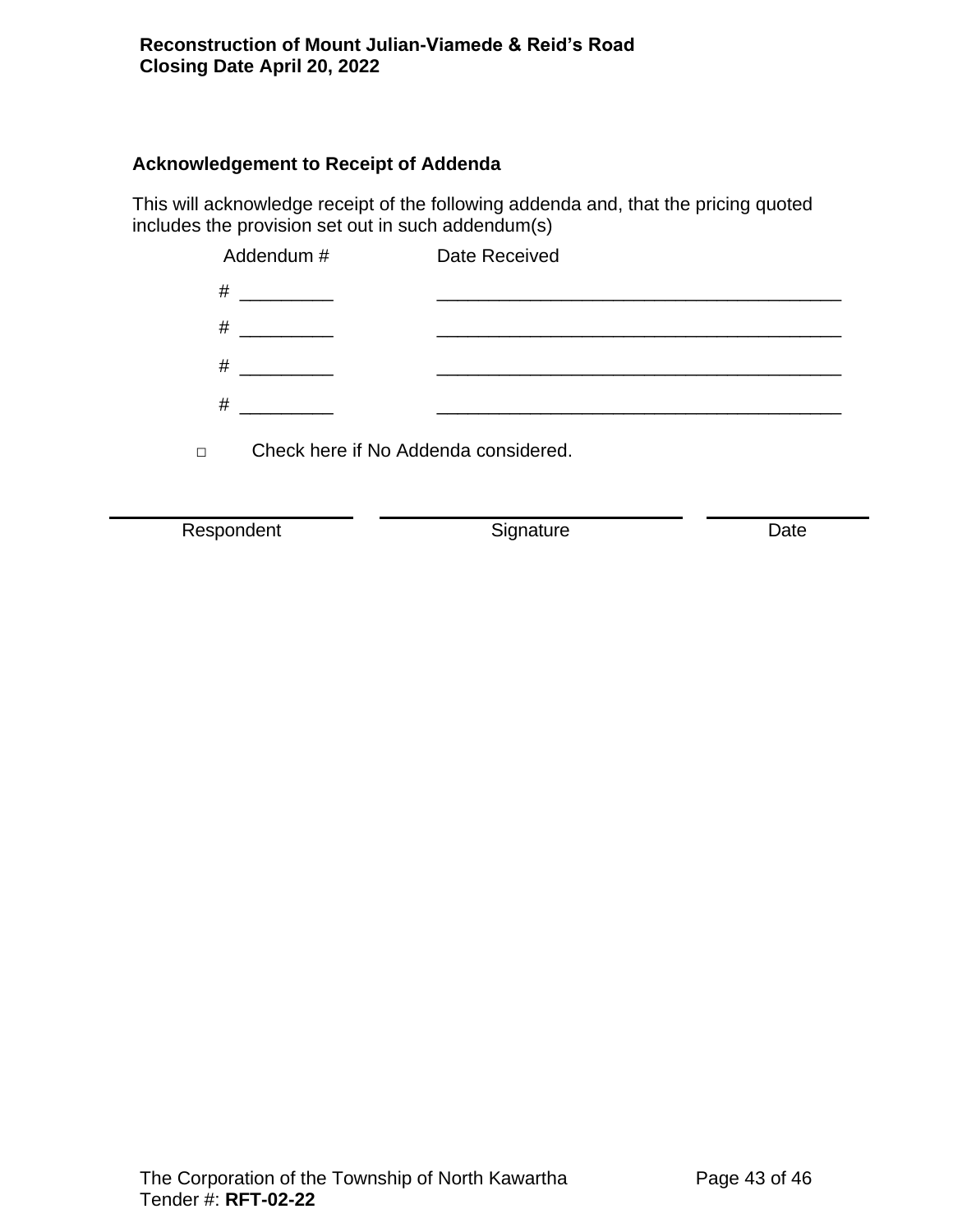### **Acknowledgement to Receipt of Addenda**

This will acknowledge receipt of the following addenda and, that the pricing quoted includes the provision set out in such addendum(s)

|        | Addendum #                                                                                                                                                                                                                           | Date Received |
|--------|--------------------------------------------------------------------------------------------------------------------------------------------------------------------------------------------------------------------------------------|---------------|
| #      |                                                                                                                                                                                                                                      |               |
| #      | <u> 1989 - Albert Store, ameri</u> kansk kon                                                                                                                                                                                         |               |
| #      |                                                                                                                                                                                                                                      |               |
| #      | <u>and the second part of the second part of the second part of the second part of the second part of the second part of the second part of the second part of the second part of the second part of the second part of the seco</u> |               |
| $\Box$ | Check here if No Addenda considered.                                                                                                                                                                                                 |               |

Respondent **Signature CONTER**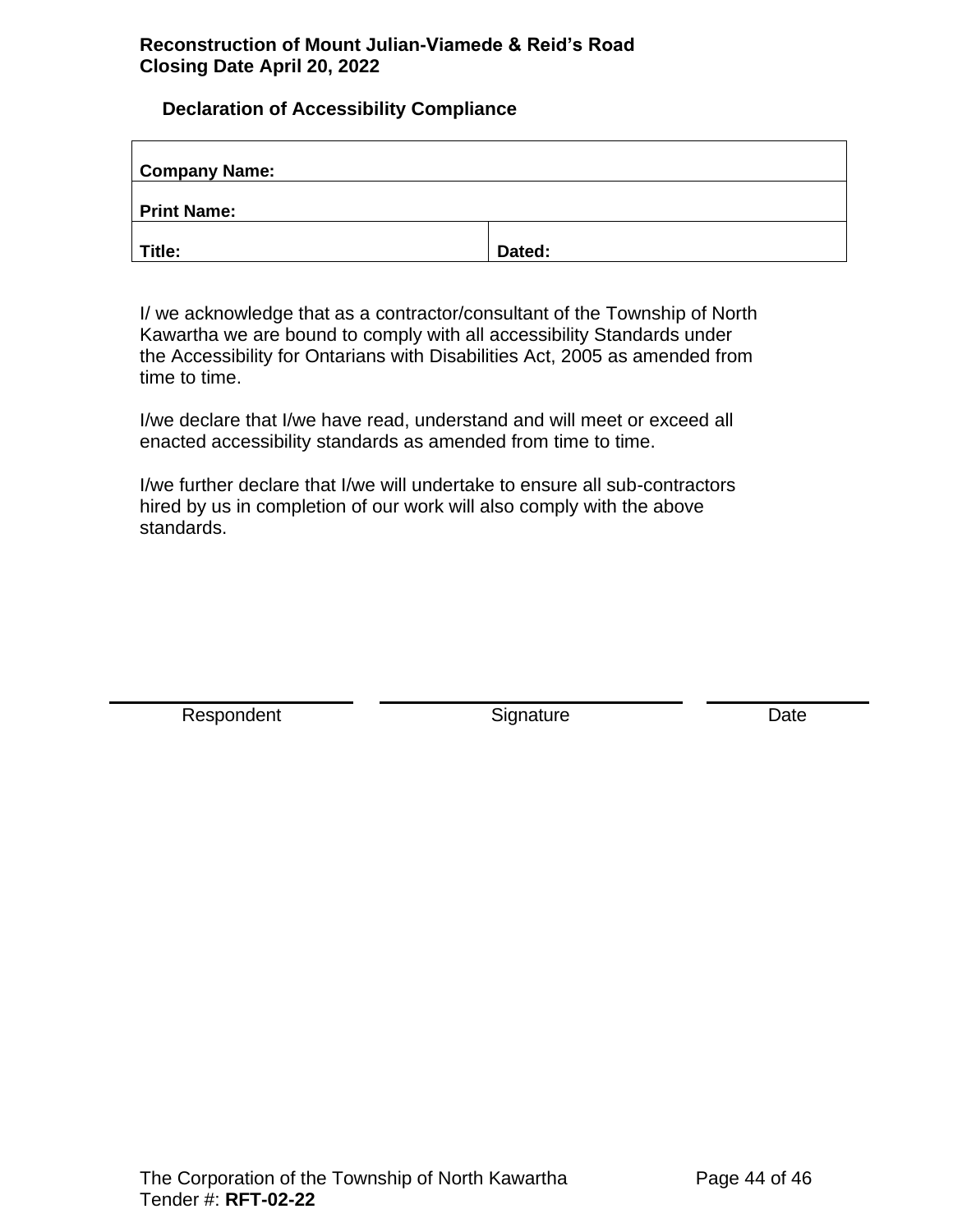### <span id="page-43-0"></span>**Declaration of Accessibility Compliance**

| <b>Company Name:</b> |        |
|----------------------|--------|
| <b>Print Name:</b>   |        |
| Title:               | Dated: |

I/ we acknowledge that as a contractor/consultant of the Township of North Kawartha we are bound to comply with all accessibility Standards under the Accessibility for Ontarians with Disabilities Act, 2005 as amended from time to time.

I/we declare that I/we have read, understand and will meet or exceed all enacted accessibility standards as amended from time to time.

I/we further declare that I/we will undertake to ensure all sub-contractors hired by us in completion of our work will also comply with the above standards.

Respondent **Signature** Signature Date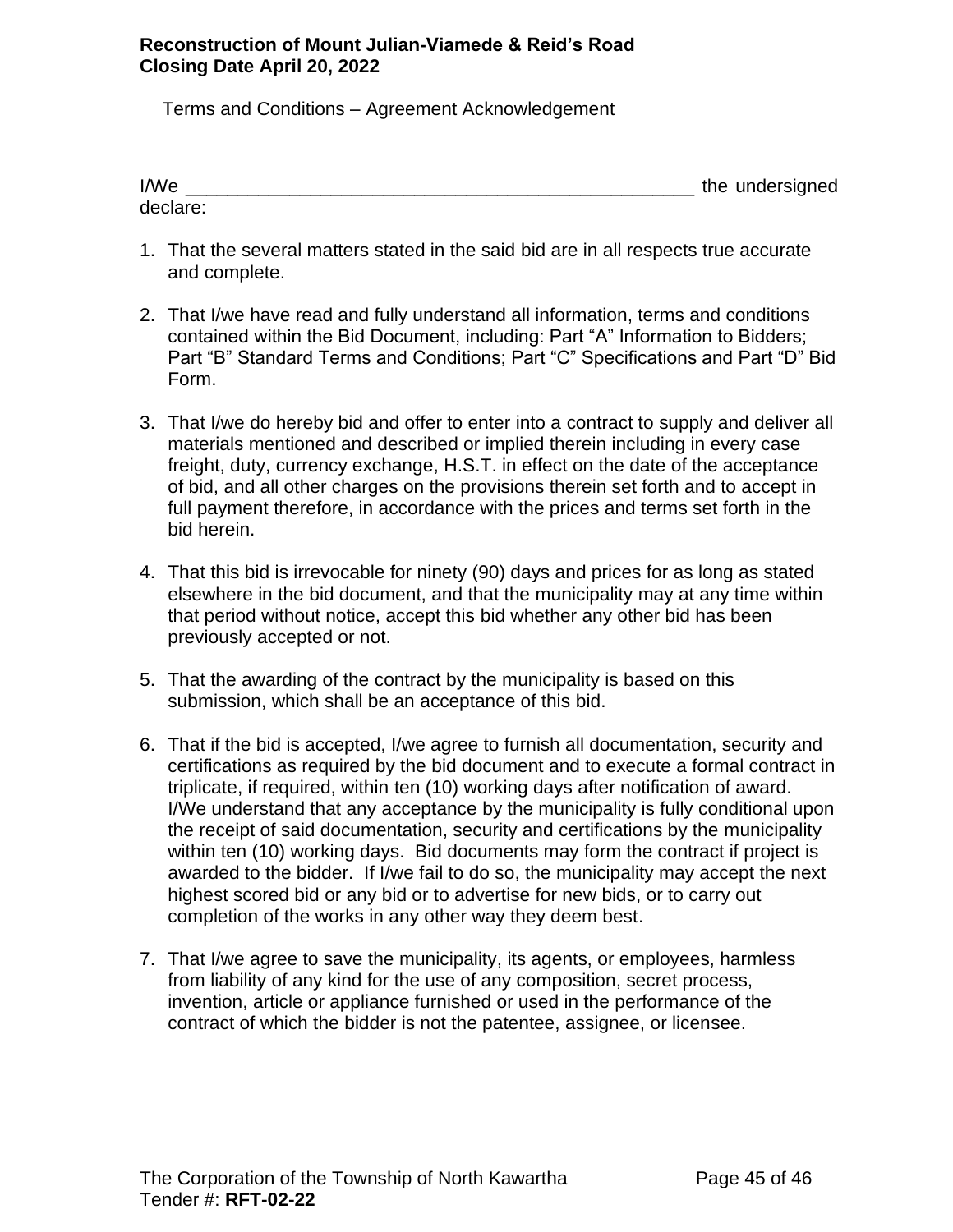<span id="page-44-0"></span>Terms and Conditions – Agreement Acknowledgement

| I/We     | the undersigned |
|----------|-----------------|
| declare: |                 |

- 1. That the several matters stated in the said bid are in all respects true accurate and complete.
- 2. That I/we have read and fully understand all information, terms and conditions contained within the Bid Document, including: Part "A" Information to Bidders; Part "B" Standard Terms and Conditions; Part "C" Specifications and Part "D" Bid Form.
- 3. That I/we do hereby bid and offer to enter into a contract to supply and deliver all materials mentioned and described or implied therein including in every case freight, duty, currency exchange, H.S.T. in effect on the date of the acceptance of bid, and all other charges on the provisions therein set forth and to accept in full payment therefore, in accordance with the prices and terms set forth in the bid herein.
- 4. That this bid is irrevocable for ninety (90) days and prices for as long as stated elsewhere in the bid document, and that the municipality may at any time within that period without notice, accept this bid whether any other bid has been previously accepted or not.
- 5. That the awarding of the contract by the municipality is based on this submission, which shall be an acceptance of this bid.
- 6. That if the bid is accepted, I/we agree to furnish all documentation, security and certifications as required by the bid document and to execute a formal contract in triplicate, if required, within ten (10) working days after notification of award. I/We understand that any acceptance by the municipality is fully conditional upon the receipt of said documentation, security and certifications by the municipality within ten (10) working days. Bid documents may form the contract if project is awarded to the bidder. If I/we fail to do so, the municipality may accept the next highest scored bid or any bid or to advertise for new bids, or to carry out completion of the works in any other way they deem best.
- 7. That I/we agree to save the municipality, its agents, or employees, harmless from liability of any kind for the use of any composition, secret process, invention, article or appliance furnished or used in the performance of the contract of which the bidder is not the patentee, assignee, or licensee.